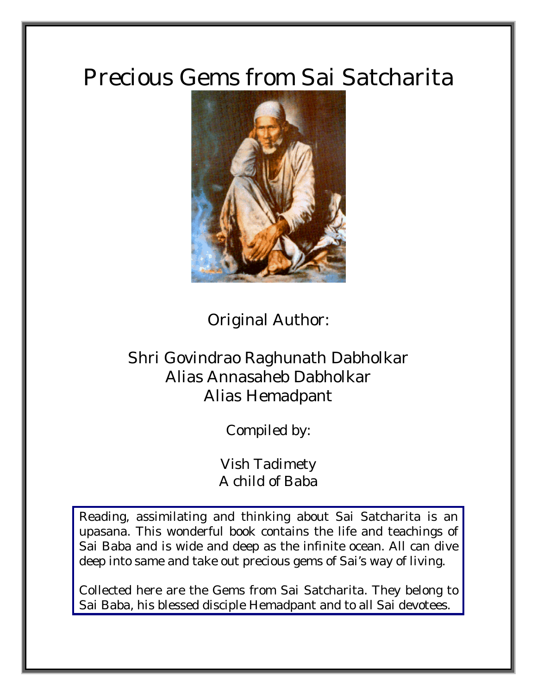# Precious Gems from Sai Satcharita



Original Author:

# Shri Govindrao Raghunath Dabholkar Alias Annasaheb Dabholkar Alias Hemadpant

Compiled by:

Vish Tadimety A child of Baba

Reading, assimilating and thinking about Sai Satcharita is an upasana. This wonderful book contains the life and teachings of Sai Baba and is wide and deep as the infinite ocean. All can dive deep into same and take out precious gems of Sai's way of living.

Collected here are the Gems from Sai Satcharita. They belong to Sai Baba, his blessed disciple Hemadpant and to all Sai devotees.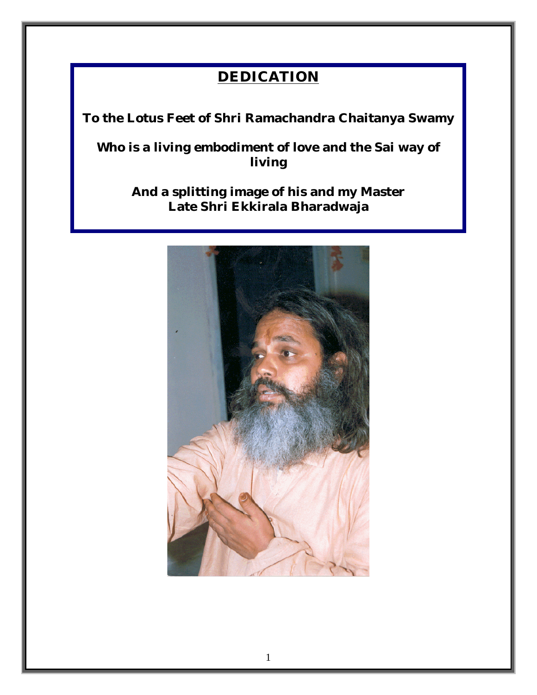# **DEDICATION**

**To the Lotus Feet of Shri Ramachandra Chaitanya Swamy** 

**Who is a living embodiment of love and the Sai way of living** 

**And a splitting image of his and my Master Late Shri Ekkirala Bharadwaja** 

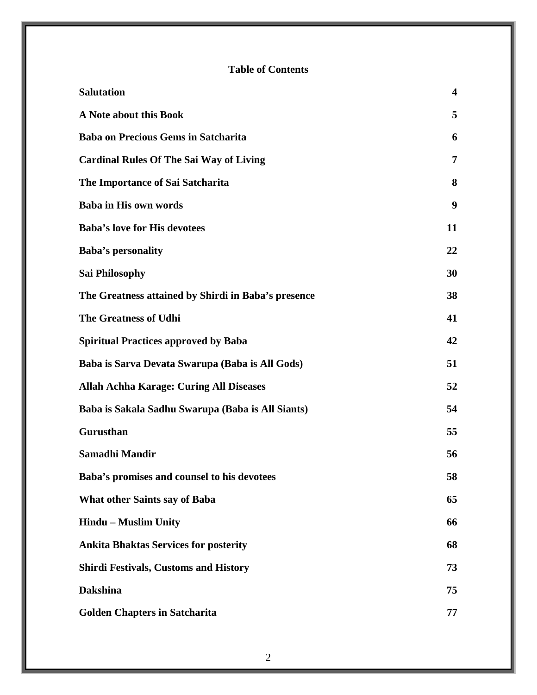#### **Table of Contents**

| <b>Salutation</b>                                   | $\overline{\mathbf{4}}$ |
|-----------------------------------------------------|-------------------------|
| A Note about this Book                              | 5                       |
| <b>Baba on Precious Gems in Satcharita</b>          | 6                       |
| <b>Cardinal Rules Of The Sai Way of Living</b>      | 7                       |
| The Importance of Sai Satcharita                    | 8                       |
| <b>Baba in His own words</b>                        | 9                       |
| <b>Baba's love for His devotees</b>                 | 11                      |
| <b>Baba's personality</b>                           | 22                      |
| <b>Sai Philosophy</b>                               | 30                      |
| The Greatness attained by Shirdi in Baba's presence | 38                      |
| <b>The Greatness of Udhi</b>                        | 41                      |
| <b>Spiritual Practices approved by Baba</b>         | 42                      |
| Baba is Sarva Devata Swarupa (Baba is All Gods)     | 51                      |
| <b>Allah Achha Karage: Curing All Diseases</b>      | 52                      |
| Baba is Sakala Sadhu Swarupa (Baba is All Siants)   | 54                      |
| Gurusthan                                           | 55                      |
| Samadhi Mandir                                      | 56                      |
| Baba's promises and counsel to his devotees         | 58                      |
| <b>What other Saints say of Baba</b>                | 65                      |
| <b>Hindu - Muslim Unity</b>                         | 66                      |
| <b>Ankita Bhaktas Services for posterity</b>        | 68                      |
| <b>Shirdi Festivals, Customs and History</b>        | 73                      |
| <b>Dakshina</b>                                     | 75                      |
| <b>Golden Chapters in Satcharita</b>                | 77                      |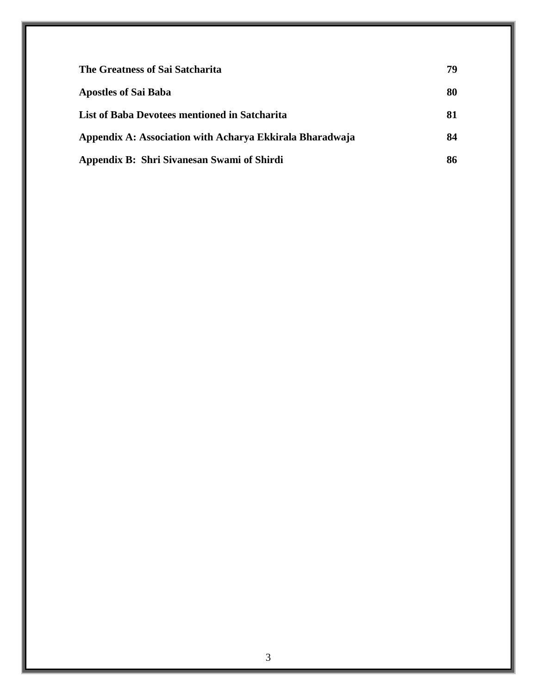| The Greatness of Sai Satcharita                          | 79 |
|----------------------------------------------------------|----|
| <b>Apostles of Sai Baba</b>                              | 80 |
| List of Baba Devotees mentioned in Satcharita            | 81 |
| Appendix A: Association with Acharya Ekkirala Bharadwaja | 84 |
| Appendix B: Shri Sivanesan Swami of Shirdi               | 86 |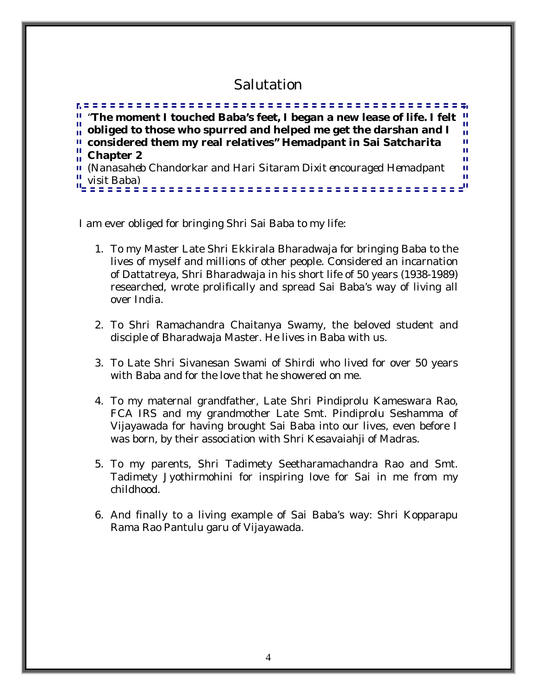# Salutation

*"***The moment I touched Baba's feet, I began a new lease of life. I felt**  Ĥ. **obliged to those who spurred and helped me get the darshan and I**  Ħ **considered them my real relatives" Hemadpant in Sai Satcharita**  ш **Chapter 2** Ĥ. Ĥ. *(Nanasaheb Chandorkar and Hari Sitaram Dixit encouraged Hemadpant*  Ĥ. Ĥ. *visit Baba)*

I am ever obliged for bringing Shri Sai Baba to my life:

- 1. To my Master Late Shri Ekkirala Bharadwaja for bringing Baba to the lives of myself and millions of other people. Considered an incarnation of Dattatreya, Shri Bharadwaja in his short life of 50 years (1938-1989) researched, wrote prolifically and spread Sai Baba's way of living all over India.
- 2. To Shri Ramachandra Chaitanya Swamy, the beloved student and disciple of Bharadwaja Master. He lives in Baba with us.
- 3. To Late Shri Sivanesan Swami of Shirdi who lived for over 50 years with Baba and for the love that he showered on me.
- 4. To my maternal grandfather, Late Shri Pindiprolu Kameswara Rao, FCA IRS and my grandmother Late Smt. Pindiprolu Seshamma of Vijayawada for having brought Sai Baba into our lives, even before I was born, by their association with Shri Kesavaiahji of Madras.
- 5. To my parents, Shri Tadimety Seetharamachandra Rao and Smt. Tadimety Jyothirmohini for inspiring love for Sai in me from my childhood.
- 6. And finally to a living example of Sai Baba's way: Shri Kopparapu Rama Rao Pantulu garu of Vijayawada.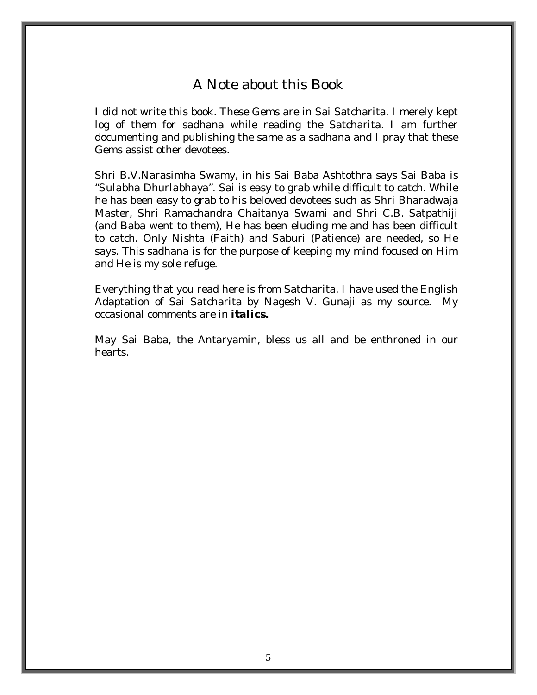# A Note about this Book

I did not write this book. These Gems are in Sai Satcharita. I merely kept log of them for sadhana while reading the Satcharita. I am further documenting and publishing the same as a sadhana and I pray that these Gems assist other devotees.

Shri B.V.Narasimha Swamy, in his Sai Baba Ashtothra says Sai Baba is "*Sulabha Dhurlabhaya".* Sai is easy to grab while difficult to catch. While he has been easy to grab to his beloved devotees such as Shri Bharadwaja Master, Shri Ramachandra Chaitanya Swami and Shri C.B. Satpathiji (and Baba went to them), He has been eluding me and has been difficult to catch. Only *Nishta* (Faith) and *Saburi* (Patience) are needed, so He says. This sadhana is for the purpose of keeping my mind focused on Him and He is my sole refuge.

Everything that you read here is from Satcharita. I have used the English Adaptation of Sai Satcharita by Nagesh V. Gunaji as my source. My occasional comments are in *italics.* 

May Sai Baba, the Antaryamin, bless us all and be enthroned in our hearts.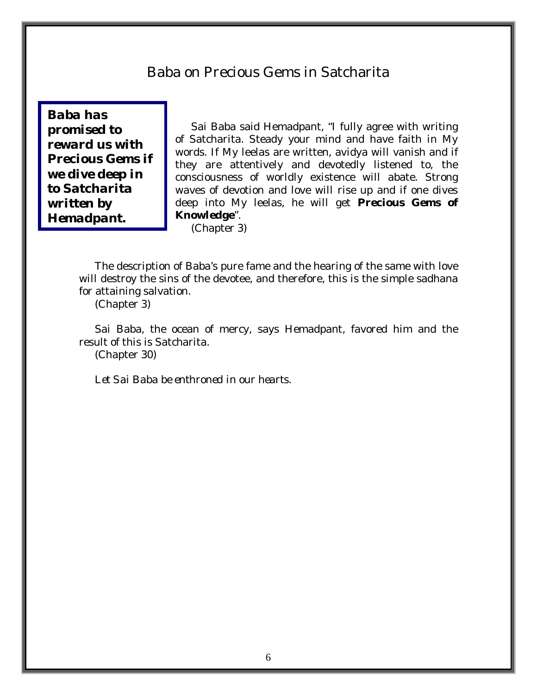# Baba on Precious Gems in Satcharita

*Baba has promised to reward us with Precious Gems if we dive deep in to Satcharita written by Hemadpant.*

Sai Baba said Hemadpant, "I fully agree with writing of Satcharita. Steady your mind and have faith in My words. If My leelas are written, avidya will vanish and if they are attentively and devotedly listened to, the consciousness of worldly existence will abate. Strong waves of devotion and love will rise up and if one dives deep into My leelas, he will get *Precious Gems of Knowledge*".

(Chapter 3)

The description of Baba's pure fame and the hearing of the same with love will destroy the sins of the devotee, and therefore, this is the simple sadhana for attaining salvation.

(Chapter 3)

Sai Baba, the ocean of mercy, says Hemadpant, favored him and the result of this is Satcharita.

(Chapter 30)

*Let Sai Baba be enthroned in our hearts.*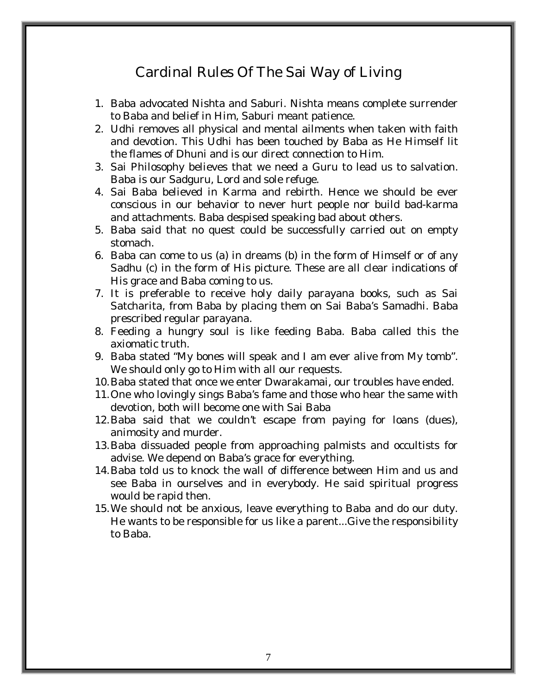# Cardinal Rules Of The Sai Way of Living

- 1. Baba advocated Nishta and Saburi. Nishta means complete surrender to Baba and belief in Him, Saburi meant patience.
- 2. Udhi removes all physical and mental ailments when taken with faith and devotion. This Udhi has been touched by Baba as He Himself lit the flames of Dhuni and is our direct connection to Him.
- 3. Sai Philosophy believes that we need a Guru to lead us to salvation. Baba is our Sadguru, Lord and sole refuge.
- 4. Sai Baba believed in Karma and rebirth. Hence we should be ever conscious in our behavior to never hurt people nor build bad-karma and attachments. Baba despised speaking bad about others.
- 5. Baba said that no quest could be successfully carried out on empty stomach.
- 6. Baba can come to us (a) in dreams (b) in the form of Himself or of any Sadhu (c) in the form of His picture. These are all clear indications of His grace and Baba coming to us.
- 7. It is preferable to receive holy daily parayana books, such as Sai Satcharita, from Baba by placing them on Sai Baba's Samadhi. Baba prescribed regular parayana.
- 8. Feeding a hungry soul is like feeding Baba. Baba called this the axiomatic truth.
- 9. Baba stated "My bones will speak and I am ever alive from My tomb". We should only go to Him with all our requests.
- 10.Baba stated that once we enter Dwarakamai, our troubles have ended.
- 11.One who lovingly sings Baba's fame and those who hear the same with devotion, both will become one with Sai Baba
- 12.Baba said that we couldn't escape from paying for loans (dues), animosity and murder.
- 13.Baba dissuaded people from approaching palmists and occultists for advise. We depend on Baba's grace for everything.
- 14.Baba told us to knock the wall of difference between Him and us and see Baba in ourselves and in everybody. He said spiritual progress would be rapid then.
- 15.We should not be anxious, leave everything to Baba and do our duty. He wants to be responsible for us like a parent...Give the responsibility to Baba.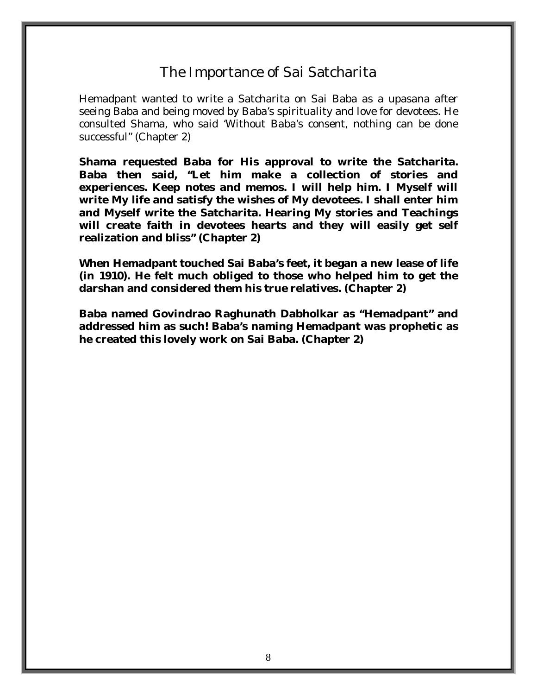# The Importance of Sai Satcharita

Hemadpant wanted to write a Satcharita on Sai Baba as a upasana after seeing Baba and being moved by Baba's spirituality and love for devotees. He consulted Shama, who said 'Without Baba's consent, nothing can be done successful" (Chapter 2)

**Shama requested Baba for His approval to write the Satcharita. Baba then said, "Let him make a collection of stories and experiences. Keep notes and memos. I will help him. I Myself will write My life and satisfy the wishes of My devotees. I shall enter him and Myself write the Satcharita. Hearing My stories and Teachings will create faith in devotees hearts and they will easily get self realization and bliss" (Chapter 2)** 

**When Hemadpant touched Sai Baba's feet, it began a new lease of life (in 1910). He felt much obliged to those who helped him to get the darshan and considered them his true relatives. (Chapter 2)** 

**Baba named Govindrao Raghunath Dabholkar as "Hemadpant" and addressed him as such! Baba's naming Hemadpant was prophetic as he created this lovely work on Sai Baba. (Chapter 2)**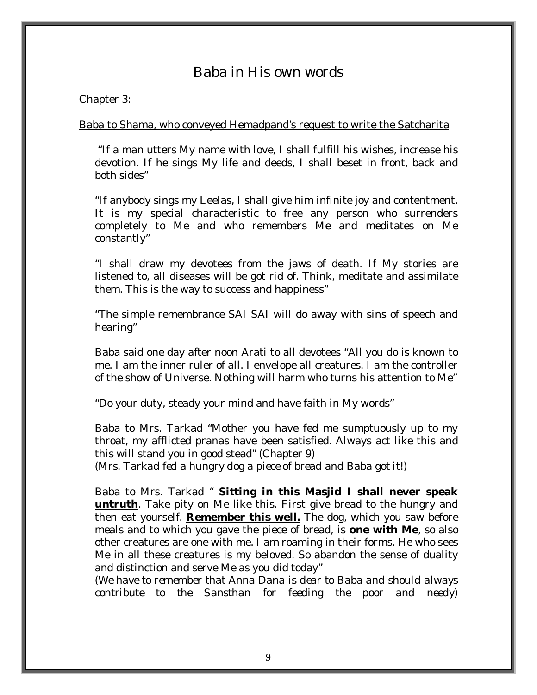# Baba in His own words

#### Chapter 3:

#### Baba to Shama, who conveyed Hemadpand's request to write the Satcharita

 "If a man utters My name with love, I shall fulfill his wishes, increase his devotion. If he sings My life and deeds, I shall beset in front, back and both sides"

"If anybody sings my Leelas, I shall give him infinite joy and contentment. It is my special characteristic to free any person who surrenders completely to Me and who remembers Me and meditates on Me constantly"

"I shall draw my devotees from the jaws of death. If My stories are listened to, all diseases will be got rid of. Think, meditate and assimilate them. This is the way to success and happiness"

"The simple remembrance SAI SAI will do away with sins of speech and hearing"

Baba said one day after noon Arati to all devotees "All you do is known to me. I am the inner ruler of all. I envelope all creatures. I am the controller of the show of Universe. Nothing will harm who turns his attention to Me"

"Do your duty, steady your mind and have faith in My words"

Baba to Mrs. Tarkad "Mother you have fed me sumptuously up to my throat, my afflicted pranas have been satisfied. Always act like this and this will stand you in good stead" (Chapter 9)

*(Mrs. Tarkad fed a hungry dog a piece of bread and Baba got it!)* 

Baba to Mrs. Tarkad " **Sitting in this Masjid I shall never speak untruth**. Take pity on Me like this. First give bread to the hungry and then eat yourself. **Remember this well.** The dog, which you saw before meals and to which you gave the piece of bread, is **one with Me**, so also other creatures are one with me. I am roaming in their forms. He who sees Me in all these creatures is my beloved. So abandon the sense of duality and distinction and serve Me as you did today"

*(We have to remember that Anna Dana is dear to Baba and should always contribute to the Sansthan for feeding the poor and needy)*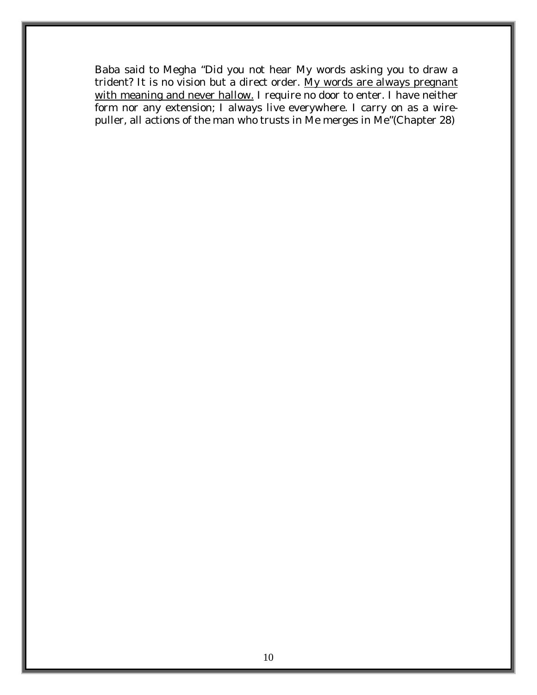Baba said to Megha "Did you not hear My words asking you to draw a trident? It is no vision but a direct order. My words are always pregnant with meaning and never hallow. I require no door to enter. I have neither form nor any extension; I always live everywhere. I carry on as a wirepuller, all actions of the man who trusts in Me merges in Me"(Chapter 28)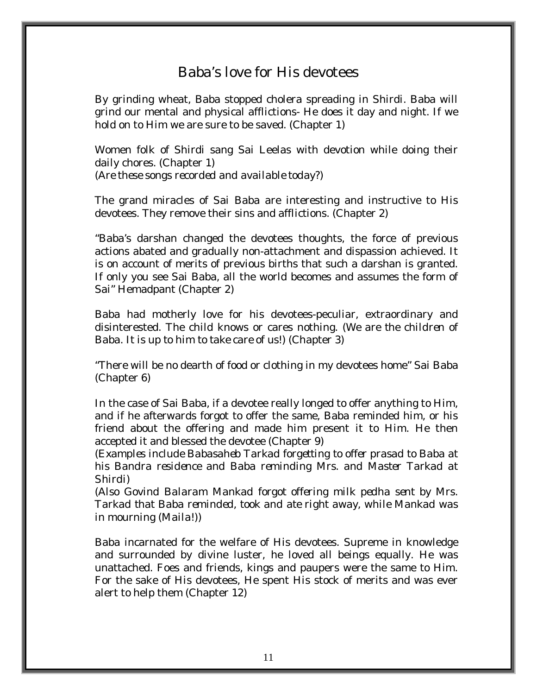### Baba's love for His devotees

By grinding wheat, Baba stopped cholera spreading in Shirdi. Baba will grind our mental and physical afflictions- He does it day and night. If we hold on to Him we are sure to be saved. (Chapter 1)

Women folk of Shirdi sang Sai Leelas with devotion while doing their daily chores. (Chapter 1) *(Are these songs recorded and available today?)* 

The grand miracles of Sai Baba are interesting and instructive to His devotees. They remove their sins and afflictions. (Chapter 2)

"Baba's darshan changed the devotees thoughts, the force of previous actions abated and gradually non-attachment and dispassion achieved. It is on account of merits of previous births that such a darshan is granted. If only you see Sai Baba, all the world becomes and assumes the form of Sai" Hemadpant (Chapter 2)

Baba had motherly love for his devotees-peculiar, extraordinary and disinterested. The child knows or cares nothing. (*We are the children of Baba. It is up to him to take care of us!*) (Chapter 3)

"There will be no dearth of food or clothing in my devotees home" Sai Baba (Chapter 6)

In the case of Sai Baba, if a devotee really longed to offer anything to Him, and if he afterwards forgot to offer the same, Baba reminded him, or his friend about the offering and made him present it to Him. He then accepted it and blessed the devotee (Chapter 9)

*(Examples include Babasaheb Tarkad forgetting to offer prasad to Baba at his Bandra residence and Baba reminding Mrs. and Master Tarkad at Shirdi)* 

*(Also Govind Balaram Mankad forgot offering milk pedha sent by Mrs. Tarkad that Baba reminded, took and ate right away, while Mankad was in mourning (Maila!))* 

Baba incarnated for the welfare of His devotees. Supreme in knowledge and surrounded by divine luster, he loved all beings equally. He was unattached. Foes and friends, kings and paupers were the same to Him. For the sake of His devotees, He spent His stock of merits and was ever alert to help them (Chapter 12)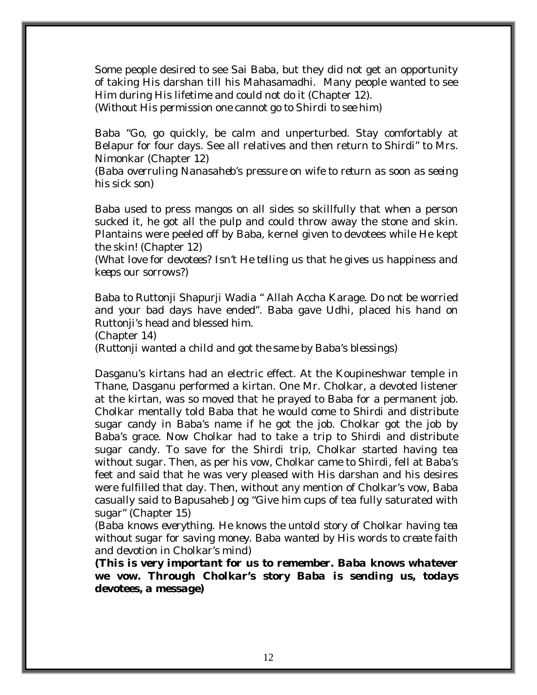Some people desired to see Sai Baba, but they did not get an opportunity of taking His darshan till his Mahasamadhi. Many people wanted to see Him during His lifetime and could not do it (Chapter 12).

*(Without His permission one cannot go to Shirdi to see him)* 

Baba "Go, go quickly, be calm and unperturbed. Stay comfortably at Belapur for four days. See all relatives and then return to Shirdi" to Mrs. Nimonkar (Chapter 12)

*(Baba overruling Nanasaheb's pressure on wife to return as soon as seeing his sick son)* 

Baba used to press mangos on all sides so skillfully that when a person sucked it, he got all the pulp and could throw away the stone and skin. Plantains were peeled off by Baba, kernel given to devotees while He kept the skin! (Chapter 12)

*(What love for devotees? Isn't He telling us that he gives us happiness and keeps our sorrows?)* 

Baba to Ruttonji Shapurji Wadia " Allah Accha Karage. Do not be worried and your bad days have ended". Baba gave Udhi, placed his hand on Ruttonji's head and blessed him.

(Chapter 14)

*(Ruttonji wanted a child and got the same by Baba's blessings)* 

Dasganu's kirtans had an electric effect. At the Koupineshwar temple in Thane, Dasganu performed a kirtan. One Mr. Cholkar, a devoted listener at the kirtan, was so moved that he prayed to Baba for a permanent job. Cholkar mentally told Baba that he would come to Shirdi and distribute sugar candy in Baba's name if he got the job. Cholkar got the job by Baba's grace. Now Cholkar had to take a trip to Shirdi and distribute sugar candy. To save for the Shirdi trip, Cholkar started having tea without sugar. Then, as per his vow, Cholkar came to Shirdi, fell at Baba's feet and said that he was very pleased with His darshan and his desires were fulfilled that day. Then, without any mention of Cholkar's vow, Baba casually said to Bapusaheb Jog "Give him cups of tea fully saturated with sugar" (Chapter 15)

*(Baba knows everything. He knows the untold story of Cholkar having tea without sugar for saving money. Baba wanted by His words to create faith and devotion in Cholkar's mind)* 

*(This is very important for us to remember. Baba knows whatever we vow. Through Cholkar's story Baba is sending us, todays devotees, a message)*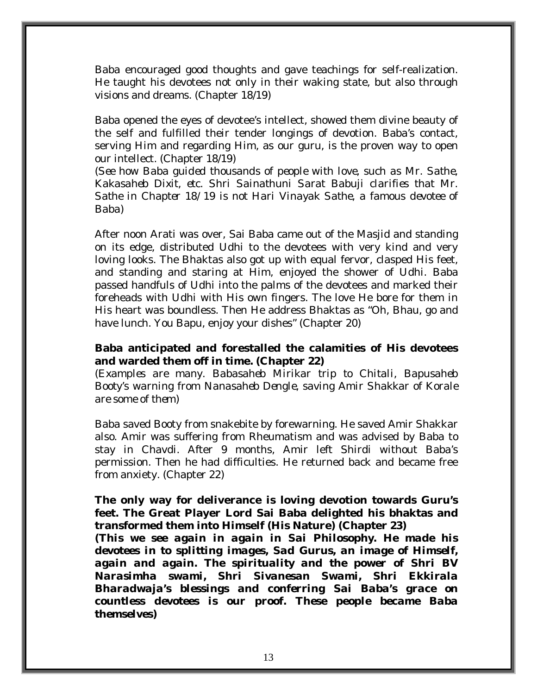Baba encouraged good thoughts and gave teachings for self-realization. He taught his devotees not only in their waking state, but also through visions and dreams. (Chapter 18/19)

Baba opened the eyes of devotee's intellect, showed them divine beauty of the self and fulfilled their tender longings of devotion. Baba's contact, serving Him and regarding Him, as our guru, is the proven way to open our intellect. (Chapter 18/19)

*(See how Baba guided thousands of people with love, such as Mr. Sathe, Kakasaheb Dixit, etc. Shri Sainathuni Sarat Babuji clarifies that Mr. Sathe in Chapter 18/19 is not Hari Vinayak Sathe, a famous devotee of Baba)* 

After noon Arati was over, Sai Baba came out of the Masjid and standing on its edge, distributed Udhi to the devotees with very kind and very loving looks. The Bhaktas also got up with equal fervor, clasped His feet, and standing and staring at Him, enjoyed the shower of Udhi. Baba passed handfuls of Udhi into the palms of the devotees and marked their foreheads with Udhi with His own fingers. The love He bore for them in His heart was boundless. Then He address Bhaktas as "Oh, Bhau, go and have lunch. You Bapu, enjoy your dishes" (Chapter 20)

#### **Baba anticipated and forestalled the calamities of His devotees and warded them off in time. (Chapter 22)**

*(Examples are many. Babasaheb Mirikar trip to Chitali, Bapusaheb Booty's warning from Nanasaheb Dengle, saving Amir Shakkar of Korale are some of them)* 

Baba saved Booty from snakebite by forewarning. He saved Amir Shakkar also. Amir was suffering from Rheumatism and was advised by Baba to stay in Chavdi. After 9 months, Amir left Shirdi without Baba's permission. Then he had difficulties. He returned back and became free from anxiety. (Chapter 22)

#### **The only way for deliverance is loving devotion towards Guru's feet. The Great Player Lord Sai Baba delighted his bhaktas and transformed them into Himself (His Nature) (Chapter 23)**

*(This we see again in again in Sai Philosophy. He made his devotees in to splitting images, Sad Gurus, an image of Himself, again and again. The spirituality and the power of Shri BV Narasimha swami, Shri Sivanesan Swami, Shri Ekkirala Bharadwaja's blessings and conferring Sai Baba's grace on countless devotees is our proof. These people became Baba themselves)*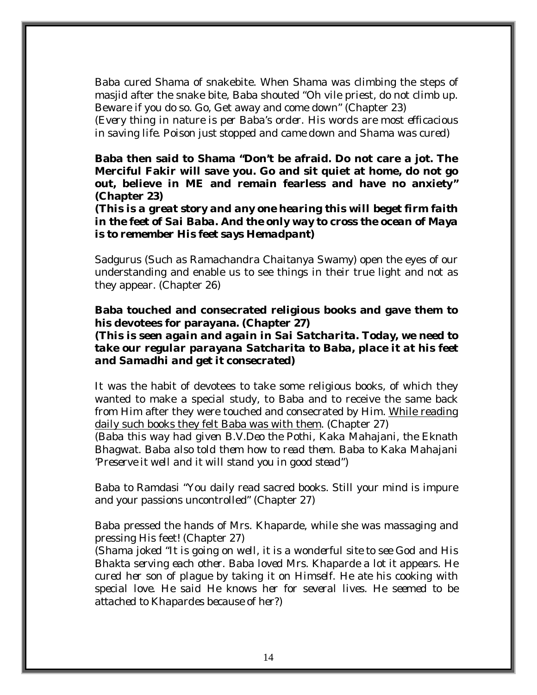Baba cured Shama of snakebite. When Shama was climbing the steps of masjid after the snake bite, Baba shouted "Oh vile priest, do not climb up. Beware if you do so. Go, Get away and come down" (Chapter 23)

*(Every thing in nature is per Baba's order. His words are most efficacious in saving life. Poison just stopped and came down and Shama was cured)* 

**Baba then said to Shama "Don't be afraid. Do not care a jot. The Merciful Fakir will save you. Go and sit quiet at home, do not go out, believe in ME and remain fearless and have no anxiety" (Chapter 23)** 

*(This is a great story and any one hearing this will beget firm faith in the feet of Sai Baba. And the only way to cross the ocean of Maya is to remember His feet says Hemadpant)* 

Sadgurus (*Such as Ramachandra Chaitanya Swamy)* open the eyes of our understanding and enable us to see things in their true light and not as they appear. (Chapter 26)

#### **Baba touched and consecrated religious books and gave them to his devotees for parayana. (Chapter 27)**

*(This is seen again and again in Sai Satcharita. Today, we need to take our regular parayana Satcharita to Baba, place it at his feet and Samadhi and get it consecrated)* 

It was the habit of devotees to take some religious books, of which they wanted to make a special study, to Baba and to receive the same back from Him after they were touched and consecrated by Him. While reading daily such books they felt Baba was with them. (Chapter 27)

*(Baba this way had given B.V.Deo the Pothi, Kaka Mahajani, the Eknath Bhagwat. Baba also told them how to read them. Baba to Kaka Mahajani 'Preserve it well and it will stand you in good stead")* 

Baba to Ramdasi "You daily read sacred books. Still your mind is impure and your passions uncontrolled" (Chapter 27)

Baba pressed the hands of Mrs. Khaparde, while she was massaging and pressing His feet! (Chapter 27)

*(Shama joked "It is going on well, it is a wonderful site to see God and His Bhakta serving each other. Baba loved Mrs. Khaparde a lot it appears. He cured her son of plague by taking it on Himself. He ate his cooking with special love. He said He knows her for several lives. He seemed to be attached to Khapardes because of her?)*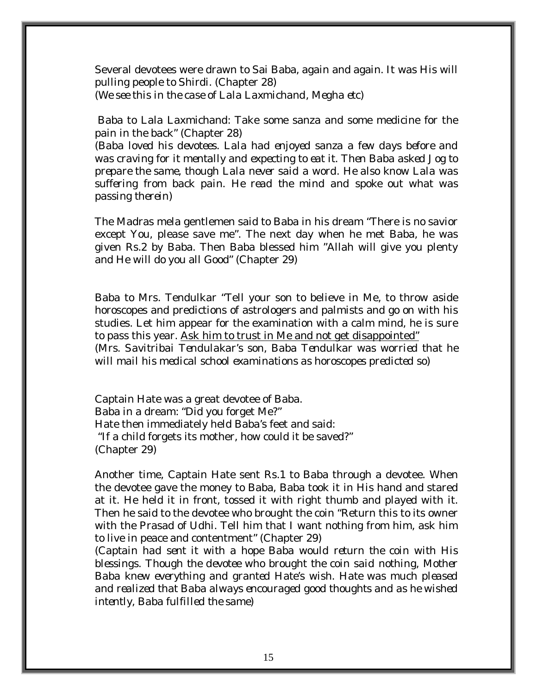Several devotees were drawn to Sai Baba, again and again. It was His will pulling people to Shirdi. (Chapter 28) *(We see this in the case of Lala Laxmichand, Megha etc)* 

 Baba to Lala Laxmichand: Take some sanza and some medicine for the pain in the back" (Chapter 28)

*(Baba loved his devotees. Lala had enjoyed sanza a few days before and was craving for it mentally and expecting to eat it. Then Baba asked Jog to prepare the same, though Lala never said a word. He also know Lala was suffering from back pain. He read the mind and spoke out what was passing therein)* 

The Madras mela gentlemen said to Baba in his dream "There is no savior except You, please save me". The next day when he met Baba, he was given Rs.2 by Baba. Then Baba blessed him "Allah will give you plenty and He will do you all Good" (Chapter 29)

Baba to Mrs. Tendulkar "Tell your son to believe in Me, to throw aside horoscopes and predictions of astrologers and palmists and go on with his studies. Let him appear for the examination with a calm mind, he is sure to pass this year. Ask him to trust in Me and not get disappointed" *(Mrs. Savitribai Tendulakar's son, Baba Tendulkar was worried that he will mail his medical school examinations as horoscopes predicted so)* 

Captain Hate was a great devotee of Baba. Baba in a dream: "Did you forget Me?" Hate then immediately held Baba's feet and said: "If a child forgets its mother, how could it be saved?" (Chapter 29)

Another time, Captain Hate sent Rs.1 to Baba through a devotee. When the devotee gave the money to Baba, Baba took it in His hand and stared at it. He held it in front, tossed it with right thumb and played with it. Then he said to the devotee who brought the coin "Return this to its owner with the Prasad of Udhi. Tell him that I want nothing from him, ask him to live in peace and contentment" (Chapter 29)

*(Captain had sent it with a hope Baba would return the coin with His blessings. Though the devotee who brought the coin said nothing, Mother Baba knew everything and granted Hate's wish. Hate was much pleased and realized that Baba always encouraged good thoughts and as he wished intently, Baba fulfilled the same)*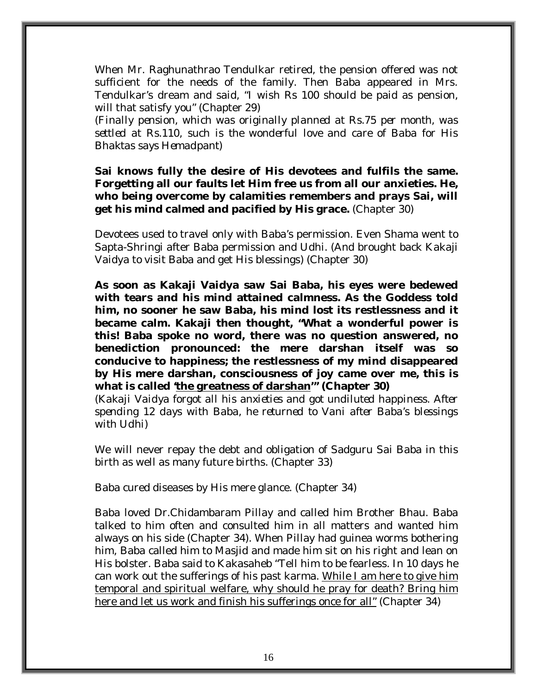When Mr. Raghunathrao Tendulkar retired, the pension offered was not sufficient for the needs of the family. Then Baba appeared in Mrs. Tendulkar's dream and said, "I wish Rs 100 should be paid as pension, will that satisfy you" (Chapter 29)

*(Finally pension, which was originally planned at Rs.75 per month, was settled at Rs.110, such is the wonderful love and care of Baba for His Bhaktas says Hemadpant)* 

**Sai knows fully the desire of His devotees and fulfils the same. Forgetting all our faults let Him free us from all our anxieties. He, who being overcome by calamities remembers and prays Sai, will get his mind calmed and pacified by His grace.** (Chapter 30)

Devotees used to travel only with Baba's permission. Even Shama went to Sapta-Shringi after Baba permission and Udhi. (And brought back Kakaji Vaidya to visit Baba and get His blessings) (Chapter 30)

**As soon as Kakaji Vaidya saw Sai Baba, his eyes were bedewed with tears and his mind attained calmness. As the Goddess told him, no sooner he saw Baba, his mind lost its restlessness and it became calm. Kakaji then thought, "What a wonderful power is this! Baba spoke no word, there was no question answered, no benediction pronounced: the mere darshan itself was so conducive to happiness; the restlessness of my mind disappeared by His mere darshan, consciousness of joy came over me, this is what is called 'the greatness of darshan'" (Chapter 30)** 

*(Kakaji Vaidya forgot all his anxieties and got undiluted happiness. After spending 12 days with Baba, he returned to Vani after Baba's blessings with Udhi)* 

We will never repay the debt and obligation of Sadguru Sai Baba in this birth as well as many future births. (Chapter 33)

Baba cured diseases by His mere glance. (Chapter 34)

Baba loved Dr.Chidambaram Pillay and called him Brother Bhau. Baba talked to him often and consulted him in all matters and wanted him always on his side (Chapter 34). When Pillay had guinea worms bothering him, Baba called him to Masjid and made him sit on his right and lean on His bolster. Baba said to Kakasaheb "Tell him to be fearless. In 10 days he can work out the sufferings of his past karma. While I am here to give him temporal and spiritual welfare, why should he pray for death? Bring him here and let us work and finish his sufferings once for all" (Chapter 34)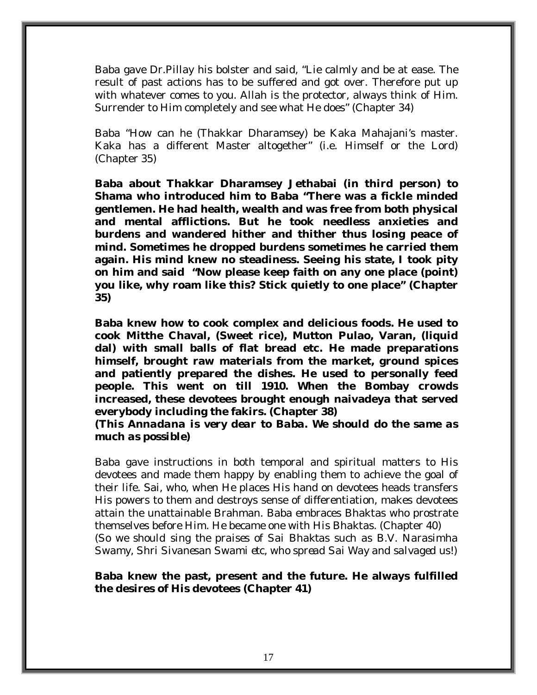Baba gave Dr.Pillay his bolster and said, "Lie calmly and be at ease. The result of past actions has to be suffered and got over. Therefore put up with whatever comes to you. Allah is the protector, always think of Him. Surrender to Him completely and see what He does" (Chapter 34)

Baba "How can he (Thakkar Dharamsey) be Kaka Mahajani's master. Kaka has a different Master altogether" (i.e. Himself or the Lord) (Chapter 35)

**Baba about Thakkar Dharamsey Jethabai (in third person) to Shama who introduced him to Baba "There was a fickle minded gentlemen. He had health, wealth and was free from both physical and mental afflictions. But he took needless anxieties and burdens and wandered hither and thither thus losing peace of mind. Sometimes he dropped burdens sometimes he carried them again. His mind knew no steadiness. Seeing his state, I took pity on him and said "Now please keep faith on any one place (point) you like, why roam like this? Stick quietly to one place" (Chapter 35)** 

**Baba knew how to cook complex and delicious foods. He used to cook Mitthe Chaval, (Sweet rice), Mutton Pulao, Varan, (liquid dal) with small balls of flat bread etc. He made preparations himself, brought raw materials from the market, ground spices and patiently prepared the dishes. He used to personally feed people. This went on till 1910. When the Bombay crowds increased, these devotees brought enough naivadeya that served everybody including the fakirs. (Chapter 38)** 

*(This Annadana is very dear to Baba. We should do the same as much as possible)* 

Baba gave instructions in both temporal and spiritual matters to His devotees and made them happy by enabling them to achieve the goal of their life. Sai, who, when He places His hand on devotees heads transfers His powers to them and destroys sense of differentiation, makes devotees attain the unattainable Brahman. Baba embraces Bhaktas who prostrate themselves before Him. He became one with His Bhaktas. (Chapter 40) *(So we should sing the praises of Sai Bhaktas such as B.V. Narasimha Swamy, Shri Sivanesan Swami etc, who spread Sai Way and salvaged us!)* 

**Baba knew the past, present and the future. He always fulfilled the desires of His devotees (Chapter 41)**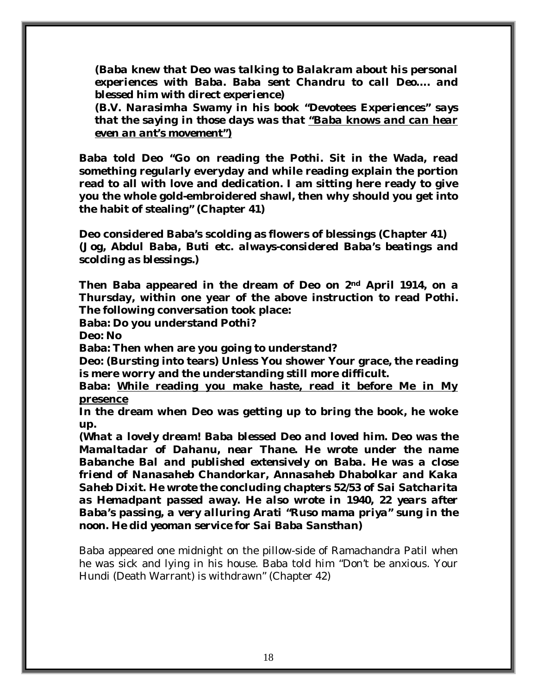*(Baba knew that Deo was talking to Balakram about his personal experiences with Baba. Baba sent Chandru to call Deo…. and blessed him with direct experience)* 

*(B.V. Narasimha Swamy in his book "Devotees Experiences" says that the saying in those days was that "Baba knows and can hear even an ant's movement")*

**Baba told Deo "Go on reading the Pothi. Sit in the Wada, read something regularly everyday and while reading explain the portion read to all with love and dedication. I am sitting here ready to give you the whole gold-embroidered shawl, then why should you get into the habit of stealing" (Chapter 41)** 

**Deo considered Baba's scolding as flowers of blessings (Chapter 41)**  *(Jog, Abdul Baba, Buti etc. always-considered Baba's beatings and scolding as blessings.)* 

**Then Baba appeared in the dream of Deo on 2nd April 1914, on a Thursday, within one year of the above instruction to read Pothi. The following conversation took place:** 

**Baba: Do you understand Pothi?** 

**Deo: No** 

**Baba: Then when are you going to understand?** 

**Deo: (Bursting into tears) Unless You shower Your grace, the reading is mere worry and the understanding still more difficult.** 

**Baba: While reading you make haste, read it before Me in My presence**

**In the dream when Deo was getting up to bring the book, he woke up.**

**(***What a lovely dream! Baba blessed Deo and loved him. Deo was the Mamaltadar of Dahanu, near Thane. He wrote under the name Babanche Bal and published extensively on Baba. He was a close friend of Nanasaheb Chandorkar, Annasaheb Dhabolkar and Kaka Saheb Dixit. He wrote the concluding chapters 52/53 of Sai Satcharita as Hemadpant passed away. He also wrote in 1940, 22 years after Baba's passing, a very alluring Arati "Ruso mama priya" sung in the noon. He did yeoman service for Sai Baba Sansthan)* 

Baba appeared one midnight on the pillow-side of Ramachandra Patil when he was sick and lying in his house. Baba told him "Don't be anxious. Your Hundi (Death Warrant) is withdrawn" (Chapter 42)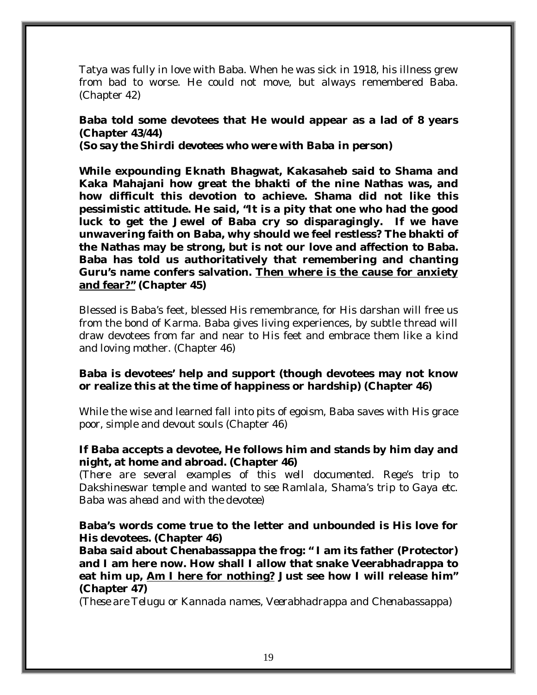Tatya was fully in love with Baba. When he was sick in 1918, his illness grew from bad to worse. He could not move, but always remembered Baba. (Chapter 42)

**Baba told some devotees that He would appear as a lad of 8 years (Chapter 43/44)**  *(So say the Shirdi devotees who were with Baba in person)* 

**While expounding Eknath Bhagwat, Kakasaheb said to Shama and Kaka Mahajani how great the bhakti of the nine Nathas was, and how difficult this devotion to achieve. Shama did not like this pessimistic attitude. He said, "It is a pity that one who had the good luck to get the Jewel of Baba cry so disparagingly. If we have unwavering faith on Baba, why should we feel restless? The bhakti of the Nathas may be strong, but is not our love and affection to Baba. Baba has told us authoritatively that remembering and chanting Guru's name confers salvation. Then where is the cause for anxiety and fear?" (Chapter 45)** 

Blessed is Baba's feet, blessed His remembrance, for His darshan will free us from the bond of Karma. Baba gives living experiences, by subtle thread will draw devotees from far and near to His feet and embrace them like a kind and loving mother. (Chapter 46)

#### **Baba is devotees' help and support (though devotees may not know or realize this at the time of happiness or hardship) (Chapter 46)**

While the wise and learned fall into pits of egoism, Baba saves with His grace poor, simple and devout souls (Chapter 46)

#### **If Baba accepts a devotee, He follows him and stands by him day and night, at home and abroad. (Chapter 46)**

*(There are several examples of this well documented. Rege's trip to Dakshineswar temple and wanted to see Ramlala, Shama's trip to Gaya etc. Baba was ahead and with the devotee)* 

#### **Baba's words come true to the letter and unbounded is His love for His devotees. (Chapter 46)**

**Baba said about Chenabassappa the frog: " I am its father (Protector) and I am here now. How shall I allow that snake Veerabhadrappa to eat him up, Am I here for nothing? Just see how I will release him" (Chapter 47)** 

*(These are Telugu or Kannada names, Veerabhadrappa and Chenabassappa)*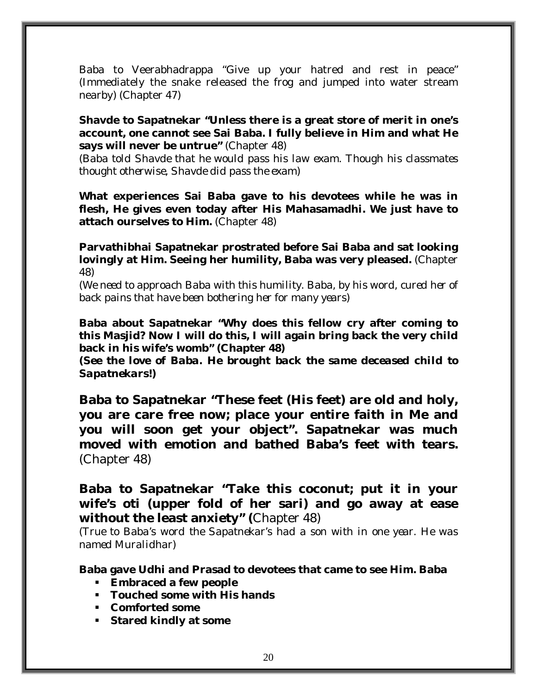Baba to Veerabhadrappa "Give up your hatred and rest in peace" (Immediately the snake released the frog and jumped into water stream nearby) (Chapter 47)

#### **Shavde to Sapatnekar "Unless there is a great store of merit in one's account, one cannot see Sai Baba. I fully believe in Him and what He says will never be untrue"** (Chapter 48)

(*Baba told Shavde that he would pass his law exam. Though his classmates thought otherwise, Shavde did pass the exam)* 

**What experiences Sai Baba gave to his devotees while he was in flesh, He gives even today after His Mahasamadhi. We just have to attach ourselves to Him.** (Chapter 48)

**Parvathibhai Sapatnekar prostrated before Sai Baba and sat looking lovingly at Him. Seeing her humility, Baba was very pleased.** (Chapter 48)

*(We need to approach Baba with this humility. Baba, by his word, cured her of back pains that have been bothering her for many years)* 

**Baba about Sapatnekar "Why does this fellow cry after coming to this Masjid? Now I will do this, I will again bring back the very child back in his wife's womb" (Chapter 48)** 

*(See the love of Baba. He brought back the same deceased child to Sapatnekars!)* 

**Baba to Sapatnekar "These feet (His feet) are old and holy, you are care free now; place your entire faith in Me and you will soon get your object". Sapatnekar was much moved with emotion and bathed Baba's feet with tears.**  (Chapter 48)

### **Baba to Sapatnekar "Take this coconut; put it in your wife's oti (upper fold of her sari) and go away at ease without the least anxiety" (**Chapter 48)

*(True to Baba's word the Sapatnekar's had a son with in one year. He was named Muralidhar)* 

#### **Baba gave Udhi and Prasad to devotees that came to see Him. Baba**

- **Embraced a few people**
- **Touched some with His hands**
- **Comforted some**
- **Stared kindly at some**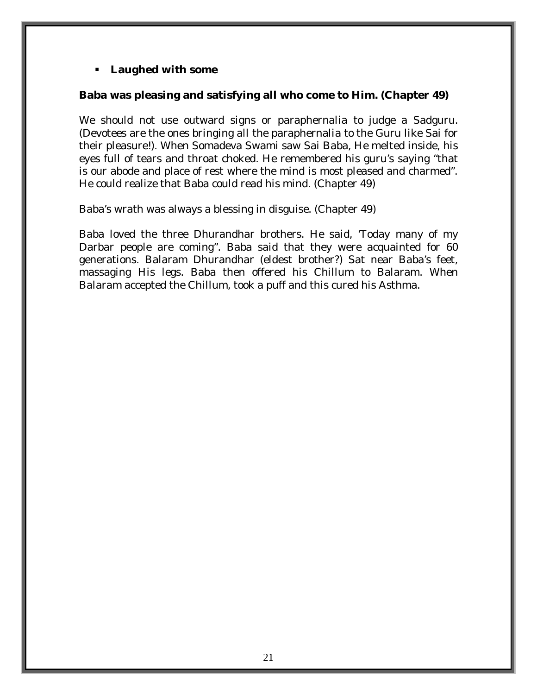#### **Laughed with some**

#### **Baba was pleasing and satisfying all who come to Him. (Chapter 49)**

We should not use outward signs or paraphernalia to judge a Sadguru. (Devotees are the ones bringing all the paraphernalia to the Guru like Sai for their pleasure!). When Somadeva Swami saw Sai Baba, He melted inside, his eyes full of tears and throat choked. He remembered his guru's saying "that is our abode and place of rest where the mind is most pleased and charmed". He could realize that Baba could read his mind. (Chapter 49)

Baba's wrath was always a blessing in disguise. (Chapter 49)

Baba loved the three Dhurandhar brothers. He said, 'Today many of my Darbar people are coming". Baba said that they were acquainted for 60 generations. Balaram Dhurandhar (eldest brother?) Sat near Baba's feet, massaging His legs. Baba then offered his Chillum to Balaram. When Balaram accepted the Chillum, took a puff and this cured his Asthma.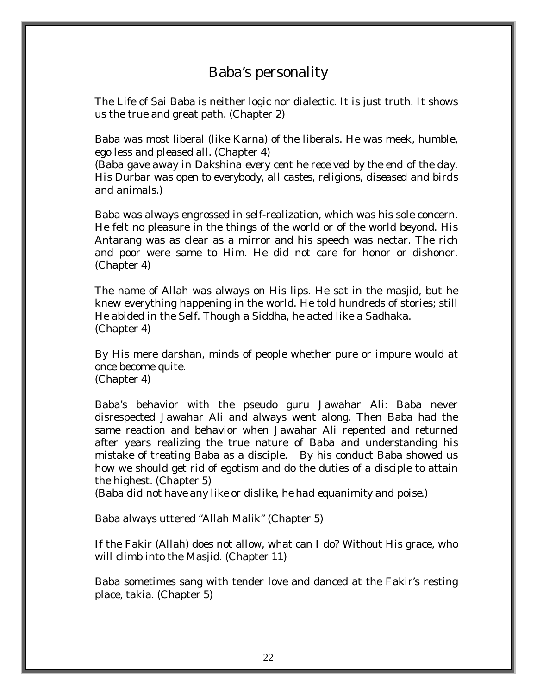# Baba's personality

The Life of Sai Baba is neither logic nor dialectic. It is just truth. It shows us the true and great path. (Chapter 2)

Baba was most liberal (like Karna) of the liberals. He was meek, humble, ego less and pleased all. (Chapter 4)

*(Baba gave away in Dakshina every cent he received by the end of the day. His Durbar was open to everybody, all castes, religions, diseased and birds and animals.)* 

Baba was always engrossed in self-realization, which was his sole concern. He felt no pleasure in the things of the world or of the world beyond. His Antarang was as clear as a mirror and his speech was nectar. The rich and poor were same to Him. He did not care for honor or dishonor. (Chapter 4)

The name of Allah was always on His lips. He sat in the masjid, but he knew everything happening in the world. He told hundreds of stories; still He abided in the Self. Though a Siddha, he acted like a Sadhaka. (Chapter 4)

By His mere darshan, minds of people whether pure or impure would at once become quite. (Chapter 4)

Baba's behavior with the pseudo guru Jawahar Ali: Baba never disrespected Jawahar Ali and always went along. Then Baba had the same reaction and behavior when Jawahar Ali repented and returned after years realizing the true nature of Baba and understanding his mistake of treating Baba as a disciple. By his conduct Baba showed us how we should get rid of egotism and do the duties of a disciple to attain the highest. (Chapter 5)

*(Baba did not have any like or dislike, he had equanimity and poise.)* 

Baba always uttered "Allah Malik" (Chapter 5)

If the Fakir (Allah) does not allow, what can I do? Without His grace, who will climb into the Masjid. (Chapter 11)

Baba sometimes sang with tender love and danced at the Fakir's resting place, takia. (Chapter 5)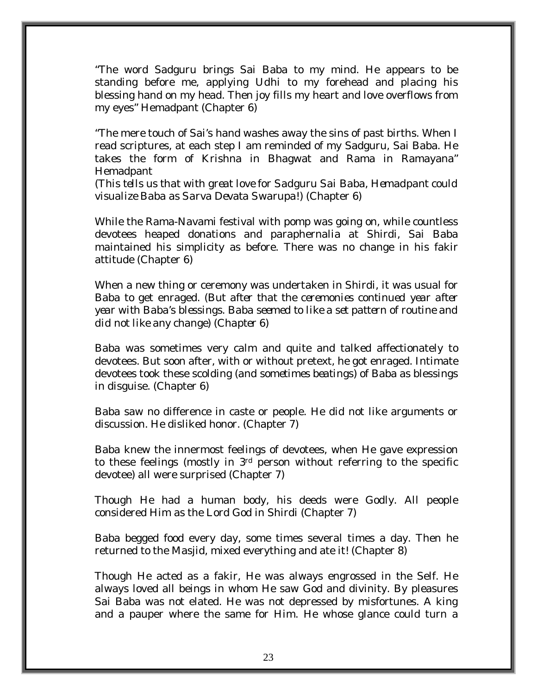"The word Sadguru brings Sai Baba to my mind. He appears to be standing before me, applying *Udhi* to my forehead and placing his blessing hand on my head. Then joy fills my heart and love overflows from my eyes" Hemadpant (Chapter 6)

"The mere touch of Sai's hand washes away the sins of past births. When I read scriptures, at each step I am reminded of my Sadguru, Sai Baba. He takes the form of Krishna in Bhagwat and Rama in Ramayana" Hemadpant

*(This tells us that with great love for Sadguru Sai Baba, Hemadpant could visualize Baba as Sarva Devata Swarupa!)* (Chapter 6)

While the Rama-Navami festival with pomp was going on, while countless devotees heaped donations and paraphernalia at Shirdi, Sai Baba maintained his simplicity as before. There was no change in his fakir attitude (Chapter 6)

When a new thing or ceremony was undertaken in Shirdi, it was usual for Baba to get enraged. *(But after that the ceremonies continued year after year with Baba's blessings. Baba seemed to like a set pattern of routine and did not like any change) (Chapter 6)* 

Baba was sometimes very calm and quite and talked affectionately to devotees. But soon after, with or without pretext, he got enraged. Intimate devotees took these scolding *(and sometimes beatings)* of Baba as blessings in disguise. (Chapter 6)

Baba saw no difference in caste or people. He did not like arguments or discussion. He disliked honor. (Chapter 7)

Baba knew the innermost feelings of devotees, when He gave expression to these feelings (mostly in 3rd person without referring to the specific devotee) all were surprised (Chapter 7)

Though He had a human body, his deeds were Godly. All people considered Him as the Lord God in Shirdi (Chapter 7)

Baba begged food every day, some times several times a day. Then he returned to the Masjid, mixed everything and ate it! (Chapter 8)

Though He acted as a fakir, He was always engrossed in the Self. He always loved all beings in whom He saw God and divinity. By pleasures Sai Baba was not elated. He was not depressed by misfortunes. A king and a pauper where the same for Him. He whose glance could turn a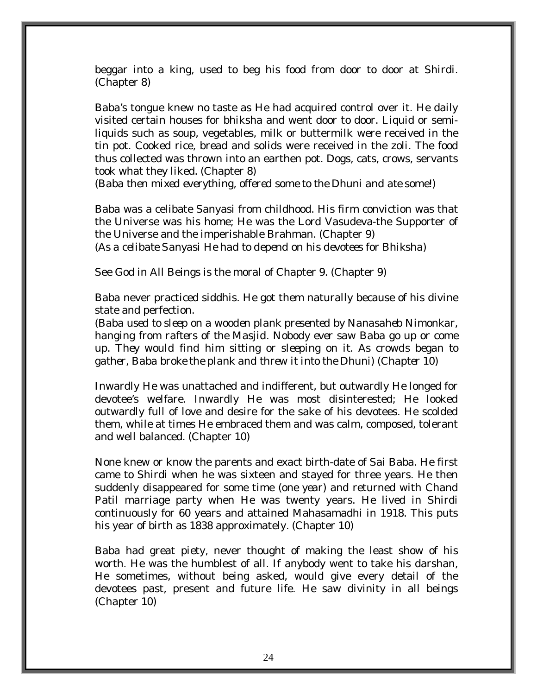beggar into a king, used to beg his food from door to door at Shirdi. (Chapter 8)

Baba's tongue knew no taste as He had acquired control over it. He daily visited certain houses for bhiksha and went door to door. Liquid or semiliquids such as soup, vegetables, milk or buttermilk were received in the tin pot. Cooked rice, bread and solids were received in the zoli. The food thus collected was thrown into an earthen pot. Dogs, cats, crows, servants took what they liked. (Chapter 8)

*(Baba then mixed everything, offered some to the Dhuni and ate some!)* 

Baba was a celibate Sanyasi from childhood. His firm conviction was that the Universe was his home; He was the Lord Vasudeva-the Supporter of the Universe and the imperishable Brahman. (Chapter 9) *(As a celibate Sanyasi He had to depend on his devotees for Bhiksha)* 

See God in All Beings is the moral of Chapter 9. (Chapter 9)

Baba never practiced siddhis. He got them naturally because of his divine state and perfection.

*(Baba used to sleep on a wooden plank presented by Nanasaheb Nimonkar, hanging from rafters of the Masjid. Nobody ever saw Baba go up or come up. They would find him sitting or sleeping on it. As crowds began to gather, Baba broke the plank and threw it into the Dhuni*) *(Chapter 10)* 

Inwardly He was unattached and indifferent, but outwardly He longed for devotee's welfare. Inwardly He was most disinterested; He looked outwardly full of love and desire for the sake of his devotees. He scolded them, while at times He embraced them and was calm, composed, tolerant and well balanced. (Chapter 10)

None knew or know the parents and exact birth-date of Sai Baba. He first came to Shirdi when he was sixteen and stayed for three years. He then suddenly disappeared for some time (*one year*) and returned with Chand Patil marriage party when He was twenty years. He lived in Shirdi continuously for 60 years and attained Mahasamadhi in 1918. This puts his year of birth as 1838 approximately. (Chapter 10)

Baba had great piety, never thought of making the least show of his worth. He was the humblest of all. If anybody went to take his darshan, He sometimes, without being asked, would give every detail of the devotees past, present and future life. He saw divinity in all beings (Chapter 10)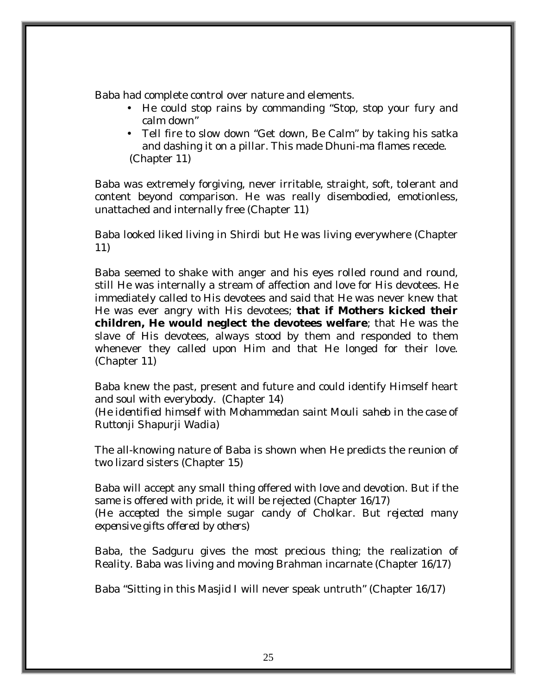Baba had complete control over nature and elements.

- He could stop rains by commanding "Stop, stop your fury and calm down"
- Tell fire to slow down "Get down, Be Calm" by taking his satka and dashing it on a pillar. This made Dhuni-ma flames recede. (Chapter 11)

Baba was extremely forgiving, never irritable, straight, soft, tolerant and content beyond comparison. He was really disembodied, emotionless, unattached and internally free (Chapter 11)

Baba looked liked living in Shirdi but He was living everywhere (Chapter 11)

Baba seemed to shake with anger and his eyes rolled round and round, still He was internally a stream of affection and love for His devotees. He immediately called to His devotees and said that He was never knew that He was ever angry with His devotees; **that if Mothers kicked their children, He would neglect the devotees welfare**; that He was the slave of His devotees, always stood by them and responded to them whenever they called upon Him and that He longed for their love. (Chapter 11)

Baba knew the past, present and future and could identify Himself heart and soul with everybody. (Chapter 14)

*(He identified himself with Mohammedan saint Mouli saheb in the case of Ruttonji Shapurji Wadia)* 

The all-knowing nature of Baba is shown when He predicts the reunion of two lizard sisters (Chapter 15)

Baba will accept any small thing offered with love and devotion. But if the same is offered with pride, it will be rejected (Chapter 16/17) *(He accepted the simple sugar candy of Cholkar. But rejected many expensive gifts offered by others)* 

Baba, the Sadguru gives the most precious thing; the realization of Reality. Baba was living and moving Brahman incarnate (Chapter 16/17)

Baba "Sitting in this Masjid I will never speak untruth" (Chapter 16/17)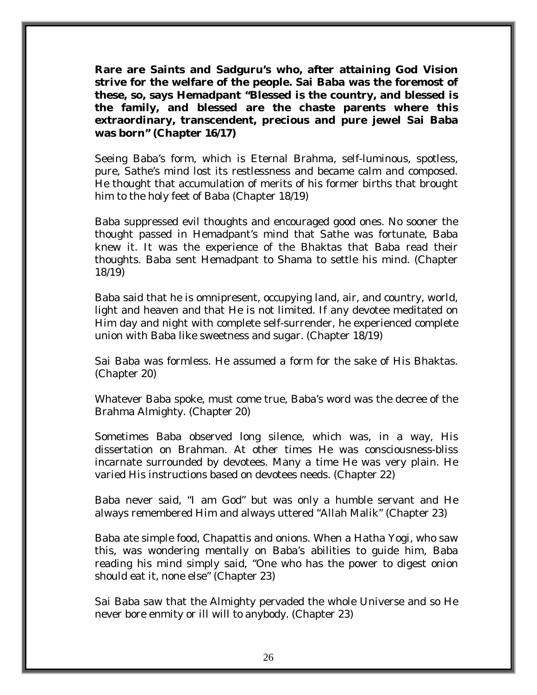**Rare are Saints and Sadguru's who, after attaining God Vision strive for the welfare of the people. Sai Baba was the foremost of these, so, says Hemadpant "Blessed is the country, and blessed is the family, and blessed are the chaste parents where this extraordinary, transcendent, precious and pure jewel Sai Baba was born" (Chapter 16/17)** 

Seeing Baba's form, which is Eternal Brahma, self-luminous, spotless, pure, Sathe's mind lost its restlessness and became calm and composed. He thought that accumulation of merits of his former births that brought him to the holy feet of Baba (Chapter 18/19)

Baba suppressed evil thoughts and encouraged good ones. No sooner the thought passed in Hemadpant's mind that Sathe was fortunate, Baba knew it. It was the experience of the Bhaktas that Baba read their thoughts. Baba sent Hemadpant to Shama to settle his mind. (Chapter 18/19)

Baba said that he is omnipresent, occupying land, air, and country, world, light and heaven and that He is not limited. If any devotee meditated on Him day and night with complete self-surrender, he experienced complete union with Baba like sweetness and sugar. (Chapter 18/19)

Sai Baba was formless. He assumed a form for the sake of His Bhaktas. (Chapter 20)

Whatever Baba spoke, must come true, Baba's word was the decree of the Brahma Almighty. (Chapter 20)

Sometimes Baba observed long silence, which was, in a way, His dissertation on Brahman. At other times He was consciousness-bliss incarnate surrounded by devotees. Many a time He was very plain. He varied His instructions based on devotees needs. (Chapter 22)

Baba never said, "I am God" but was only a humble servant and He always remembered Him and always uttered "Allah Malik" (Chapter 23)

Baba ate simple food, Chapattis and onions. When a Hatha Yogi, who saw this, was wondering mentally on Baba's abilities to guide him, Baba reading his mind simply said, "One who has the power to digest onion should eat it, none else" (Chapter 23)

Sai Baba saw that the Almighty pervaded the whole Universe and so He never bore enmity or ill will to anybody. (Chapter 23)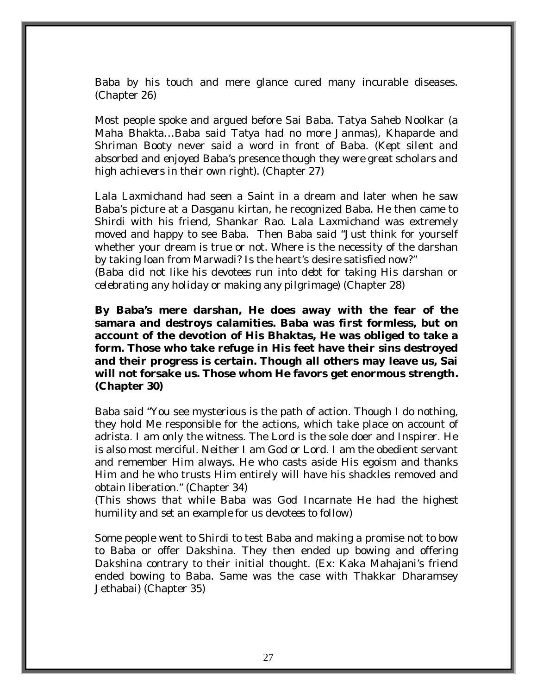Baba by his touch and mere glance cured many incurable diseases. (Chapter 26)

Most people spoke and argued before Sai Baba. Tatya Saheb Noolkar (*a Maha Bhakta…Baba said Tatya had no more Janmas),* Khaparde and Shriman Booty never said a word in front of Baba. (*Kept silent and absorbed and enjoyed Baba's presence though they were great scholars and high achievers in their own right).* (Chapter 27)

Lala Laxmichand had seen a Saint in a dream and later when he saw Baba's picture at a Dasganu kirtan, he recognized Baba. He then came to Shirdi with his friend, Shankar Rao. Lala Laxmichand was extremely moved and happy to see Baba. Then Baba said "Just think for yourself whether your dream is true or not. Where is the necessity of the darshan by taking loan from Marwadi? Is the heart's desire satisfied now?"

*(Baba did not like his devotees run into debt for taking His darshan or celebrating any holiday or making any pilgrimage)* (Chapter 28)

**By Baba's mere darshan, He does away with the fear of the samara and destroys calamities. Baba was first formless, but on account of the devotion of His Bhaktas, He was obliged to take a form. Those who take refuge in His feet have their sins destroyed and their progress is certain. Though all others may leave us, Sai will not forsake us. Those whom He favors get enormous strength. (Chapter 30)** 

Baba said "You see mysterious is the path of action. Though I do nothing, they hold Me responsible for the actions, which take place on account of adrista. I am only the witness. The Lord is the sole doer and Inspirer. He is also most merciful. Neither I am God or Lord. I am the obedient servant and remember Him always. He who casts aside His egoism and thanks Him and he who trusts Him entirely will have his shackles removed and obtain liberation." (Chapter 34)

*(This shows that while Baba was God Incarnate He had the highest humility and set an example for us devotees to follow)* 

Some people went to Shirdi to test Baba and making a promise not to bow to Baba or offer Dakshina. They then ended up bowing and offering Dakshina contrary to their initial thought. (Ex: Kaka Mahajani's friend ended bowing to Baba. Same was the case with Thakkar Dharamsey Jethabai) (Chapter 35)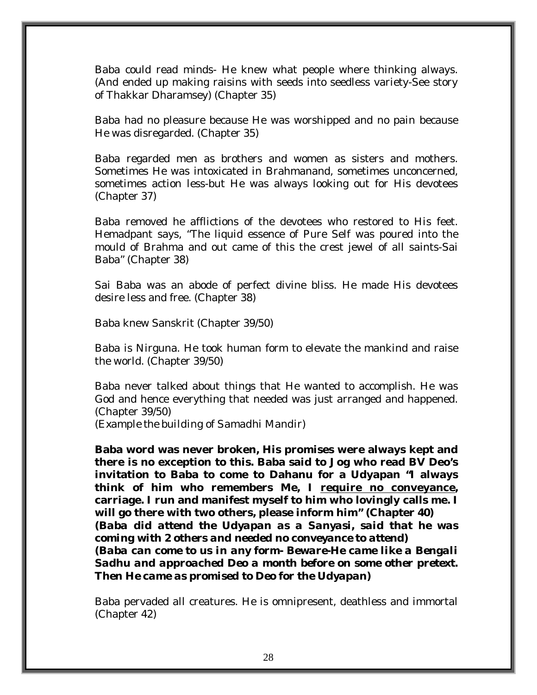Baba could read minds- He knew what people where thinking always. (And ended up making raisins with seeds into seedless variety-See story of Thakkar Dharamsey) (Chapter 35)

Baba had no pleasure because He was worshipped and no pain because He was disregarded. (Chapter 35)

Baba regarded men as brothers and women as sisters and mothers. Sometimes He was intoxicated in Brahmanand, sometimes unconcerned, sometimes action less-but He was always looking out for His devotees (Chapter 37)

Baba removed he afflictions of the devotees who restored to His feet. Hemadpant says, "The liquid essence of Pure Self was poured into the mould of Brahma and out came of this the crest jewel of all saints-Sai Baba" (Chapter 38)

Sai Baba was an abode of perfect divine bliss. He made His devotees desire less and free. (Chapter 38)

Baba knew Sanskrit (Chapter 39/50)

Baba is Nirguna. He took human form to elevate the mankind and raise the world. (Chapter 39/50)

Baba never talked about things that He wanted to accomplish. He was God and hence everything that needed was just arranged and happened. (Chapter 39/50)

*(Example the building of Samadhi Mandir)* 

**Baba word was never broken, His promises were always kept and there is no exception to this. Baba said to Jog who read BV Deo's invitation to Baba to come to Dahanu for a Udyapan "I always think of him who remembers Me, I require no conveyance, carriage. I run and manifest myself to him who lovingly calls me. I will go there with two others, please inform him" (Chapter 40)**  *(Baba did attend the Udyapan as a Sanyasi, said that he was coming with 2 others and needed no conveyance to attend) (Baba can come to us in any form- Beware-He came like a Bengali Sadhu and approached Deo a month before on some other pretext. Then He came as promised to Deo for the Udyapan)* 

Baba pervaded all creatures. He is omnipresent, deathless and immortal (Chapter 42)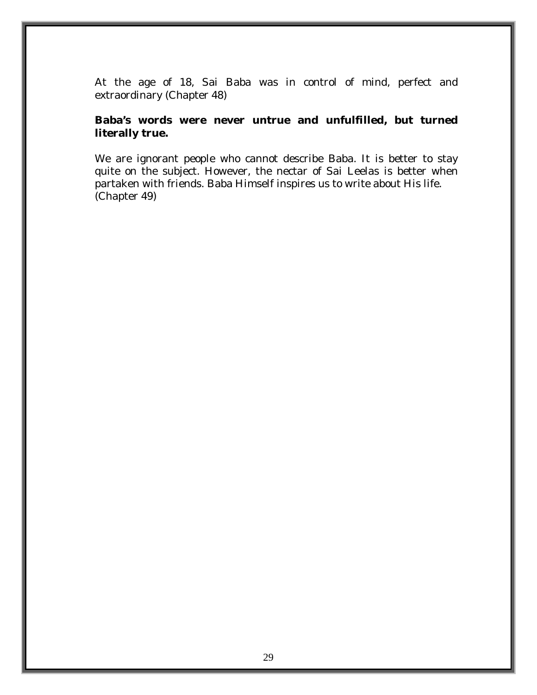At the age of 18, Sai Baba was in control of mind, perfect and extraordinary (Chapter 48)

#### **Baba's words were never untrue and unfulfilled, but turned literally true.**

We are ignorant people who cannot describe Baba. It is better to stay quite on the subject. However, the nectar of Sai Leelas is better when partaken with friends. Baba Himself inspires us to write about His life. (Chapter 49)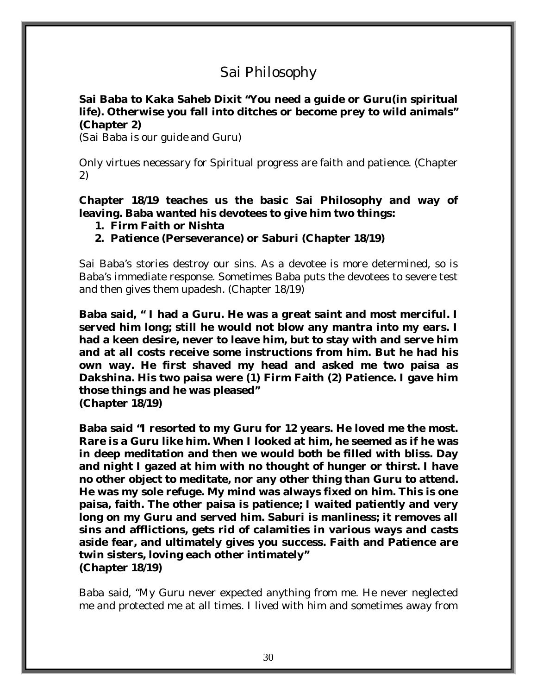# Sai Philosophy

#### **Sai Baba to Kaka Saheb Dixit "You need a guide or Guru(in spiritual life). Otherwise you fall into ditches or become prey to wild animals" (Chapter 2)**

*(Sai Baba is our guide and Guru)* 

Only virtues necessary for Spiritual progress are faith and patience. (Chapter 2)

**Chapter 18/19 teaches us the basic Sai Philosophy and way of leaving. Baba wanted his devotees to give him two things:** 

- **1. Firm Faith or Nishta**
- **2. Patience (Perseverance) or Saburi (Chapter 18/19)**

Sai Baba's stories destroy our sins. As a devotee is more determined, so is Baba's immediate response. Sometimes Baba puts the devotees to severe test and then gives them upadesh. (Chapter 18/19)

**Baba said, " I had a Guru. He was a great saint and most merciful. I served him long; still he would not blow any mantra into my ears. I had a keen desire, never to leave him, but to stay with and serve him and at all costs receive some instructions from him. But he had his own way. He first shaved my head and asked me two paisa as Dakshina. His two paisa were (1) Firm Faith (2) Patience. I gave him those things and he was pleased" (Chapter 18/19)** 

**Baba said "I resorted to my Guru for 12 years. He loved me the most. Rare is a Guru like him. When I looked at him, he seemed as if he was in deep meditation and then we would both be filled with bliss. Day and night I gazed at him with no thought of hunger or thirst. I have no other object to meditate, nor any other thing than Guru to attend. He was my sole refuge. My mind was always fixed on him. This is one paisa, faith. The other paisa is patience; I waited patiently and very long on my Guru and served him. Saburi is manliness; it removes all sins and afflictions, gets rid of calamities in various ways and casts aside fear, and ultimately gives you success. Faith and Patience are twin sisters, loving each other intimately" (Chapter 18/19)**

Baba said, "My Guru never expected anything from me. He never neglected me and protected me at all times. I lived with him and sometimes away from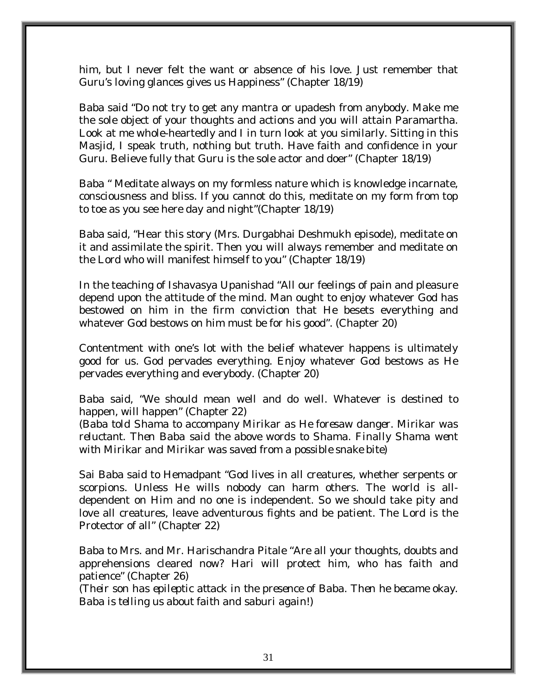him, but I never felt the want or absence of his love. Just remember that Guru's loving glances gives us Happiness" (Chapter 18/19)

Baba said "Do not try to get any mantra or upadesh from anybody. Make me the sole object of your thoughts and actions and you will attain Paramartha. Look at me whole-heartedly and I in turn look at you similarly. Sitting in this Masjid, I speak truth, nothing but truth. Have faith and confidence in your Guru. Believe fully that Guru is the sole actor and doer" (Chapter 18/19)

Baba " Meditate always on my formless nature which is knowledge incarnate, consciousness and bliss. If you cannot do this, meditate on my form from top to toe as you see here day and night"(Chapter 18/19)

Baba said, "Hear this story (Mrs. Durgabhai Deshmukh episode), meditate on it and assimilate the spirit. Then you will always remember and meditate on the Lord who will manifest himself to you" (Chapter 18/19)

In the teaching of Ishavasya Upanishad "All our feelings of pain and pleasure depend upon the attitude of the mind. Man ought to enjoy whatever God has bestowed on him in the firm conviction that He besets everything and whatever God bestows on him must be for his good". (Chapter 20)

Contentment with one's lot with the belief whatever happens is ultimately good for us. God pervades everything. Enjoy whatever God bestows as He pervades everything and everybody. (Chapter 20)

Baba said, "We should mean well and do well. Whatever is destined to happen, will happen" (Chapter 22)

*(Baba told Shama to accompany Mirikar as He foresaw danger. Mirikar was reluctant. Then Baba said the above words to Shama. Finally Shama went with Mirikar and Mirikar was saved from a possible snake bite)* 

Sai Baba said to Hemadpant "God lives in all creatures, whether serpents or scorpions. Unless He wills nobody can harm others. The world is alldependent on Him and no one is independent. So we should take pity and love all creatures, leave adventurous fights and be patient. The Lord is the Protector of all" (Chapter 22)

Baba to Mrs. and Mr. Harischandra Pitale "Are all your thoughts, doubts and apprehensions cleared now? Hari will protect him, who has faith and patience" (Chapter 26)

*(Their son has epileptic attack in the presence of Baba. Then he became okay. Baba is telling us about faith and saburi again!)*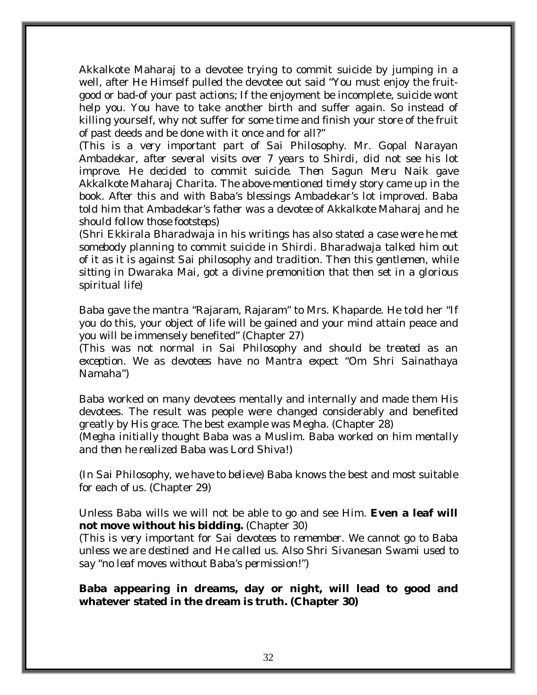Akkalkote Maharaj to a devotee trying to commit suicide by jumping in a well, after He Himself pulled the devotee out said "You must enjoy the fruitgood or bad-of your past actions; If the enjoyment be incomplete, suicide wont help you. You have to take another birth and suffer again. So instead of killing yourself, why not suffer for some time and finish your store of the fruit of past deeds and be done with it once and for all?"

*(This is a very important part of Sai Philosophy. Mr. Gopal Narayan Ambadekar, after several visits over 7 years to Shirdi, did not see his lot improve. He decided to commit suicide. Then Sagun Meru Naik gave Akkalkote Maharaj Charita. The above-mentioned timely story came up in the book. After this and with Baba's blessings Ambadekar's lot improved. Baba told him that Ambadekar's father was a devotee of Akkalkote Maharaj and he should follow those footsteps)* 

*(Shri Ekkirala Bharadwaja in his writings has also stated a case were he met somebody planning to commit suicide in Shirdi. Bharadwaja talked him out of it as it is against Sai philosophy and tradition. Then this gentlemen, while sitting in Dwaraka Mai, got a divine premonition that then set in a glorious spiritual life)* 

Baba gave the mantra "Rajaram, Rajaram" to Mrs. Khaparde. He told her "If you do this, your object of life will be gained and your mind attain peace and you will be immensely benefited" (Chapter 27)

*(This was not normal in Sai Philosophy and should be treated as an exception. We as devotees have no Mantra expect "Om Shri Sainathaya Namaha")* 

Baba worked on many devotees mentally and internally and made them His devotees. The result was people were changed considerably and benefited greatly by His grace. The best example was Megha. (Chapter 28) *(Megha initially thought Baba was a Muslim. Baba worked on him mentally* 

*and then he realized Baba was Lord Shiva!)* 

*(In Sai Philosophy, we have to believe)* Baba knows the best and most suitable for each of us. (Chapter 29)

Unless Baba wills we will not be able to go and see Him. **Even a leaf will not move without his bidding.** (Chapter 30)

(*This is very important for Sai devotees to remember. We cannot go to Baba unless we are destined and He called us. Also Shri Sivanesan Swami used to say "no leaf moves without Baba's permission!")* 

**Baba appearing in dreams, day or night, will lead to good and whatever stated in the dream is truth. (Chapter 30)**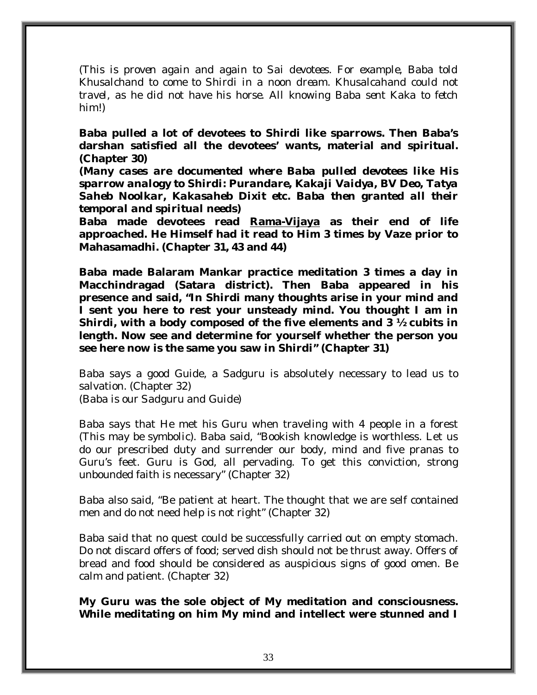*(This is proven again and again to Sai devotees. For example, Baba told Khusalchand to come to Shirdi in a noon dream. Khusalcahand could not travel, as he did not have his horse. All knowing Baba sent Kaka to fetch him!)* 

**Baba pulled a lot of devotees to Shirdi like sparrows. Then Baba's darshan satisfied all the devotees' wants, material and spiritual. (Chapter 30)** 

*(Many cases are documented where Baba pulled devotees like His sparrow analogy to Shirdi: Purandare, Kakaji Vaidya, BV Deo, Tatya Saheb Noolkar, Kakasaheb Dixit etc. Baba then granted all their temporal and spiritual needs)* 

**Baba made devotees read Rama-Vijaya as their end of life approached. He Himself had it read to Him 3 times by Vaze prior to Mahasamadhi. (Chapter 31, 43 and 44)** 

**Baba made Balaram Mankar practice meditation 3 times a day in Macchindragad (Satara district). Then Baba appeared in his presence and said, "In Shirdi many thoughts arise in your mind and I sent you here to rest your unsteady mind. You thought I am in Shirdi, with a body composed of the five elements and 3 ½ cubits in length. Now see and determine for yourself whether the person you see here now is the same you saw in Shirdi" (Chapter 31)** 

Baba says a good Guide, a Sadguru is absolutely necessary to lead us to salvation. (Chapter 32) *(Baba is our Sadguru and Guide)* 

Baba says that He met his Guru when traveling with 4 people in a forest (*This may be symbolic).* Baba said, "Bookish knowledge is worthless. Let us do our prescribed duty and surrender our body, mind and five pranas to Guru's feet. Guru is God, all pervading. To get this conviction, strong unbounded faith is necessary" (Chapter 32)

Baba also said, "Be patient at heart. The thought that we are self contained men and do not need help is not right" (Chapter 32)

Baba said that no quest could be successfully carried out on empty stomach. Do not discard offers of food; served dish should not be thrust away. Offers of bread and food should be considered as auspicious signs of good omen. Be calm and patient. (Chapter 32)

**My Guru was the sole object of My meditation and consciousness. While meditating on him My mind and intellect were stunned and I**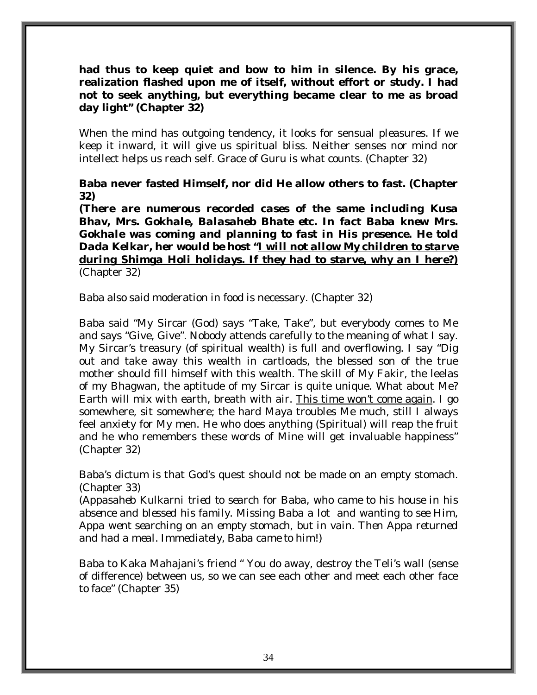#### **had thus to keep quiet and bow to him in silence. By his grace, realization flashed upon me of itself, without effort or study. I had not to seek anything, but everything became clear to me as broad day light" (Chapter 32)**

When the mind has outgoing tendency, it looks for sensual pleasures. If we keep it inward, it will give us spiritual bliss. Neither senses nor mind nor intellect helps us reach self. Grace of Guru is what counts. (Chapter 32)

#### **Baba never fasted Himself, nor did He allow others to fast. (Chapter 32)**

*(There are numerous recorded cases of the same including Kusa Bhav, Mrs. Gokhale, Balasaheb Bhate etc. In fact Baba knew Mrs. Gokhale was coming and planning to fast in His presence. He told Dada Kelkar, her would be host "I will not allow My children to starve during Shimga Holi holidays. If they had to starve, why an I here?)* (Chapter 32)

Baba also said moderation in food is necessary. (Chapter 32)

Baba said "My Sircar (God) says "Take, Take", but everybody comes to Me and says "Give, Give". Nobody attends carefully to the meaning of what I say. My Sircar's treasury (of spiritual wealth) is full and overflowing. I say "Dig out and take away this wealth in cartloads, the blessed son of the true mother should fill himself with this wealth. The skill of My Fakir, the leelas of my Bhagwan, the aptitude of my Sircar is quite unique. What about Me? Earth will mix with earth, breath with air. This time won't come again. I go somewhere, sit somewhere; the hard Maya troubles Me much, still I always feel anxiety for My men. He who does anything (Spiritual) will reap the fruit and he who remembers these words of Mine will get invaluable happiness" (Chapter 32)

Baba's dictum is that God's quest should not be made on an empty stomach. (Chapter 33)

*(Appasaheb Kulkarni tried to search for Baba, who came to his house in his absence and blessed his family. Missing Baba a lot and wanting to see Him, Appa went searching on an empty stomach, but in vain. Then Appa returned and had a meal. Immediately, Baba came to him!)* 

Baba to Kaka Mahajani's friend " You do away, destroy the Teli's wall (sense of difference) between us, so we can see each other and meet each other face to face" (Chapter 35)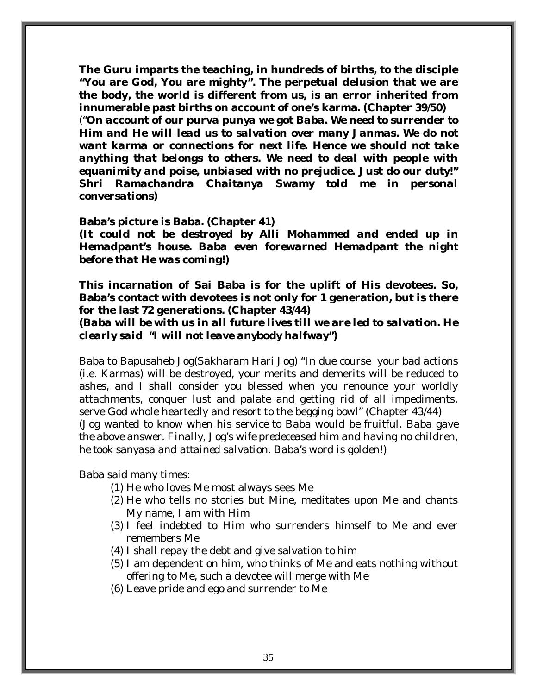**The Guru imparts the teaching, in hundreds of births, to the disciple "You are God, You are mighty". The perpetual delusion that we are the body, the world is different from us, is an error inherited from innumerable past births on account of one's karma. (Chapter 39/50)** 

("*On account of our purva punya we got Baba. We need to surrender to Him and He will lead us to salvation over many Janmas. We do not want karma or connections for next life. Hence we should not take anything that belongs to others. We need to deal with people with equanimity and poise, unbiased with no prejudice. Just do our duty!" Shri Ramachandra Chaitanya Swamy told me in personal conversations)* 

#### **Baba's picture is Baba. (Chapter 41)**

*(It could not be destroyed by Alli Mohammed and ended up in Hemadpant's house. Baba even forewarned Hemadpant the night before that He was coming!)* 

**This incarnation of Sai Baba is for the uplift of His devotees. So, Baba's contact with devotees is not only for 1 generation, but is there for the last 72 generations. (Chapter 43/44)** 

**(***Baba will be with us in all future lives till we are led to salvation. He clearly said "I will not leave anybody halfway")* 

Baba to Bapusaheb Jog(Sakharam Hari Jog) "In due course your bad actions (i.e. Karmas) will be destroyed, your merits and demerits will be reduced to ashes, and I shall consider you blessed when you renounce your worldly attachments, conquer lust and palate and getting rid of all impediments, serve God whole heartedly and resort to the begging bowl" (Chapter 43/44) *(Jog wanted to know when his service to Baba would be fruitful. Baba gave the above answer. Finally, Jog's wife predeceased him and having no children, he took sanyasa and attained salvation. Baba's word is golden!)* 

Baba said many times:

- (1) He who loves Me most always sees Me
- (2) He who tells no stories but Mine, meditates upon Me and chants My name, I am with Him
- (3) I feel indebted to Him who surrenders himself to Me and ever remembers Me
- (4) I shall repay the debt and give salvation to him
- (5) I am dependent on him, who thinks of Me and eats nothing without offering to Me, such a devotee will merge with Me
- (6) Leave pride and ego and surrender to Me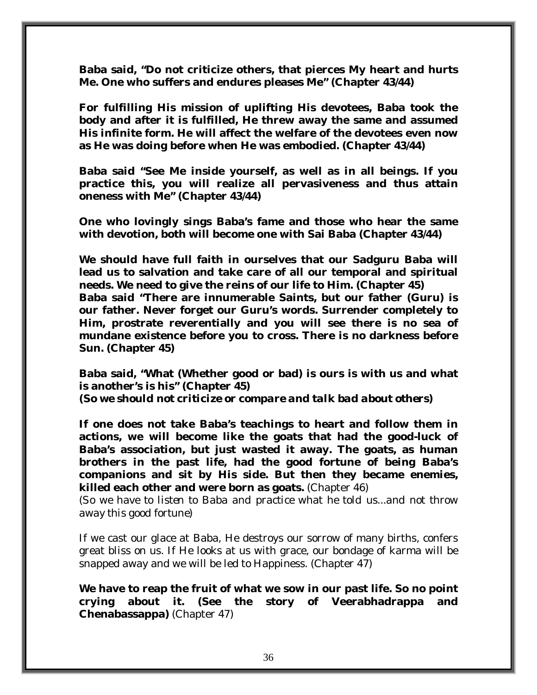**Baba said, "Do not criticize others, that pierces My heart and hurts Me. One who suffers and endures pleases Me" (Chapter 43/44)** 

**For fulfilling His mission of uplifting His devotees, Baba took the body and after it is fulfilled, He threw away the same and assumed His infinite form. He will affect the welfare of the devotees even now as He was doing before when He was embodied. (Chapter 43/44)** 

**Baba said "See Me inside yourself, as well as in all beings. If you practice this, you will realize all pervasiveness and thus attain oneness with Me" (Chapter 43/44)** 

**One who lovingly sings Baba's fame and those who hear the same with devotion, both will become one with Sai Baba (Chapter 43/44)** 

**We should have full faith in ourselves that our Sadguru Baba will lead us to salvation and take care of all our temporal and spiritual needs. We need to give the reins of our life to Him. (Chapter 45)** 

**Baba said "There are innumerable Saints, but our father (Guru) is our father. Never forget our Guru's words. Surrender completely to Him, prostrate reverentially and you will see there is no sea of mundane existence before you to cross. There is no darkness before Sun. (Chapter 45)** 

**Baba said, "What (Whether good or bad) is ours is with us and what is another's is his" (Chapter 45)**  *(So we should not criticize or compare and talk bad about others)* 

**If one does not take Baba's teachings to heart and follow them in actions, we will become like the goats that had the good-luck of Baba's association, but just wasted it away. The goats, as human brothers in the past life, had the good fortune of being Baba's companions and sit by His side. But then they became enemies, killed each other and were born as goats.** (Chapter 46)

*(So we have to listen to Baba and practice what he told us...and not throw away this good fortune)* 

If we cast our glace at Baba, He destroys our sorrow of many births, confers great bliss on us. If He looks at us with grace, our bondage of karma will be snapped away and we will be led to Happiness. (Chapter 47)

**We have to reap the fruit of what we sow in our past life. So no point crying about it. (See the story of Veerabhadrappa and Chenabassappa)** (Chapter 47)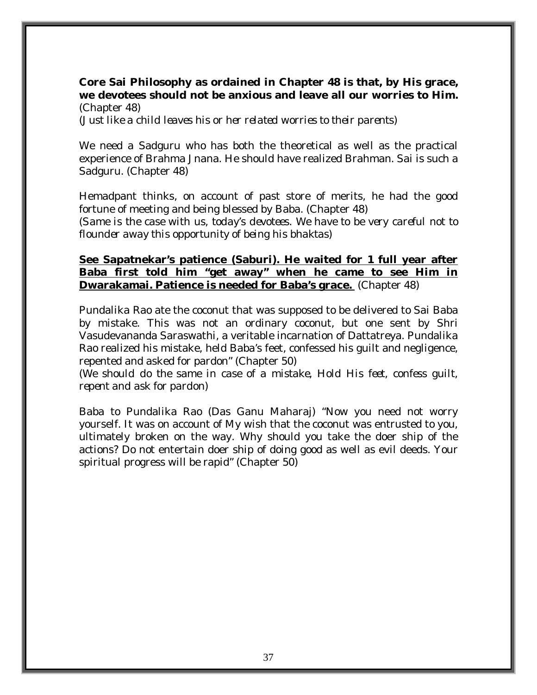### **Core Sai Philosophy as ordained in Chapter 48 is that, by His grace, we devotees should not be anxious and leave all our worries to Him.**  (Chapter 48)

*(Just like a child leaves his or her related worries to their parents)* 

We need a Sadguru who has both the theoretical as well as the practical experience of Brahma Jnana. He should have realized Brahman. Sai is such a Sadguru. (Chapter 48)

Hemadpant thinks, on account of past store of merits, he had the good fortune of meeting and being blessed by Baba. (Chapter 48)

*(Same is the case with us, today's devotees. We have to be very careful not to flounder away this opportunity of being his bhaktas)* 

### **See Sapatnekar's patience (Saburi). He waited for 1 full year after Baba first told him "get away" when he came to see Him in Dwarakamai. Patience is needed for Baba's grace.** (Chapter 48)

Pundalika Rao ate the coconut that was supposed to be delivered to Sai Baba by mistake. This was not an ordinary coconut, but one sent by Shri Vasudevananda Saraswathi, a veritable incarnation of Dattatreya. Pundalika Rao realized his mistake, held Baba's feet, confessed his guilt and negligence, repented and asked for pardon" (Chapter 50)

(*We should do the same in case of a mistake, Hold His feet, confess guilt, repent and ask for pardon)* 

Baba to Pundalika Rao (Das Ganu Maharaj) "Now you need not worry yourself. It was on account of My wish that the coconut was entrusted to you, ultimately broken on the way. Why should you take the doer ship of the actions? Do not entertain doer ship of doing good as well as evil deeds. Your spiritual progress will be rapid" (Chapter 50)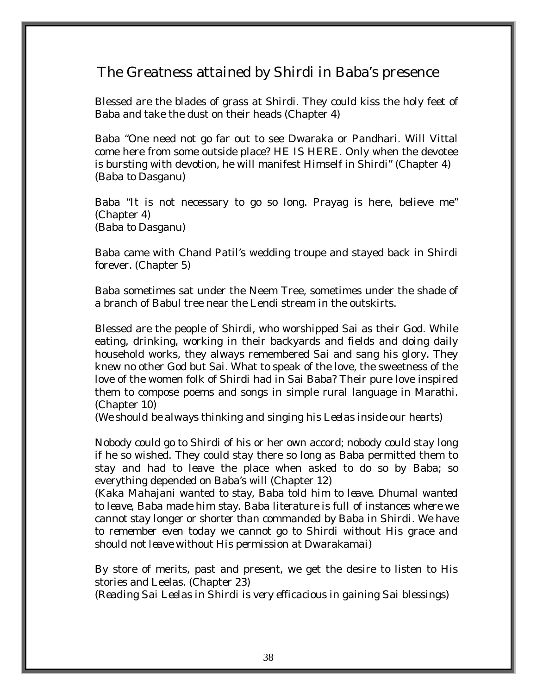## The Greatness attained by Shirdi in Baba's presence

Blessed are the blades of grass at Shirdi. They could kiss the holy feet of Baba and take the dust on their heads (Chapter 4)

Baba "One need not go far out to see Dwaraka or Pandhari. Will Vittal come here from some outside place? HE IS HERE. Only when the devotee is bursting with devotion, he will manifest Himself in Shirdi" (Chapter 4) *(Baba to Dasganu)* 

Baba "It is not necessary to go so long. Prayag is here, believe me" (Chapter 4) *(Baba to Dasganu)* 

Baba came with Chand Patil's wedding troupe and stayed back in Shirdi forever. (Chapter 5)

Baba sometimes sat under the Neem Tree, sometimes under the shade of a branch of Babul tree near the Lendi stream in the outskirts.

Blessed are the people of Shirdi, who worshipped Sai as their God. While eating, drinking, working in their backyards and fields and doing daily household works, they always remembered Sai and sang his glory. They knew no other God but Sai. What to speak of the love, the sweetness of the love of the women folk of Shirdi had in Sai Baba? Their pure love inspired them to compose poems and songs in simple rural language in Marathi. (Chapter 10)

*(We should be always thinking and singing his Leelas inside our hearts)* 

Nobody could go to Shirdi of his or her own accord; nobody could stay long if he so wished. They could stay there so long as Baba permitted them to stay and had to leave the place when asked to do so by Baba; so everything depended on Baba's will (Chapter 12)

(*Kaka Mahajani wanted to stay, Baba told him to leave. Dhumal wanted to leave, Baba made him stay. Baba literature is full of instances where we cannot stay longer or shorter than commanded by Baba in Shirdi. We have to remember even today we cannot go to Shirdi without His grace and should not leave without His permission at Dwarakamai)* 

By store of merits, past and present, we get the desire to listen to His stories and Leelas. (Chapter 23)

*(Reading Sai Leelas in Shirdi is very efficacious in gaining Sai blessings)*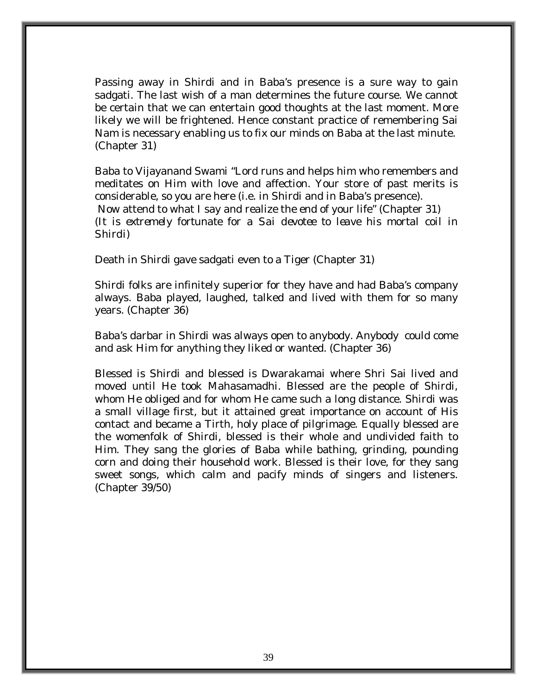Passing away in Shirdi and in Baba's presence is a sure way to gain sadgati. The last wish of a man determines the future course. We cannot be certain that we can entertain good thoughts at the last moment. More likely we will be frightened. Hence constant practice of remembering Sai Nam is necessary enabling us to fix our minds on Baba at the last minute. (Chapter 31)

Baba to Vijayanand Swami "Lord runs and helps him who remembers and meditates on Him with love and affection. Your store of past merits is considerable, so you are here (i.e. in Shirdi and in Baba's presence). Now attend to what I say and realize the end of your life" (Chapter 31) *(It is extremely fortunate for a Sai devotee to leave his mortal coil in Shirdi)* 

Death in Shirdi gave sadgati even to a Tiger (Chapter 31)

Shirdi folks are infinitely superior for they have and had Baba's company always. Baba played, laughed, talked and lived with them for so many years. (Chapter 36)

Baba's darbar in Shirdi was always open to anybody. Anybody could come and ask Him for anything they liked or wanted. (Chapter 36)

Blessed is Shirdi and blessed is Dwarakamai where Shri Sai lived and moved until He took Mahasamadhi. Blessed are the people of Shirdi, whom He obliged and for whom He came such a long distance. Shirdi was a small village first, but it attained great importance on account of His contact and became a Tirth, holy place of pilgrimage. Equally blessed are the womenfolk of Shirdi, blessed is their whole and undivided faith to Him. They sang the glories of Baba while bathing, grinding, pounding corn and doing their household work. Blessed is their love, for they sang sweet songs, which calm and pacify minds of singers and listeners. (Chapter 39/50)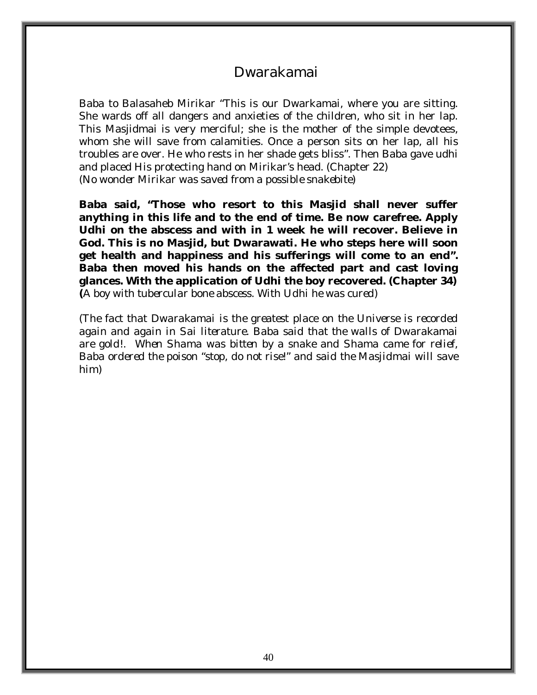### Dwarakamai

Baba to Balasaheb Mirikar "This is our Dwarkamai, where you are sitting. She wards off all dangers and anxieties of the children, who sit in her lap. This Masjidmai is very merciful; she is the mother of the simple devotees, whom she will save from calamities. Once a person sits on her lap, all his troubles are over. He who rests in her shade gets bliss". Then Baba gave udhi and placed His protecting hand on Mirikar's head. (Chapter 22) *(No wonder Mirikar was saved from a possible snakebite)* 

**Baba said, "Those who resort to this Masjid shall never suffer anything in this life and to the end of time. Be now carefree. Apply Udhi on the abscess and with in 1 week he will recover. Believe in God. This is no Masjid, but Dwarawati. He who steps here will soon get health and happiness and his sufferings will come to an end". Baba then moved his hands on the affected part and cast loving glances. With the application of Udhi the boy recovered. (Chapter 34) (***A boy with tubercular bone abscess. With Udhi he was cured)* 

*(The fact that Dwarakamai is the greatest place on the Universe is recorded again and again in Sai literature. Baba said that the walls of Dwarakamai are gold!. When Shama was bitten by a snake and Shama came for relief, Baba ordered the poison "stop, do not rise!" and said the Masjidmai will save him)*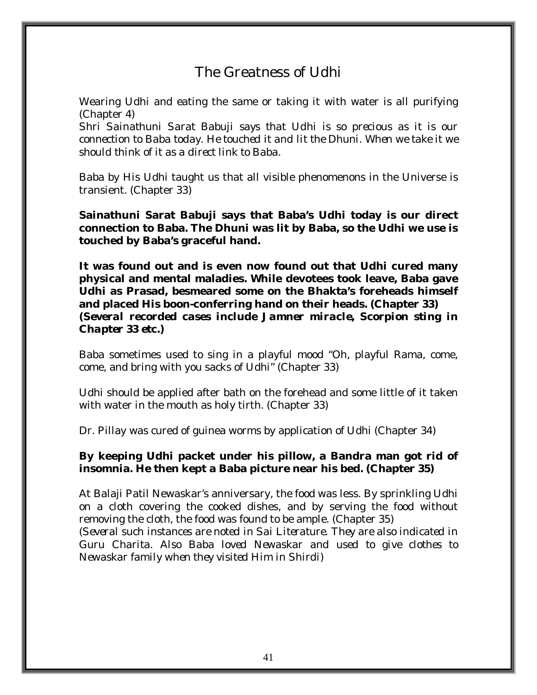# The Greatness of Udhi

Wearing Udhi and eating the same or taking it with water is all purifying (Chapter 4)

*Shri Sainathuni Sarat Babuji says that Udhi is so precious as it is our connection to Baba today. He touched it and lit the Dhuni. When we take it we should think of it as a direct link to Baba.* 

Baba by His Udhi taught us that all visible phenomenons in the Universe is transient. (Chapter 33)

**Sainathuni Sarat Babuji says that Baba's Udhi today is our direct connection to Baba. The Dhuni was lit by Baba, so the Udhi we use is touched by Baba's graceful hand.** 

**It was found out and is even now found out that Udhi cured many physical and mental maladies. While devotees took leave, Baba gave Udhi as Prasad, besmeared some on the Bhakta's foreheads himself and placed His boon-conferring hand on their heads. (Chapter 33)**  *(Several recorded cases include Jamner miracle, Scorpion sting in Chapter 33 etc.)* 

Baba sometimes used to sing in a playful mood "Oh, playful Rama, come, come, and bring with you sacks of Udhi" (Chapter 33)

Udhi should be applied after bath on the forehead and some little of it taken with water in the mouth as holy tirth. (Chapter 33)

Dr. Pillay was cured of guinea worms by application of Udhi (Chapter 34)

#### **By keeping Udhi packet under his pillow, a Bandra man got rid of insomnia. He then kept a Baba picture near his bed. (Chapter 35)**

At Balaji Patil Newaskar's anniversary, the food was less. By sprinkling Udhi on a cloth covering the cooked dishes, and by serving the food without removing the cloth, the food was found to be ample. (Chapter 35)

*(Several such instances are noted in Sai Literature. They are also indicated in Guru Charita. Also Baba loved Newaskar and used to give clothes to Newaskar family when they visited Him in Shirdi)*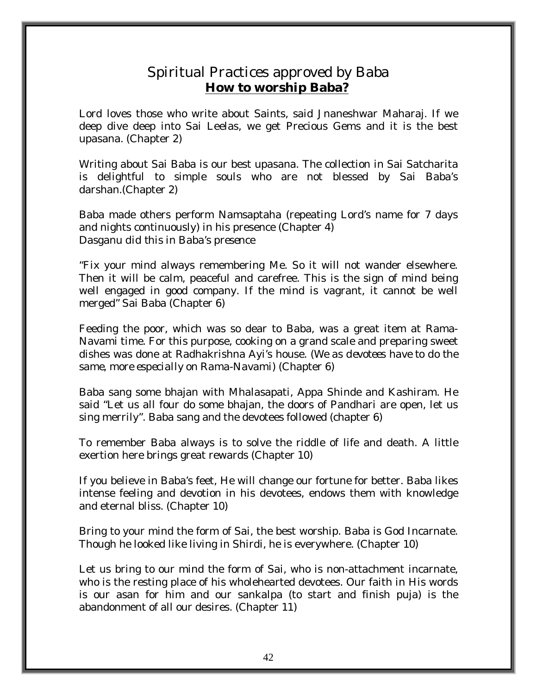### Spiritual Practices approved by Baba  **How to worship Baba?**

Lord loves those who write about Saints, said Jnaneshwar Maharaj. If we deep dive deep into Sai Leelas, we get Precious Gems and it is the best upasana. (Chapter 2)

Writing about Sai Baba is our best upasana. The collection in Sai Satcharita is delightful to simple souls who are not blessed by Sai Baba's darshan.(Chapter 2)

Baba made others perform Namsaptaha (repeating Lord's name for 7 days and nights continuously) in his presence (Chapter 4) *Dasganu did this in Baba's presence* 

"Fix your mind always remembering Me. So it will not wander elsewhere. Then it will be calm, peaceful and carefree. This is the sign of mind being well engaged in good company. If the mind is vagrant, it cannot be well merged" Sai Baba (Chapter 6)

Feeding the poor, which was so dear to Baba, was a great item at Rama-Navami time. For this purpose, cooking on a grand scale and preparing sweet dishes was done at Radhakrishna Ayi's house. *(We as devotees have to do the same, more especially on Rama-Navami)* (Chapter 6)

Baba sang some bhajan with Mhalasapati, Appa Shinde and Kashiram. He said "Let us all four do some bhajan, the doors of Pandhari are open, let us sing merrily". Baba sang and the devotees followed (chapter 6)

To remember Baba always is to solve the riddle of life and death. A little exertion here brings great rewards (Chapter 10)

If you believe in Baba's feet, He will change our fortune for better. Baba likes intense feeling and devotion in his devotees, endows them with knowledge and eternal bliss. (Chapter 10)

Bring to your mind the form of Sai, the best worship. Baba is God Incarnate. Though he looked like living in Shirdi, he is everywhere. (Chapter 10)

Let us bring to our mind the form of Sai, who is non-attachment incarnate, who is the resting place of his wholehearted devotees. Our faith in His words is our asan for him and our sankalpa (to start and finish puja) is the abandonment of all our desires. (Chapter 11)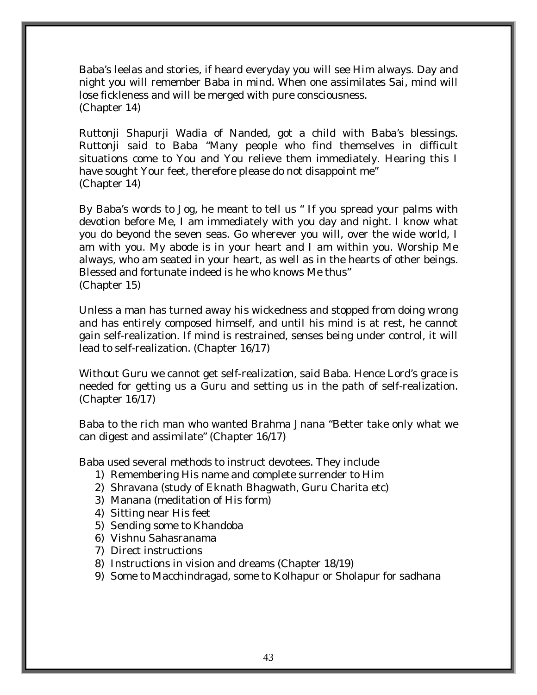Baba's leelas and stories, if heard everyday you will see Him always. Day and night you will remember Baba in mind. When one assimilates Sai, mind will lose fickleness and will be merged with pure consciousness. (Chapter 14)

Ruttonji Shapurji Wadia of Nanded, got a child with Baba's blessings. Ruttonji said to Baba "Many people who find themselves in difficult situations come to You and You relieve them immediately. Hearing this I have sought Your feet, therefore please do not disappoint me" (Chapter 14)

By Baba's words to Jog, he meant to tell us " If you spread your palms with devotion before Me, I am immediately with you day and night. I know what you do beyond the seven seas. Go wherever you will, over the wide world, I am with you. My abode is in your heart and I am within you. Worship Me always, who am seated in your heart, as well as in the hearts of other beings. Blessed and fortunate indeed is he who knows Me thus" (Chapter 15)

Unless a man has turned away his wickedness and stopped from doing wrong and has entirely composed himself, and until his mind is at rest, he cannot gain self-realization. If mind is restrained, senses being under control, it will lead to self-realization. (Chapter 16/17)

Without Guru we cannot get self-realization, said Baba. Hence Lord's grace is needed for getting us a Guru and setting us in the path of self-realization. (Chapter 16/17)

Baba to the rich man who wanted Brahma Jnana "Better take only what we can digest and assimilate" (Chapter 16/17)

Baba used several methods to instruct devotees. They include

- 1) Remembering His name and complete surrender to Him
- 2) Shravana (study of Eknath Bhagwath, Guru Charita etc)
- 3) Manana (meditation of His form)
- 4) Sitting near His feet
- 5) Sending some to Khandoba
- 6) Vishnu Sahasranama
- 7) Direct instructions
- 8) Instructions in vision and dreams (Chapter 18/19)
- 9) Some to Macchindragad, some to Kolhapur or Sholapur for sadhana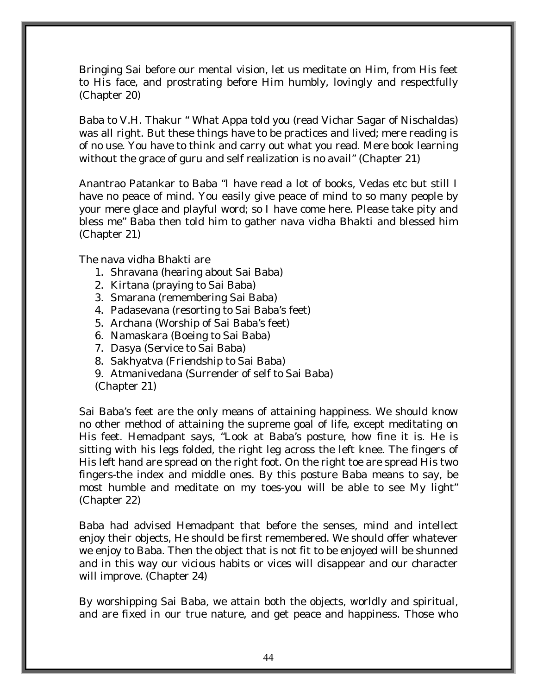Bringing Sai before our mental vision, let us meditate on Him, from His feet to His face, and prostrating before Him humbly, lovingly and respectfully (Chapter 20)

Baba to V.H. Thakur " What Appa told you (read Vichar Sagar of Nischaldas) was all right. But these things have to be practices and lived; mere reading is of no use. You have to think and carry out what you read. Mere book learning without the grace of guru and self realization is no avail" (Chapter 21)

Anantrao Patankar to Baba "I have read a lot of books, Vedas etc but still I have no peace of mind. You easily give peace of mind to so many people by your mere glace and playful word; so I have come here. Please take pity and bless me" Baba then told him to gather nava vidha Bhakti and blessed him (Chapter 21)

The nava vidha Bhakti are

- 1. Shravana (hearing about Sai Baba)
- 2. Kirtana (praying to Sai Baba)
- 3. Smarana (remembering Sai Baba)
- 4. Padasevana (resorting to Sai Baba's feet)
- 5. Archana (Worship of Sai Baba's feet)
- 6. Namaskara (Boeing to Sai Baba)
- 7. Dasya (Service to Sai Baba)
- 8. Sakhyatva (Friendship to Sai Baba)
- 9. Atmanivedana (Surrender of self to Sai Baba)
- (Chapter 21)

Sai Baba's feet are the only means of attaining happiness. We should know no other method of attaining the supreme goal of life, except meditating on His feet. Hemadpant says, "Look at Baba's posture, how fine it is. He is sitting with his legs folded, the right leg across the left knee. The fingers of His left hand are spread on the right foot. On the right toe are spread His two fingers-the index and middle ones. By this posture Baba means to say, be most humble and meditate on my toes-you will be able to see My light" (Chapter 22)

Baba had advised Hemadpant that before the senses, mind and intellect enjoy their objects, He should be first remembered. We should offer whatever we enjoy to Baba. Then the object that is not fit to be enjoyed will be shunned and in this way our vicious habits or vices will disappear and our character will improve. (Chapter 24)

By worshipping Sai Baba, we attain both the objects, worldly and spiritual, and are fixed in our true nature, and get peace and happiness. Those who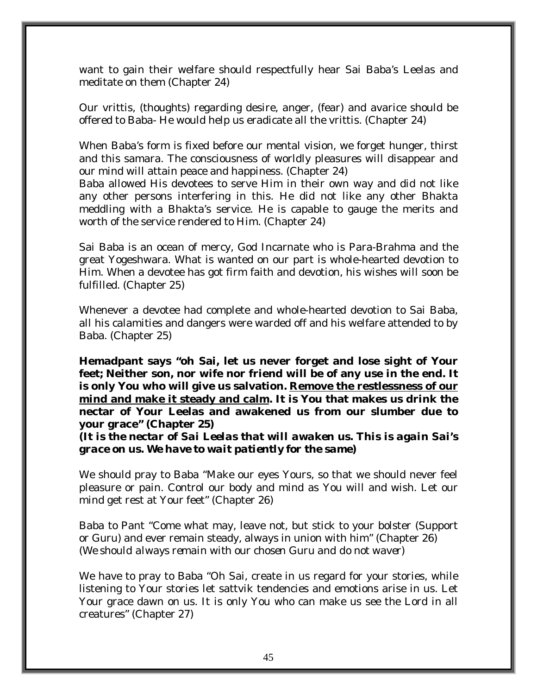want to gain their welfare should respectfully hear Sai Baba's Leelas and meditate on them (Chapter 24)

Our vrittis, (thoughts) regarding desire, anger, (fear) and avarice should be offered to Baba- He would help us eradicate all the vrittis. (Chapter 24)

When Baba's form is fixed before our mental vision, we forget hunger, thirst and this samara. The consciousness of worldly pleasures will disappear and our mind will attain peace and happiness. (Chapter 24)

Baba allowed His devotees to serve Him in their own way and did not like any other persons interfering in this. He did not like any other Bhakta meddling with a Bhakta's service. He is capable to gauge the merits and worth of the service rendered to Him. (Chapter 24)

Sai Baba is an ocean of mercy, God Incarnate who is Para-Brahma and the great Yogeshwara. What is wanted on our part is whole-hearted devotion to Him. When a devotee has got firm faith and devotion, his wishes will soon be fulfilled. (Chapter 25)

Whenever a devotee had complete and whole-hearted devotion to Sai Baba, all his calamities and dangers were warded off and his welfare attended to by Baba. (Chapter 25)

**Hemadpant says "oh Sai, let us never forget and lose sight of Your feet; Neither son, nor wife nor friend will be of any use in the end. It is only You who will give us salvation. Remove the restlessness of our mind and make it steady and calm. It is You that makes us drink the nectar of Your Leelas and awakened us from our slumber due to your grace" (Chapter 25)** 

*(It is the nectar of Sai Leelas that will awaken us. This is again Sai's grace on us. We have to wait patiently for the same)* 

We should pray to Baba "Make our eyes Yours, so that we should never feel pleasure or pain. Control our body and mind as You will and wish. Let our mind get rest at Your feet" (Chapter 26)

Baba to Pant "Come what may, leave not, but stick to your bolster (Support or Guru) and ever remain steady, always in union with him" (Chapter 26) *(We should always remain with our chosen Guru and do not waver)* 

We have to pray to Baba "Oh Sai, create in us regard for your stories, while listening to Your stories let sattvik tendencies and emotions arise in us. Let Your grace dawn on us. It is only You who can make us see the Lord in all creatures" (Chapter 27)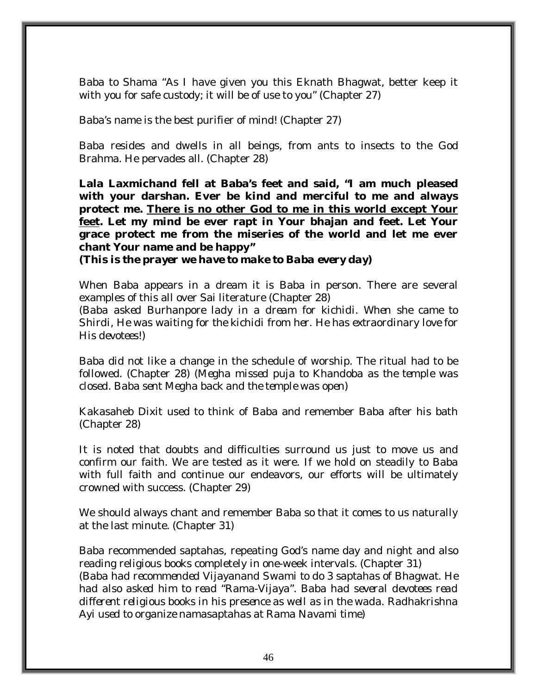Baba to Shama "As I have given you this Eknath Bhagwat, better keep it with you for safe custody; it will be of use to you" (Chapter 27)

Baba's name is the best purifier of mind! (Chapter 27)

Baba resides and dwells in all beings, from ants to insects to the God Brahma. He pervades all. (Chapter 28)

**Lala Laxmichand fell at Baba's feet and said, "I am much pleased with your darshan. Ever be kind and merciful to me and always protect me. There is no other God to me in this world except Your feet. Let my mind be ever rapt in Your bhajan and feet. Let Your grace protect me from the miseries of the world and let me ever chant Your name and be happy"** 

*(This is the prayer we have to make to Baba every day)* 

When Baba appears in a dream it is Baba in person. There are several examples of this all over Sai literature (Chapter 28)

*(Baba asked Burhanpore lady in a dream for kichidi. When she came to Shirdi, He was waiting for the kichidi from her. He has extraordinary love for His devotees!)* 

Baba did not like a change in the schedule of worship. The ritual had to be followed. (Chapter 28) (*Megha missed puja to Khandoba as the temple was closed. Baba sent Megha back and the temple was open)* 

Kakasaheb Dixit used to think of Baba and remember Baba after his bath (Chapter 28)

It is noted that doubts and difficulties surround us just to move us and confirm our faith. We are tested as it were. If we hold on steadily to Baba with full faith and continue our endeavors, our efforts will be ultimately crowned with success. (Chapter 29)

We should always chant and remember Baba so that it comes to us naturally at the last minute. (Chapter 31)

Baba recommended saptahas, repeating God's name day and night and also reading religious books completely in one-week intervals. (Chapter 31) *(Baba had recommended Vijayanand Swami to do 3 saptahas of Bhagwat. He had also asked him to read "Rama-Vijaya". Baba had several devotees read different religious books in his presence as well as in the wada. Radhakrishna Ayi used to organize namasaptahas at Rama Navami time)*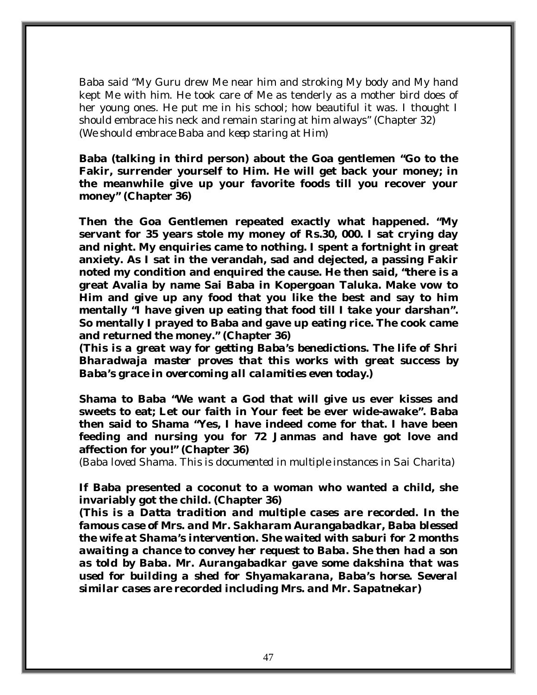Baba said "My Guru drew Me near him and stroking My body and My hand kept Me with him. He took care of Me as tenderly as a mother bird does of her young ones. He put me in his school; how beautiful it was. I thought I should embrace his neck and remain staring at him always" (Chapter 32) *(We should embrace Baba and keep staring at Him)* 

**Baba (talking in third person) about the Goa gentlemen "Go to the Fakir, surrender yourself to Him. He will get back your money; in the meanwhile give up your favorite foods till you recover your money" (Chapter 36)** 

**Then the Goa Gentlemen repeated exactly what happened. "My servant for 35 years stole my money of Rs.30, 000. I sat crying day and night. My enquiries came to nothing. I spent a fortnight in great anxiety. As I sat in the verandah, sad and dejected, a passing Fakir noted my condition and enquired the cause. He then said, "there is a great Avalia by name Sai Baba in Kopergoan Taluka. Make vow to Him and give up any food that you like the best and say to him mentally "I have given up eating that food till I take your darshan". So mentally I prayed to Baba and gave up eating rice. The cook came and returned the money." (Chapter 36)** 

*(This is a great way for getting Baba's benedictions. The life of Shri Bharadwaja master proves that this works with great success by Baba's grace in overcoming all calamities even today.)* 

**Shama to Baba "We want a God that will give us ever kisses and sweets to eat; Let our faith in Your feet be ever wide-awake". Baba then said to Shama "Yes, I have indeed come for that. I have been feeding and nursing you for 72 Janmas and have got love and affection for you!" (Chapter 36)** 

*(Baba loved Shama. This is documented in multiple instances in Sai Charita)* 

**If Baba presented a coconut to a woman who wanted a child, she invariably got the child. (Chapter 36)** 

*(This is a Datta tradition and multiple cases are recorded. In the famous case of Mrs. and Mr. Sakharam Aurangabadkar, Baba blessed the wife at Shama's intervention. She waited with saburi for 2 months awaiting a chance to convey her request to Baba. She then had a son as told by Baba. Mr. Aurangabadkar gave some dakshina that was used for building a shed for Shyamakarana, Baba's horse. Several similar cases are recorded including Mrs. and Mr. Sapatnekar)*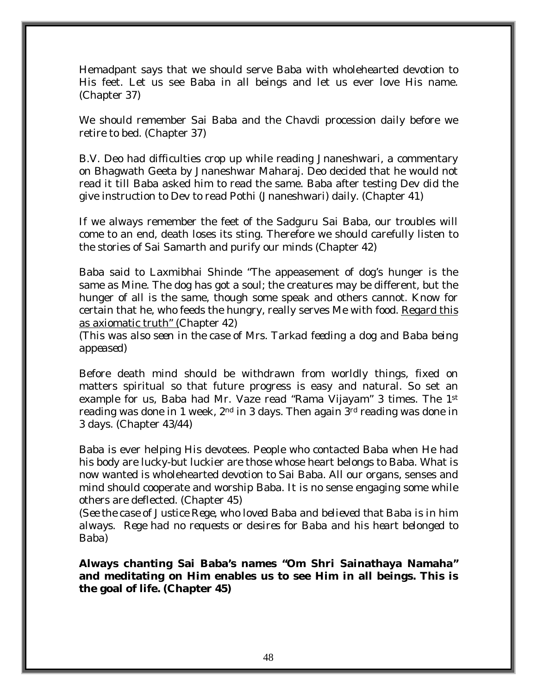Hemadpant says that we should serve Baba with wholehearted devotion to His feet. Let us see Baba in all beings and let us ever love His name. (Chapter 37)

We should remember Sai Baba and the Chavdi procession daily before we retire to bed. (Chapter 37)

B.V. Deo had difficulties crop up while reading Jnaneshwari, a commentary on Bhagwath Geeta by Jnaneshwar Maharaj. Deo decided that he would not read it till Baba asked him to read the same. Baba after testing Dev did the give instruction to Dev to read Pothi (Jnaneshwari) daily. (Chapter 41)

If we always remember the feet of the Sadguru Sai Baba, our troubles will come to an end, death loses its sting. Therefore we should carefully listen to the stories of Sai Samarth and purify our minds (Chapter 42)

Baba said to Laxmibhai Shinde "The appeasement of dog's hunger is the same as Mine. The dog has got a soul; the creatures may be different, but the hunger of all is the same, though some speak and others cannot. Know for certain that he, who feeds the hungry, really serves Me with food. Regard this as axiomatic truth" (Chapter 42)

*(This was also seen in the case of Mrs. Tarkad feeding a dog and Baba being appeased)* 

Before death mind should be withdrawn from worldly things, fixed on matters spiritual so that future progress is easy and natural. So set an example for us, Baba had Mr. Vaze read "Rama Vijayam" 3 times. The 1st reading was done in 1 week,  $2<sup>nd</sup>$  in 3 days. Then again  $3<sup>rd</sup>$  reading was done in 3 days. (Chapter 43/44)

Baba is ever helping His devotees. People who contacted Baba when He had his body are lucky-but luckier are those whose heart belongs to Baba. What is now wanted is wholehearted devotion to Sai Baba. All our organs, senses and mind should cooperate and worship Baba. It is no sense engaging some while others are deflected. (Chapter 45)

*(See the case of Justice Rege, who loved Baba and believed that Baba is in him always. Rege had no requests or desires for Baba and his heart belonged to Baba)* 

**Always chanting Sai Baba's names "Om Shri Sainathaya Namaha" and meditating on Him enables us to see Him in all beings. This is the goal of life. (Chapter 45)**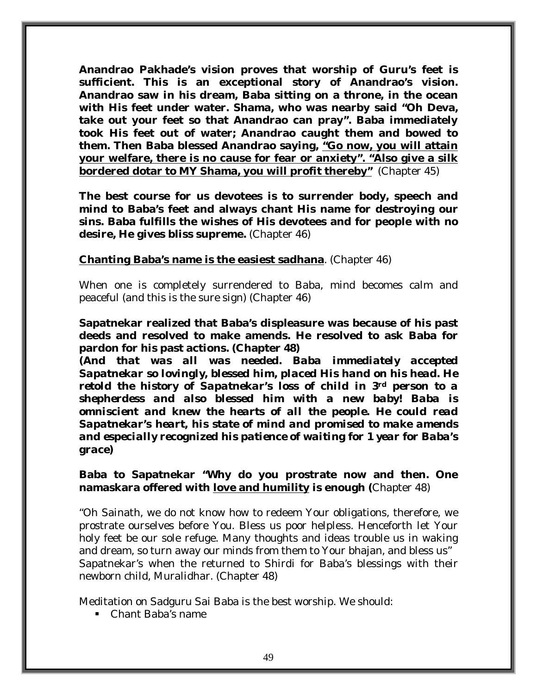**Anandrao Pakhade's vision proves that worship of Guru's feet is sufficient. This is an exceptional story of Anandrao's vision. Anandrao saw in his dream, Baba sitting on a throne, in the ocean with His feet under water. Shama, who was nearby said "Oh Deva, take out your feet so that Anandrao can pray". Baba immediately took His feet out of water; Anandrao caught them and bowed to them. Then Baba blessed Anandrao saying, "Go now, you will attain your welfare, there is no cause for fear or anxiety". "Also give a silk bordered dotar to MY Shama, you will profit thereby"** (Chapter 45)

**The best course for us devotees is to surrender body, speech and mind to Baba's feet and always chant His name for destroying our sins. Baba fulfills the wishes of His devotees and for people with no desire, He gives bliss supreme.** (Chapter 46)

#### **Chanting Baba's name is the easiest sadhana**. (Chapter 46)

When one is completely surrendered to Baba, mind becomes calm and peaceful (and this is the sure sign) (Chapter 46)

**Sapatnekar realized that Baba's displeasure was because of his past deeds and resolved to make amends. He resolved to ask Baba for pardon for his past actions. (Chapter 48)** 

*(And that was all was needed. Baba immediately accepted Sapatnekar so lovingly, blessed him, placed His hand on his head. He retold the history of Sapatnekar's loss of child in 3rd person to a shepherdess and also blessed him with a new baby! Baba is omniscient and knew the hearts of all the people. He could read Sapatnekar's heart, his state of mind and promised to make amends and especially recognized his patience of waiting for 1 year for Baba's grace)* 

#### **Baba to Sapatnekar "Why do you prostrate now and then. One namaskara offered with love and humility is enough (**Chapter 48)

"Oh Sainath, we do not know how to redeem Your obligations, therefore, we prostrate ourselves before You. Bless us poor helpless. Henceforth let Your holy feet be our sole refuge. Many thoughts and ideas trouble us in waking and dream, so turn away our minds from them to Your bhajan, and bless us" Sapatnekar's when the returned to Shirdi for Baba's blessings with their newborn child, Muralidhar. (Chapter 48)

Meditation on Sadguru Sai Baba is the best worship. We should:

Chant Baba's name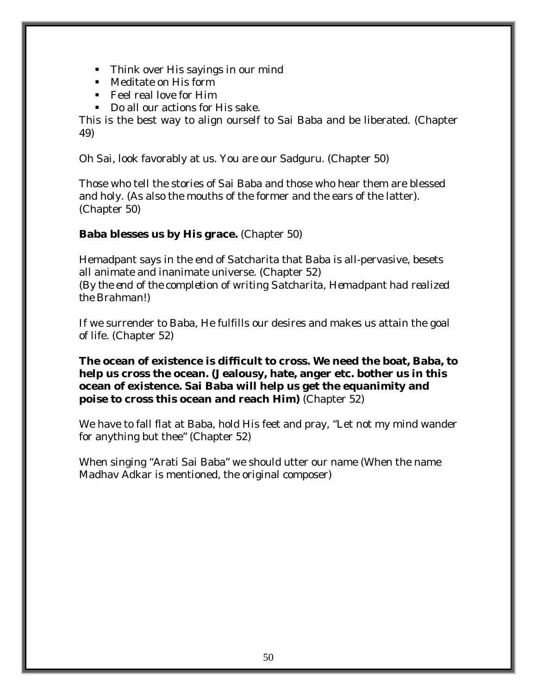- Think over His sayings in our mind
- **Meditate on His form**
- Feel real love for Him
- Do all our actions for His sake.

This is the best way to align ourself to Sai Baba and be liberated. (Chapter 49)

Oh Sai, look favorably at us. You are our Sadguru. (Chapter 50)

Those who tell the stories of Sai Baba and those who hear them are blessed and holy. (As also the mouths of the former and the ears of the latter). (Chapter 50)

### **Baba blesses us by His grace.** (Chapter 50)

Hemadpant says in the end of Satcharita that Baba is all-pervasive, besets all animate and inanimate universe. (Chapter 52) *(By the end of the completion of writing Satcharita, Hemadpant had realized the Brahman!)* 

If we surrender to Baba, He fulfills our desires and makes us attain the goal of life. (Chapter 52)

**The ocean of existence is difficult to cross. We need the boat, Baba, to help us cross the ocean. (Jealousy, hate, anger etc. bother us in this ocean of existence. Sai Baba will help us get the equanimity and poise to cross this ocean and reach Him)** (Chapter 52)

We have to fall flat at Baba, hold His feet and pray, "Let not my mind wander for anything but thee" (Chapter 52)

When singing "Arati Sai Baba" we should utter our name (When the name Madhav Adkar is mentioned, the original composer)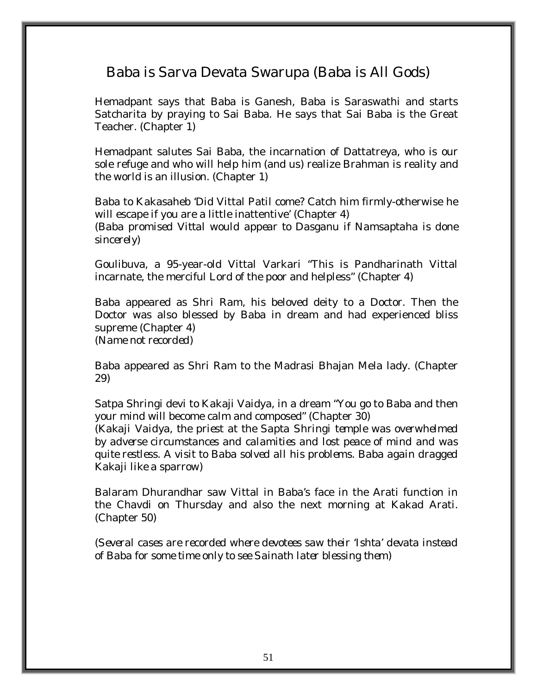# Baba is Sarva Devata Swarupa (Baba is All Gods)

Hemadpant says that Baba is Ganesh, Baba is Saraswathi and starts Satcharita by praying to Sai Baba. He says that Sai Baba is the Great Teacher. (Chapter 1)

Hemadpant salutes Sai Baba, the incarnation of Dattatreya, who is our sole refuge and who will help him (and us) realize Brahman is reality and the world is an illusion. (Chapter 1)

Baba to Kakasaheb 'Did Vittal Patil come? Catch him firmly-otherwise he will escape if you are a little inattentive' (Chapter 4) *(Baba promised Vittal would appear to Dasganu if Namsaptaha is done sincerely)* 

Goulibuva, a 95-year-old Vittal Varkari "This is Pandharinath Vittal incarnate, the merciful Lord of the poor and helpless" (Chapter 4)

Baba appeared as Shri Ram, his beloved deity to a Doctor. Then the Doctor was also blessed by Baba in dream and had experienced bliss supreme (Chapter 4) *(Name not recorded)* 

Baba appeared as Shri Ram to the Madrasi Bhajan Mela lady. (Chapter 29)

Satpa Shringi devi to Kakaji Vaidya, in a dream "You go to Baba and then your mind will become calm and composed" (Chapter 30)

*(Kakaji Vaidya, the priest at the Sapta Shringi temple was overwhelmed by adverse circumstances and calamities and lost peace of mind and was quite restless. A visit to Baba solved all his problems. Baba again dragged Kakaji like a sparrow)* 

Balaram Dhurandhar saw Vittal in Baba's face in the Arati function in the Chavdi on Thursday and also the next morning at Kakad Arati. (Chapter 50)

*(Several cases are recorded where devotees saw their 'Ishta' devata instead of Baba for some time only to see Sainath later blessing them)*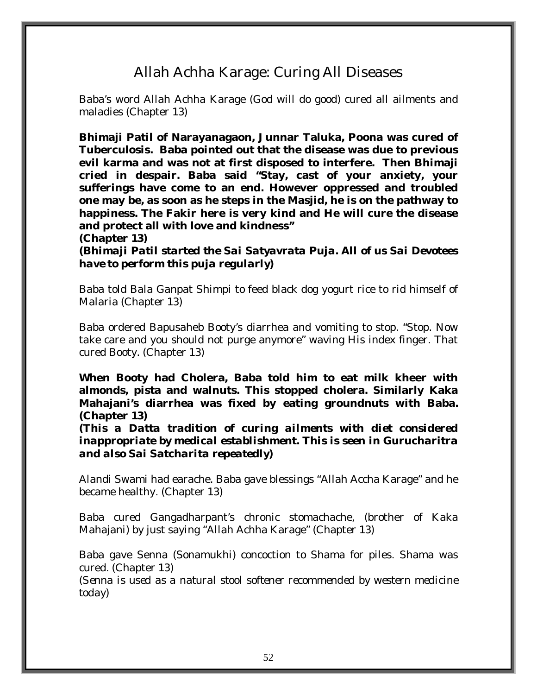# Allah Achha Karage: Curing All Diseases

Baba's word Allah Achha Karage (God will do good) cured all ailments and maladies (Chapter 13)

**Bhimaji Patil of Narayanagaon, Junnar Taluka, Poona was cured of Tuberculosis. Baba pointed out that the disease was due to previous evil karma and was not at first disposed to interfere. Then Bhimaji cried in despair. Baba said "Stay, cast of your anxiety, your sufferings have come to an end. However oppressed and troubled one may be, as soon as he steps in the Masjid, he is on the pathway to happiness. The Fakir here is very kind and He will cure the disease and protect all with love and kindness"** 

**(Chapter 13)**  *(Bhimaji Patil started the Sai Satyavrata Puja. All of us Sai Devotees have to perform this puja regularly)* 

Baba told Bala Ganpat Shimpi to feed black dog yogurt rice to rid himself of Malaria (Chapter 13)

Baba ordered Bapusaheb Booty's diarrhea and vomiting to stop. "Stop. Now take care and you should not purge anymore" waving His index finger. That cured Booty. (Chapter 13)

**When Booty had Cholera, Baba told him to eat milk kheer with almonds, pista and walnuts. This stopped cholera. Similarly Kaka Mahajani's diarrhea was fixed by eating groundnuts with Baba. (Chapter 13)** 

**(***This a Datta tradition of curing ailments with diet considered inappropriate by medical establishment. This is seen in Gurucharitra and also Sai Satcharita repeatedly)* 

Alandi Swami had earache. Baba gave blessings "Allah Accha Karage" and he became healthy. (Chapter 13)

Baba cured Gangadharpant's chronic stomachache, (brother of Kaka Mahajani) by just saying "Allah Achha Karage" (Chapter 13)

Baba gave Senna (Sonamukhi) concoction to Shama for piles. Shama was cured. (Chapter 13)

*(Senna is used as a natural stool softener recommended by western medicine today)*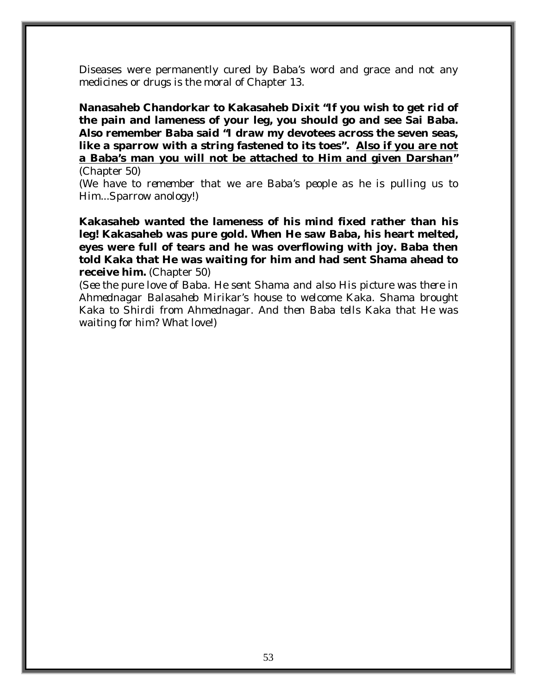Diseases were permanently cured by Baba's word and grace and not any medicines or drugs is the moral of Chapter 13.

**Nanasaheb Chandorkar to Kakasaheb Dixit "If you wish to get rid of the pain and lameness of your leg, you should go and see Sai Baba. Also remember Baba said "I draw my devotees across the seven seas, like a sparrow with a string fastened to its toes". Also if you are not a Baba's man you will not be attached to Him and given Darshan"** 

(Chapter 50) *(We have to remember that we are Baba's people as he is pulling us to Him...Sparrow anology!)* 

**Kakasaheb wanted the lameness of his mind fixed rather than his leg! Kakasaheb was pure gold. When He saw Baba, his heart melted, eyes were full of tears and he was overflowing with joy. Baba then told Kaka that He was waiting for him and had sent Shama ahead to receive him.** (Chapter 50)

*(See the pure love of Baba. He sent Shama and also His picture was there in Ahmednagar Balasaheb Mirikar's house to welcome Kaka. Shama brought Kaka to Shirdi from Ahmednagar. And then Baba tells Kaka that He was waiting for him? What love!)*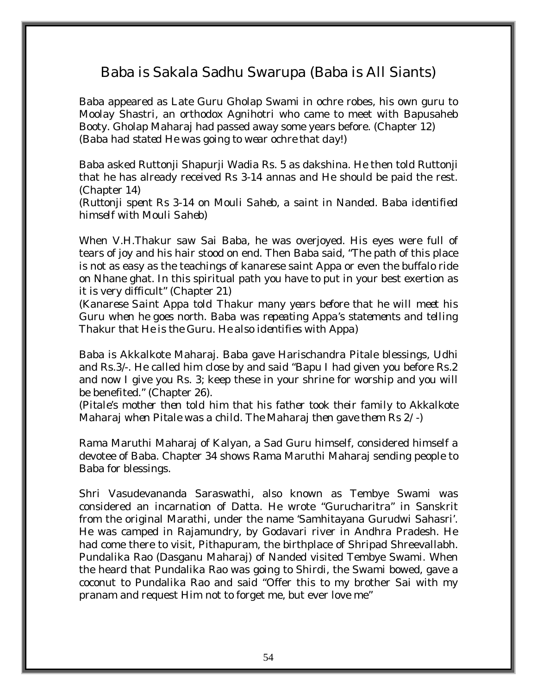# Baba is Sakala Sadhu Swarupa (Baba is All Siants)

Baba appeared as Late Guru Gholap Swami in ochre robes, his own guru to Moolay Shastri, an orthodox Agnihotri who came to meet with Bapusaheb Booty. Gholap Maharaj had passed away some years before. (Chapter 12) *(Baba had stated He was going to wear ochre that day!)* 

Baba asked Ruttonji Shapurji Wadia Rs. 5 as dakshina. He then told Ruttonji that he has already received Rs 3-14 annas and He should be paid the rest. (Chapter 14)

*(Ruttonji spent Rs 3-14 on Mouli Saheb, a saint in Nanded. Baba identified himself with Mouli Saheb)* 

When V.H.Thakur saw Sai Baba, he was overjoyed. His eyes were full of tears of joy and his hair stood on end. Then Baba said, "The path of this place is not as easy as the teachings of kanarese saint Appa or even the buffalo ride on Nhane ghat. In this spiritual path you have to put in your best exertion as it is very difficult" (Chapter 21)

*(Kanarese Saint Appa told Thakur many years before that he will meet his Guru when he goes north. Baba was repeating Appa's statements and telling Thakur that He is the Guru. He also identifies with Appa)* 

Baba is Akkalkote Maharaj. Baba gave Harischandra Pitale blessings, Udhi and Rs.3/-. He called him close by and said "Bapu I had given you before Rs.2 and now I give you Rs. 3; keep these in your shrine for worship and you will be benefited." (Chapter 26).

*(Pitale's mother then told him that his father took their family to Akkalkote Maharaj when Pitale was a child. The Maharaj then gave them Rs 2/-)* 

Rama Maruthi Maharaj of Kalyan, a Sad Guru himself, considered himself a devotee of Baba. Chapter 34 shows Rama Maruthi Maharaj sending people to Baba for blessings.

Shri Vasudevananda Saraswathi, also known as Tembye Swami was considered an incarnation of Datta. He wrote "Gurucharitra" in Sanskrit from the original Marathi, under the name 'Samhitayana Gurudwi Sahasri'. He was camped in Rajamundry, by Godavari river in Andhra Pradesh. He had come there to visit, Pithapuram, the birthplace of Shripad Shreevallabh. Pundalika Rao (Dasganu Maharaj) of Nanded visited Tembye Swami. When the heard that Pundalika Rao was going to Shirdi, the Swami bowed, gave a coconut to Pundalika Rao and said "Offer this to my brother Sai with my pranam and request Him not to forget me, but ever love me"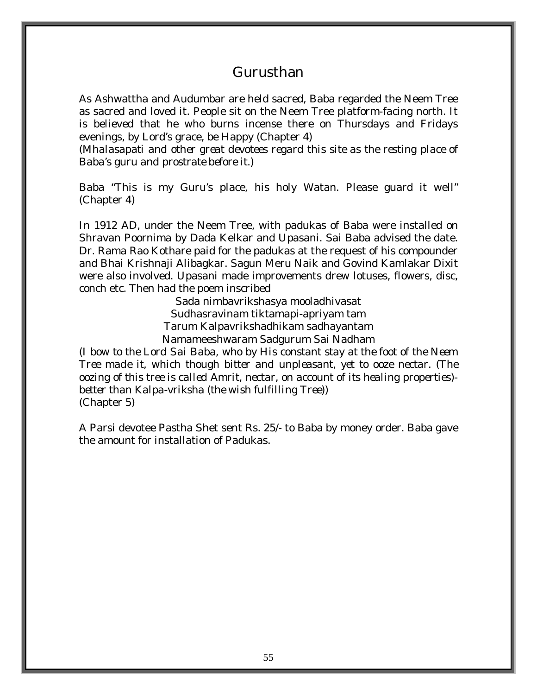### Gurusthan

As Ashwattha and Audumbar are held sacred, Baba regarded the Neem Tree as sacred and loved it. People sit on the Neem Tree platform-facing north. It is believed that he who burns incense there on Thursdays and Fridays evenings, by Lord's grace, be Happy (Chapter 4)

*(Mhalasapati and other great devotees regard this site as the resting place of Baba's guru and prostrate before it.)* 

Baba "This is my Guru's place, his holy Watan. Please guard it well" (Chapter 4)

In 1912 AD, under the Neem Tree, with padukas of Baba were installed on Shravan Poornima by Dada Kelkar and Upasani. Sai Baba advised the date. Dr. Rama Rao Kothare paid for the padukas at the request of his compounder and Bhai Krishnaji Alibagkar. Sagun Meru Naik and Govind Kamlakar Dixit were also involved. Upasani made improvements drew lotuses, flowers, disc, conch etc. Then had the poem inscribed

> Sada nimbavrikshasya mooladhivasat Sudhasravinam tiktamapi-apriyam tam Tarum Kalpavrikshadhikam sadhayantam Namameeshwaram Sadgurum Sai Nadham

*(I bow to the Lord Sai Baba, who by His constant stay at the foot of the Neem Tree made it, which though bitter and unpleasant, yet to ooze nectar. (The oozing of this tree is called Amrit, nectar, on account of its healing properties) better than Kalpa-vriksha (the wish fulfilling Tree))*  (Chapter 5)

A Parsi devotee Pastha Shet sent Rs. 25/- to Baba by money order. Baba gave the amount for installation of Padukas.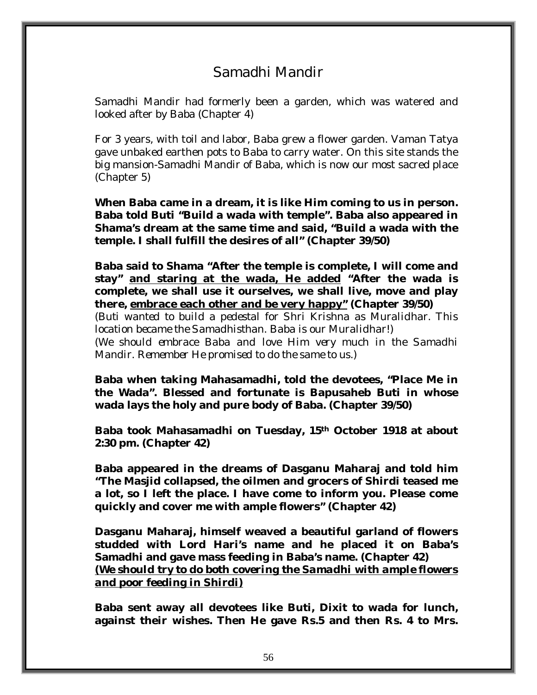# Samadhi Mandir

Samadhi Mandir had formerly been a garden, which was watered and looked after by Baba (Chapter 4)

For 3 years, with toil and labor, Baba grew a flower garden. Vaman Tatya gave unbaked earthen pots to Baba to carry water. On this site stands the big mansion-Samadhi Mandir of Baba, which is now our most sacred place (Chapter 5)

**When Baba came in a dream, it is like Him coming to us in person. Baba told Buti "Build a wada with temple". Baba also appeared in Shama's dream at the same time and said, "Build a wada with the temple. I shall fulfill the desires of all" (Chapter 39/50)** 

**Baba said to Shama "After the temple is complete, I will come and stay" and staring at the wada, He added "After the wada is complete, we shall use it ourselves, we shall live, move and play there, embrace each other and be very happy" (Chapter 39/50)** 

*(Buti wanted to build a pedestal for Shri Krishna as Muralidhar. This location became the Samadhisthan. Baba is our Muralidhar!) (We should embrace Baba and love Him very much in the Samadhi Mandir. Remember He promised to do the same to us.)* 

**Baba when taking Mahasamadhi, told the devotees, "Place Me in the Wada". Blessed and fortunate is Bapusaheb Buti in whose wada lays the holy and pure body of Baba. (Chapter 39/50)** 

**Baba took Mahasamadhi on Tuesday, 15th October 1918 at about 2:30 pm. (Chapter 42)** 

**Baba appeared in the dreams of Dasganu Maharaj and told him "The Masjid collapsed, the oilmen and grocers of Shirdi teased me a lot, so I left the place. I have come to inform you. Please come quickly and cover me with ample flowers" (Chapter 42)** 

**Dasganu Maharaj, himself weaved a beautiful garland of flowers studded with Lord Hari's name and he placed it on Baba's Samadhi and gave mass feeding in Baba's name. (Chapter 42)**  *(We should try to do both covering the Samadhi with ample flowers and poor feeding in Shirdi)*

**Baba sent away all devotees like Buti, Dixit to wada for lunch, against their wishes. Then He gave Rs.5 and then Rs. 4 to Mrs.**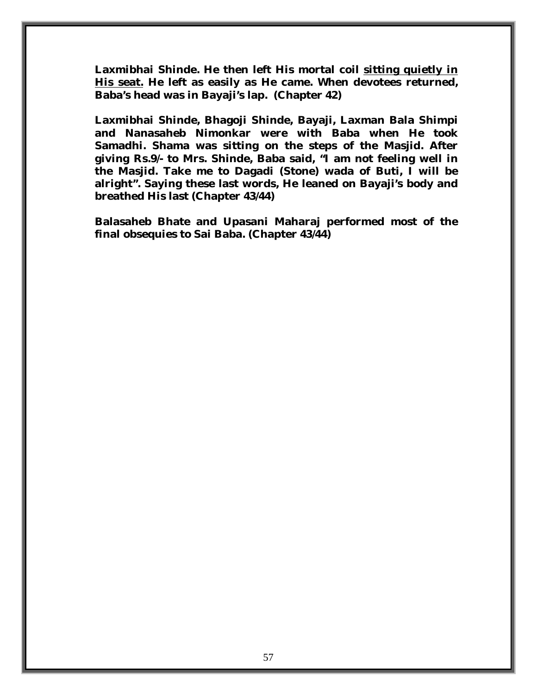**Laxmibhai Shinde. He then left His mortal coil sitting quietly in His seat. He left as easily as He came. When devotees returned, Baba's head was in Bayaji's lap. (Chapter 42)** 

**Laxmibhai Shinde, Bhagoji Shinde, Bayaji, Laxman Bala Shimpi and Nanasaheb Nimonkar were with Baba when He took Samadhi. Shama was sitting on the steps of the Masjid. After giving Rs.9/- to Mrs. Shinde, Baba said, "I am not feeling well in the Masjid. Take me to Dagadi (Stone) wada of Buti, I will be alright". Saying these last words, He leaned on Bayaji's body and breathed His last (Chapter 43/44)** 

**Balasaheb Bhate and Upasani Maharaj performed most of the final obsequies to Sai Baba. (Chapter 43/44)**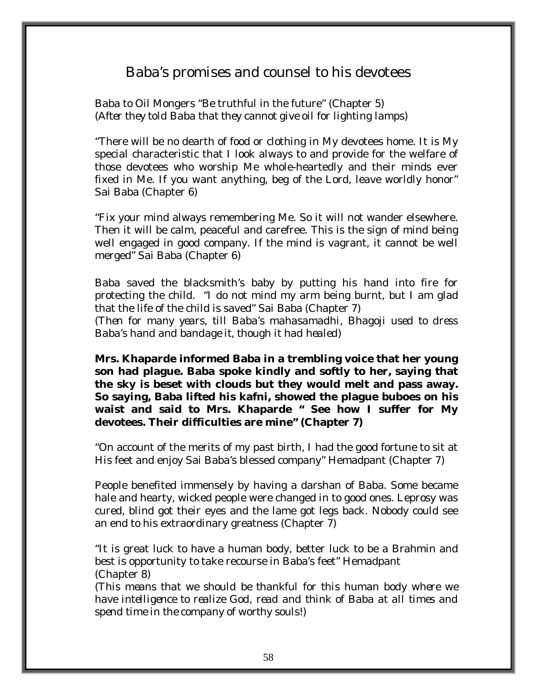# Baba's promises and counsel to his devotees

Baba to Oil Mongers "Be truthful in the future" (Chapter 5) *(After they told Baba that they cannot give oil for lighting lamps)* 

"There will be no dearth of food or clothing in My devotees home. It is My special characteristic that I look always to and provide for the welfare of those devotees who worship Me whole-heartedly and their minds ever fixed in Me. If you want anything, beg of the Lord, leave worldly honor" Sai Baba (Chapter 6)

"Fix your mind always remembering Me. So it will not wander elsewhere. Then it will be calm, peaceful and carefree. This is the sign of mind being well engaged in good company. If the mind is vagrant, it cannot be well merged" Sai Baba (Chapter 6)

Baba saved the blacksmith's baby by putting his hand into fire for protecting the child. "I do not mind my arm being burnt, but I am glad that the life of the child is saved" Sai Baba (Chapter 7) *(Then for many years, till Baba's mahasamadhi, Bhagoji used to dress Baba's hand and bandage it, though it had healed)* 

**Mrs. Khaparde informed Baba in a trembling voice that her young son had plague. Baba spoke kindly and softly to her, saying that the sky is beset with clouds but they would melt and pass away. So saying, Baba lifted his kafni, showed the plague buboes on his waist and said to Mrs. Khaparde " See how I suffer for My devotees. Their difficulties are mine" (Chapter 7)** 

"On account of the merits of my past birth, I had the good fortune to sit at His feet and enjoy Sai Baba's blessed company" Hemadpant (Chapter 7)

People benefited immensely by having a darshan of Baba. Some became hale and hearty, wicked people were changed in to good ones. Leprosy was cured, blind got their eyes and the lame got legs back. Nobody could see an end to his extraordinary greatness (Chapter 7)

"It is great luck to have a human body, better luck to be a Brahmin and best is opportunity to take recourse in Baba's feet" Hemadpant (Chapter 8)

*(This means that we should be thankful for this human body where we have intelligence to realize God, read and think of Baba at all times and spend time in the company of worthy souls!)*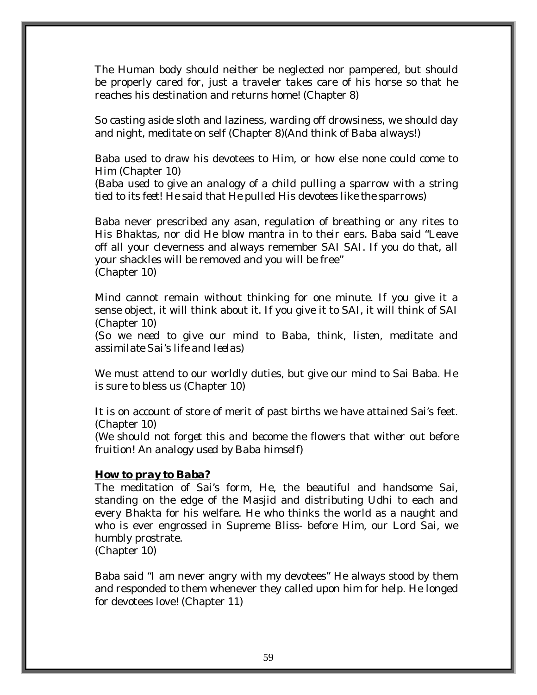The Human body should neither be neglected nor pampered, but should be properly cared for, just a traveler takes care of his horse so that he reaches his destination and returns home! (Chapter 8)

So casting aside sloth and laziness, warding off drowsiness, we should day and night, meditate on self (Chapter 8)*(And think of Baba always!)* 

Baba used to draw his devotees to Him, or how else none could come to Him (Chapter 10)

*(Baba used to give an analogy of a child pulling a sparrow with a string tied to its feet! He said that He pulled His devotees like the sparrows)* 

Baba never prescribed any asan, regulation of breathing or any rites to His Bhaktas, nor did He blow mantra in to their ears. Baba said "Leave off all your cleverness and always remember SAI SAI. If you do that, all your shackles will be removed and you will be free" (Chapter 10)

Mind cannot remain without thinking for one minute. If you give it a sense object, it will think about it. If you give it to SAI, it will think of SAI (Chapter 10)

(*So we need to give our mind to Baba, think, listen, meditate and assimilate Sai's life and leelas)* 

We must attend to our worldly duties, but give our mind to Sai Baba. He is sure to bless us (Chapter 10)

It is on account of store of merit of past births we have attained Sai's feet. (Chapter 10)

*(We should not forget this and become the flowers that wither out before fruition! An analogy used by Baba himself)* 

#### *How to pray to Baba?*

The meditation of Sai's form, He, the beautiful and handsome Sai, standing on the edge of the Masjid and distributing Udhi to each and every Bhakta for his welfare. He who thinks the world as a naught and who is ever engrossed in Supreme Bliss- before Him, our Lord Sai, we humbly prostrate.

(Chapter 10)

Baba said "I am never angry with my devotees" He always stood by them and responded to them whenever they called upon him for help. He longed for devotees love! (Chapter 11)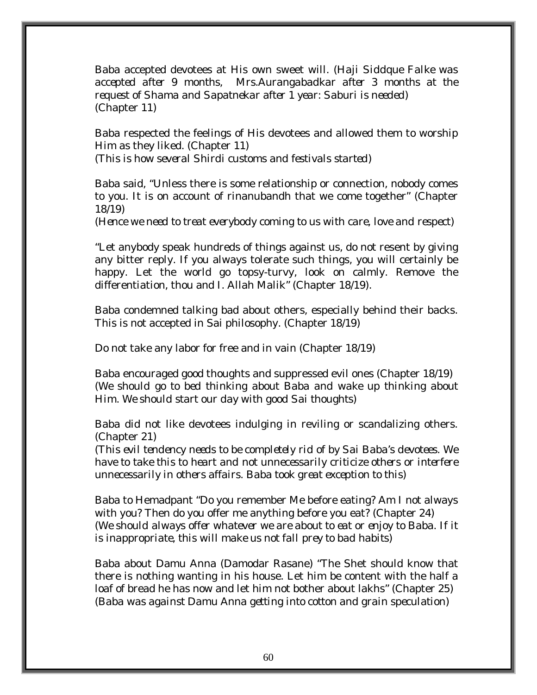Baba accepted devotees at His own sweet will. *(Haji Siddque Falke was accepted after 9 months, Mrs.Aurangabadkar after 3 months at the request of Shama and Sapatnekar after 1 year: Saburi is needed)*  (Chapter 11)

Baba respected the feelings of His devotees and allowed them to worship Him as they liked. (Chapter 11) *(This is how several Shirdi customs and festivals started)* 

Baba said, "Unless there is some relationship or connection, nobody comes to you. It is on account of rinanubandh that we come together" (Chapter 18/19)

*(Hence we need to treat everybody coming to us with care, love and respect)* 

"Let anybody speak hundreds of things against us, do not resent by giving any bitter reply. If you always tolerate such things, you will certainly be happy. Let the world go topsy-turvy, look on calmly. Remove the differentiation, thou and I. Allah Malik" (Chapter 18/19).

Baba condemned talking bad about others, especially behind their backs. This is not accepted in Sai philosophy. (Chapter 18/19)

Do not take any labor for free and in vain (Chapter 18/19)

Baba encouraged good thoughts and suppressed evil ones (Chapter 18/19) *(We should go to bed thinking about Baba and wake up thinking about Him. We should start our day with good Sai thoughts)* 

Baba did not like devotees indulging in reviling or scandalizing others. (Chapter 21)

*(This evil tendency needs to be completely rid of by Sai Baba's devotees. We have to take this to heart and not unnecessarily criticize others or interfere unnecessarily in others affairs. Baba took great exception to this)* 

Baba to Hemadpant "Do you remember Me before eating? Am I not always with you? Then do you offer me anything before you eat? (Chapter 24) *(We should always offer whatever we are about to eat or enjoy to Baba. If it is inappropriate, this will make us not fall prey to bad habits)* 

Baba about Damu Anna (Damodar Rasane) "The Shet should know that there is nothing wanting in his house. Let him be content with the half a loaf of bread he has now and let him not bother about lakhs" (Chapter 25) *(Baba was against Damu Anna getting into cotton and grain speculation)*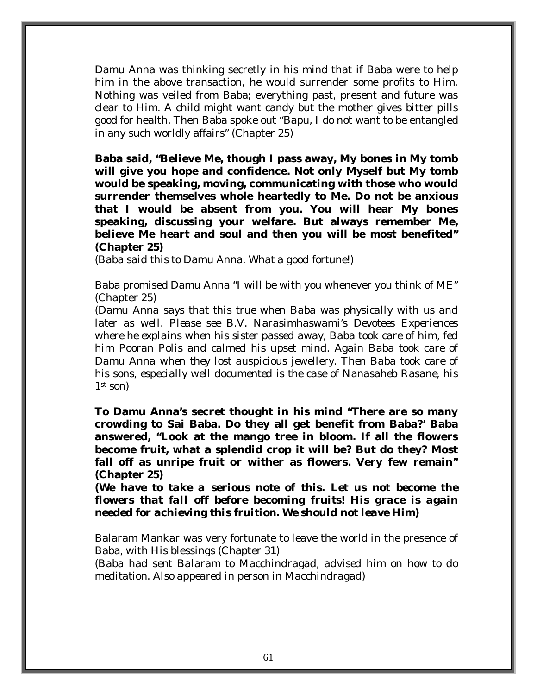Damu Anna was thinking secretly in his mind that if Baba were to help him in the above transaction, he would surrender some profits to Him. Nothing was veiled from Baba; everything past, present and future was clear to Him. A child might want candy but the mother gives bitter pills good for health. Then Baba spoke out "Bapu, I do not want to be entangled in any such worldly affairs" (Chapter 25)

**Baba said, "Believe Me, though I pass away, My bones in My tomb will give you hope and confidence. Not only Myself but My tomb would be speaking, moving, communicating with those who would surrender themselves whole heartedly to Me. Do not be anxious that I would be absent from you. You will hear My bones speaking, discussing your welfare. But always remember Me, believe Me heart and soul and then you will be most benefited" (Chapter 25)** 

*(Baba said this to Damu Anna. What a good fortune!)* 

Baba promised Damu Anna "I will be with you whenever you think of ME" (Chapter 25)

*(Damu Anna says that this true when Baba was physically with us and later as well. Please see B.V. Narasimhaswami's Devotees Experiences where he explains when his sister passed away, Baba took care of him, fed him Pooran Polis and calmed his upset mind. Again Baba took care of Damu Anna when they lost auspicious jewellery. Then Baba took care of his sons, especially well documented is the case of Nanasaheb Rasane, his 1st son)* 

**To Damu Anna's secret thought in his mind "There are so many crowding to Sai Baba. Do they all get benefit from Baba?' Baba answered, "Look at the mango tree in bloom. If all the flowers become fruit, what a splendid crop it will be? But do they? Most fall off as unripe fruit or wither as flowers. Very few remain" (Chapter 25)** 

*(We have to take a serious note of this. Let us not become the flowers that fall off before becoming fruits! His grace is again needed for achieving this fruition. We should not leave Him)* 

Balaram Mankar was very fortunate to leave the world in the presence of Baba, with His blessings (Chapter 31)

*(Baba had sent Balaram to Macchindragad, advised him on how to do meditation. Also appeared in person in Macchindragad)*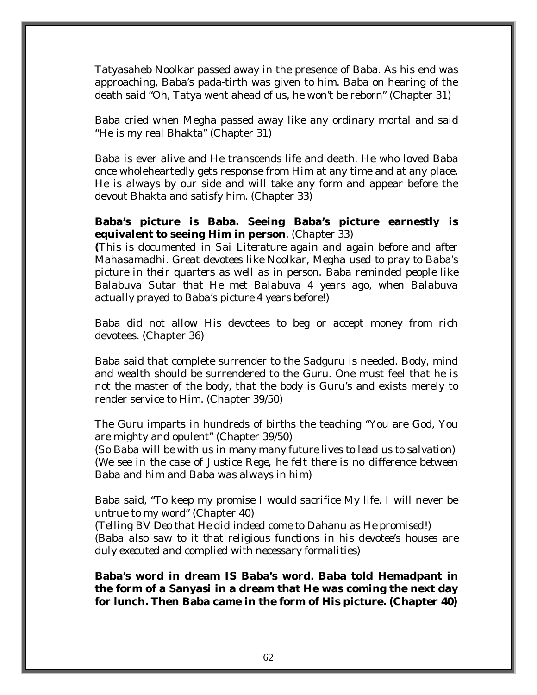Tatyasaheb Noolkar passed away in the presence of Baba. As his end was approaching, Baba's pada-tirth was given to him. Baba on hearing of the death said "Oh, Tatya went ahead of us, he won't be reborn" (Chapter 31)

Baba cried when Megha passed away like any ordinary mortal and said "He is my real Bhakta" (Chapter 31)

Baba is ever alive and He transcends life and death. He who loved Baba once wholeheartedly gets response from Him at any time and at any place. He is always by our side and will take any form and appear before the devout Bhakta and satisfy him. (Chapter 33)

### **Baba's picture is Baba. Seeing Baba's picture earnestly is equivalent to seeing Him in person**. (Chapter 33)

**(***This is documented in Sai Literature again and again before and after Mahasamadhi. Great devotees like Noolkar, Megha used to pray to Baba's picture in their quarters as well as in person. Baba reminded people like Balabuva Sutar that He met Balabuva 4 years ago, when Balabuva actually prayed to Baba's picture 4 years before!)* 

Baba did not allow His devotees to beg or accept money from rich devotees. (Chapter 36)

Baba said that complete surrender to the Sadguru is needed. Body, mind and wealth should be surrendered to the Guru. One must feel that he is not the master of the body, that the body is Guru's and exists merely to render service to Him. (Chapter 39/50)

The Guru imparts in hundreds of births the teaching "You are God, You are mighty and opulent" (Chapter 39/50)

*(So Baba will be with us in many many future lives to lead us to salvation) (We see in the case of Justice Rege, he felt there is no difference between Baba and him and Baba was always in him)* 

Baba said, "To keep my promise I would sacrifice My life. I will never be untrue to my word" (Chapter 40)

*(Telling BV Deo that He did indeed come to Dahanu as He promised!) (Baba also saw to it that religious functions in his devotee's houses are duly executed and complied with necessary formalities)* 

**Baba's word in dream IS Baba's word. Baba told Hemadpant in the form of a Sanyasi in a dream that He was coming the next day for lunch. Then Baba came in the form of His picture. (Chapter 40)**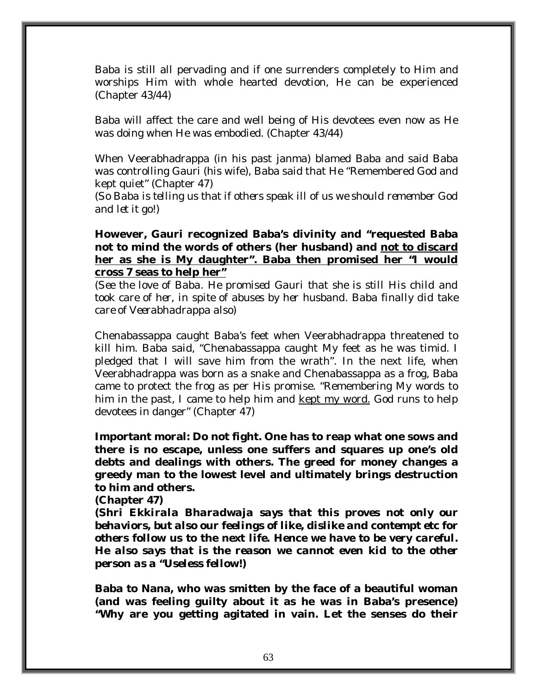Baba is still all pervading and if one surrenders completely to Him and worships Him with whole hearted devotion, He can be experienced (Chapter 43/44)

Baba will affect the care and well being of His devotees even now as He was doing when He was embodied. (Chapter 43/44)

When Veerabhadrappa (in his past janma) blamed Baba and said Baba was controlling Gauri (his wife), Baba said that He "Remembered God and kept quiet" (Chapter 47)

(*So Baba is telling us that if others speak ill of us we should remember God and let it go!)* 

**However, Gauri recognized Baba's divinity and "requested Baba not to mind the words of others (her husband) and not to discard her as she is My daughter". Baba then promised her "I would cross 7 seas to help her"**

*(See the love of Baba. He promised Gauri that she is still His child and took care of her, in spite of abuses by her husband. Baba finally did take care of Veerabhadrappa also)* 

Chenabassappa caught Baba's feet when Veerabhadrappa threatened to kill him. Baba said, "Chenabassappa caught My feet as he was timid. I pledged that I will save him from the wrath". In the next life, when Veerabhadrappa was born as a snake and Chenabassappa as a frog, Baba came to protect the frog as per His promise. "Remembering My words to him in the past, I came to help him and kept my word. God runs to help devotees in danger" (Chapter 47)

**Important moral: Do not fight. One has to reap what one sows and there is no escape, unless one suffers and squares up one's old debts and dealings with others. The greed for money changes a greedy man to the lowest level and ultimately brings destruction to him and others.** 

**(Chapter 47)** 

**(***Shri Ekkirala Bharadwaja says that this proves not only our behaviors, but also our feelings of like, dislike and contempt etc for others follow us to the next life. Hence we have to be very careful. He also says that is the reason we cannot even kid to the other person as a "Useless fellow!)* 

**Baba to Nana, who was smitten by the face of a beautiful woman (and was feeling guilty about it as he was in Baba's presence) "Why are you getting agitated in vain. Let the senses do their**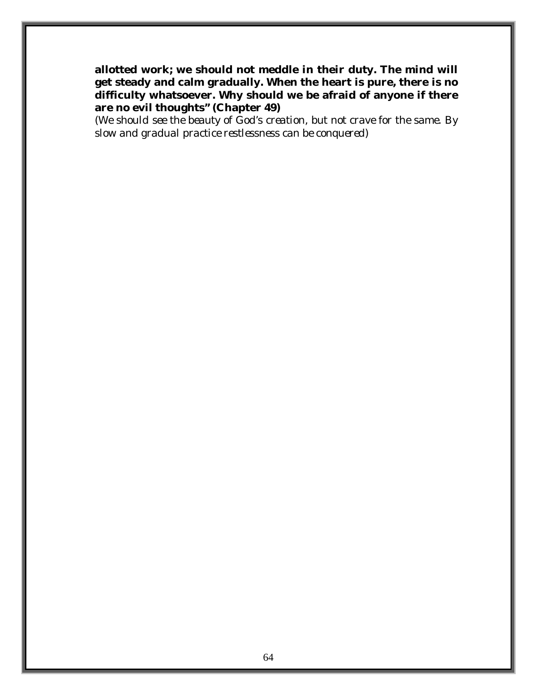**allotted work; we should not meddle in their duty. The mind will get steady and calm gradually. When the heart is pure, there is no difficulty whatsoever. Why should we be afraid of anyone if there are no evil thoughts" (Chapter 49)** 

*(We should see the beauty of God's creation, but not crave for the same. By slow and gradual practice restlessness can be conquered)*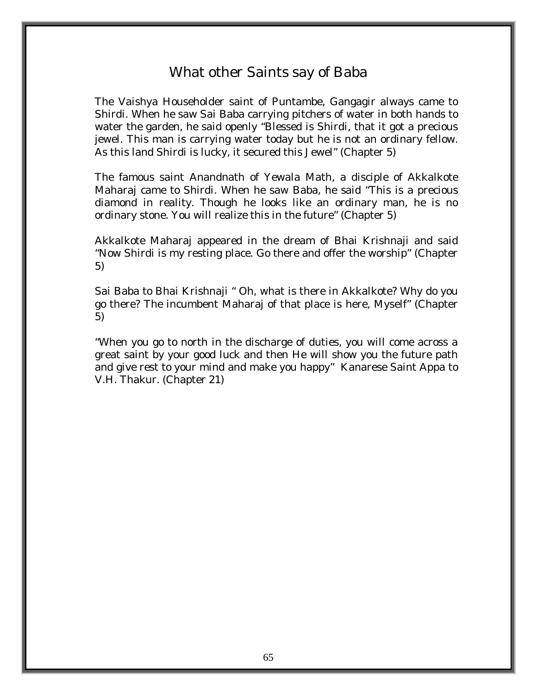# What other Saints say of Baba

The Vaishya Householder saint of Puntambe, Gangagir always came to Shirdi. When he saw Sai Baba carrying pitchers of water in both hands to water the garden, he said openly "Blessed is Shirdi, that it got a precious jewel. This man is carrying water today but he is not an ordinary fellow. As this land Shirdi is lucky, it secured this Jewel" (Chapter 5)

The famous saint Anandnath of Yewala Math, a disciple of Akkalkote Maharaj came to Shirdi. When he saw Baba, he said "This is a precious diamond in reality. Though he looks like an ordinary man, he is no ordinary stone. You will realize this in the future" (Chapter 5)

Akkalkote Maharaj appeared in the dream of Bhai Krishnaji and said "Now Shirdi is my resting place. Go there and offer the worship" (Chapter 5)

Sai Baba to Bhai Krishnaji " Oh, what is there in Akkalkote? Why do you go there? The incumbent Maharaj of that place is here, Myself" (Chapter 5)

"When you go to north in the discharge of duties, you will come across a great saint by your good luck and then He will show you the future path and give rest to your mind and make you happy" Kanarese Saint Appa to V.H. Thakur. (Chapter 21)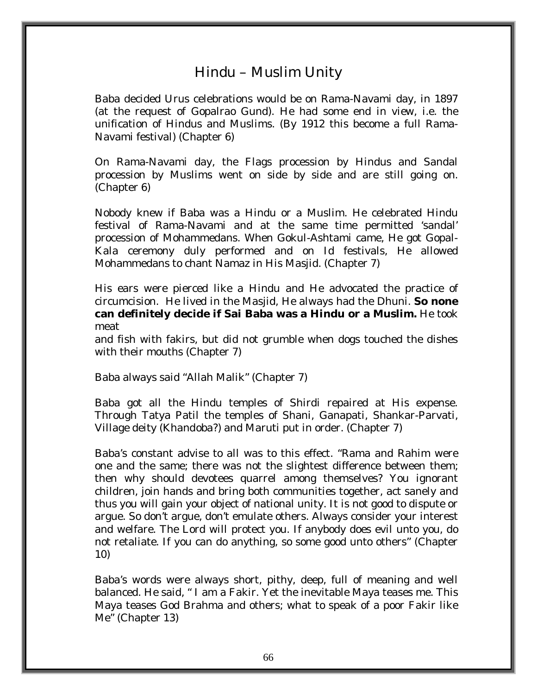## Hindu – Muslim Unity

Baba decided Urus celebrations would be on Rama-Navami day, in 1897 (at the request of Gopalrao Gund). He had some end in view, i.e. the unification of Hindus and Muslims. (By 1912 this become a full Rama-Navami festival) (Chapter 6)

On Rama-Navami day, the Flags procession by Hindus and Sandal procession by Muslims went on side by side and are still going on. (Chapter 6)

Nobody knew if Baba was a Hindu or a Muslim. He celebrated Hindu festival of Rama-Navami and at the same time permitted 'sandal' procession of Mohammedans. When Gokul-Ashtami came, He got Gopal-Kala ceremony duly performed and on Id festivals, He allowed Mohammedans to chant Namaz in His Masjid. (Chapter 7)

His ears were pierced like a Hindu and He advocated the practice of circumcision. He lived in the Masjid, He always had the Dhuni. **So none can definitely decide if Sai Baba was a Hindu or a Muslim.** He took meat

and fish with fakirs, but did not grumble when dogs touched the dishes with their mouths (Chapter 7)

Baba always said "Allah Malik" (Chapter 7)

Baba got all the Hindu temples of Shirdi repaired at His expense. Through Tatya Patil the temples of Shani, Ganapati, Shankar-Parvati, Village deity (*Khandoba?)* and Maruti put in order. (Chapter 7)

Baba's constant advise to all was to this effect. "Rama and Rahim were one and the same; there was not the slightest difference between them; then why should devotees quarrel among themselves? You ignorant children, join hands and bring both communities together, act sanely and thus you will gain your object of national unity. It is not good to dispute or argue. So don't argue, don't emulate others. Always consider your interest and welfare. The Lord will protect you. If anybody does evil unto you, do not retaliate. If you can do anything, so some good unto others" (Chapter 10)

Baba's words were always short, pithy, deep, full of meaning and well balanced. He said, " I am a Fakir. Yet the inevitable Maya teases me. This Maya teases God Brahma and others; what to speak of a poor Fakir like Me" (Chapter 13)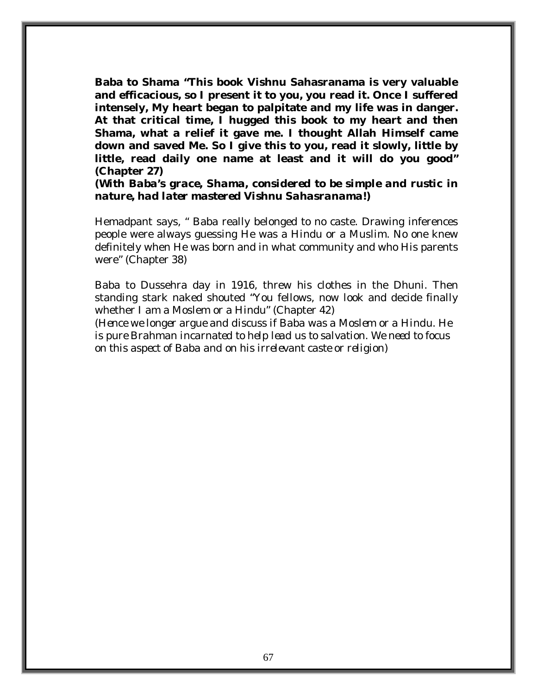**Baba to Shama "This book Vishnu Sahasranama is very valuable and efficacious, so I present it to you, you read it. Once I suffered intensely, My heart began to palpitate and my life was in danger. At that critical time, I hugged this book to my heart and then Shama, what a relief it gave me. I thought Allah Himself came down and saved Me. So I give this to you, read it slowly, little by little, read daily one name at least and it will do you good" (Chapter 27)** 

*(With Baba's grace, Shama, considered to be simple and rustic in nature, had later mastered Vishnu Sahasranama!)* 

Hemadpant says, " Baba really belonged to no caste. Drawing inferences people were always guessing He was a Hindu or a Muslim. No one knew definitely when He was born and in what community and who His parents were" (Chapter 38)

Baba to Dussehra day in 1916, threw his clothes in the Dhuni. Then standing stark naked shouted "You fellows, now look and decide finally whether I am a Moslem or a Hindu" (Chapter 42)

*(Hence we longer argue and discuss if Baba was a Moslem or a Hindu. He is pure Brahman incarnated to help lead us to salvation. We need to focus on this aspect of Baba and on his irrelevant caste or religion)*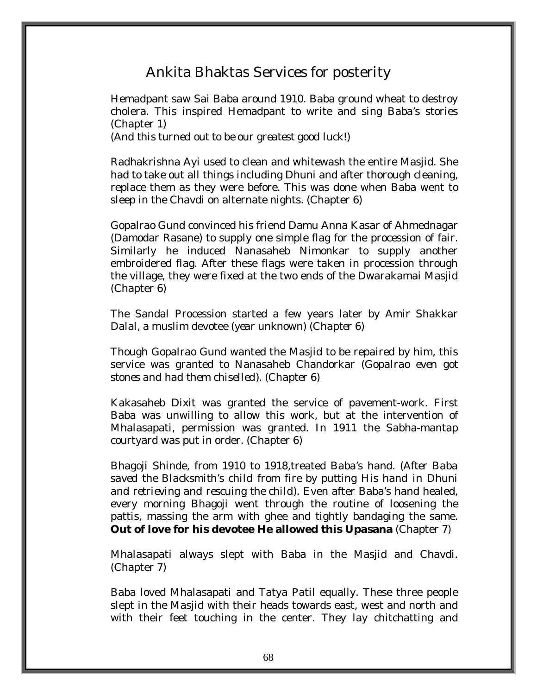## Ankita Bhaktas Services for posterity

Hemadpant saw Sai Baba around 1910. Baba ground wheat to destroy cholera. This inspired Hemadpant to write and sing Baba's stories (Chapter 1)

*(And this turned out to be our greatest good luck!)* 

Radhakrishna Ayi used to clean and whitewash the entire Masjid. She had to take out all things including Dhuni and after thorough cleaning, replace them as they were before. This was done when Baba went to sleep in the Chavdi on alternate nights. (Chapter 6)

Gopalrao Gund convinced his friend Damu Anna Kasar of Ahmednagar (Damodar Rasane) to supply one simple flag for the procession of fair. Similarly he induced Nanasaheb Nimonkar to supply another embroidered flag. After these flags were taken in procession through the village, they were fixed at the two ends of the Dwarakamai Masjid (Chapter 6)

The Sandal Procession started a few years later by Amir Shakkar Dalal, a muslim devotee (*year unknown) (Chapter 6)* 

Though Gopalrao Gund wanted the Masjid to be repaired by him, this service was granted to Nanasaheb Chandorkar (*Gopalrao even got stones and had them chiselled). (Chapter 6)* 

Kakasaheb Dixit was granted the service of pavement-work. First Baba was unwilling to allow this work, but at the intervention of Mhalasapati, permission was granted. In 1911 the Sabha-mantap courtyard was put in order. (Chapter 6)

Bhagoji Shinde, from 1910 to 1918,treated Baba's hand. (*After Baba saved the Blacksmith's child from fire by putting His hand in Dhuni and retrieving and rescuing the child)*. Even after Baba's hand healed, every morning Bhagoji went through the routine of loosening the pattis, massing the arm with ghee and tightly bandaging the same. **Out of love for his devotee He allowed this Upasana** (Chapter 7)

Mhalasapati always slept with Baba in the Masjid and Chavdi. (Chapter 7)

Baba loved Mhalasapati and Tatya Patil equally. These three people slept in the Masjid with their heads towards east, west and north and with their feet touching in the center. They lay chitchatting and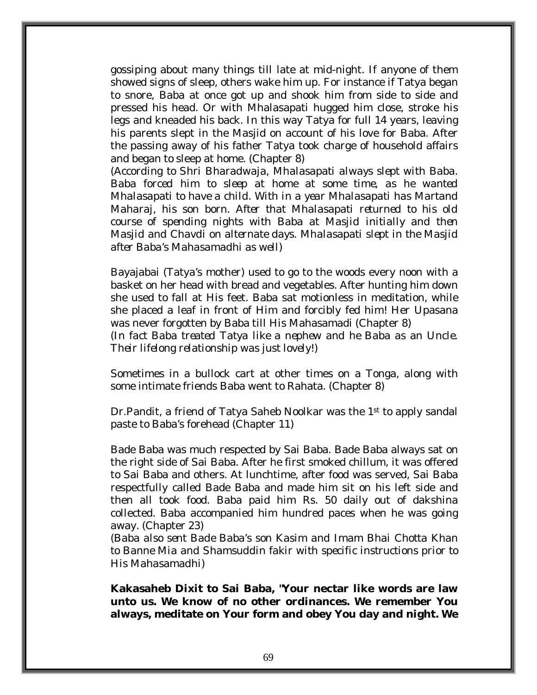gossiping about many things till late at mid-night. If anyone of them showed signs of sleep, others wake him up. For instance if Tatya began to snore, Baba at once got up and shook him from side to side and pressed his head. Or with Mhalasapati hugged him close, stroke his legs and kneaded his back. In this way Tatya for full 14 years, leaving his parents slept in the Masjid on account of his love for Baba. After the passing away of his father Tatya took charge of household affairs and began to sleep at home. (Chapter 8)

*(According to Shri Bharadwaja, Mhalasapati always slept with Baba. Baba forced him to sleep at home at some time, as he wanted Mhalasapati to have a child. With in a year Mhalasapati has Martand Maharaj, his son born. After that Mhalasapati returned to his old course of spending nights with Baba at Masjid initially and then Masjid and Chavdi on alternate days. Mhalasapati slept in the Masjid after Baba's Mahasamadhi as well)*

Bayajabai (Tatya's mother) used to go to the woods every noon with a basket on her head with bread and vegetables. After hunting him down she used to fall at His feet. Baba sat motionless in meditation, while she placed a leaf in front of Him and forcibly fed him! Her Upasana was never forgotten by Baba till His Mahasamadi (Chapter 8)

*(In fact Baba treated Tatya like a nephew and he Baba as an Uncle. Their lifelong relationship was just lovely!)* 

Sometimes in a bullock cart at other times on a Tonga, along with some intimate friends Baba went to Rahata. (Chapter 8)

Dr.Pandit, a friend of Tatya Saheb Noolkar was the 1<sup>st</sup> to apply sandal paste to Baba's forehead (Chapter 11)

Bade Baba was much respected by Sai Baba. Bade Baba always sat on the right side of Sai Baba. After he first smoked chillum, it was offered to Sai Baba and others. At lunchtime, after food was served, Sai Baba respectfully called Bade Baba and made him sit on his left side and then all took food. Baba paid him Rs. 50 daily out of dakshina collected. Baba accompanied him hundred paces when he was going away. (Chapter 23)

*(Baba also sent Bade Baba's son Kasim and Imam Bhai Chotta Khan to Banne Mia and Shamsuddin fakir with specific instructions prior to His Mahasamadhi)*

**Kakasaheb Dixit to Sai Baba, "Your nectar like words are law unto us. We know of no other ordinances. We remember You always, meditate on Your form and obey You day and night. We**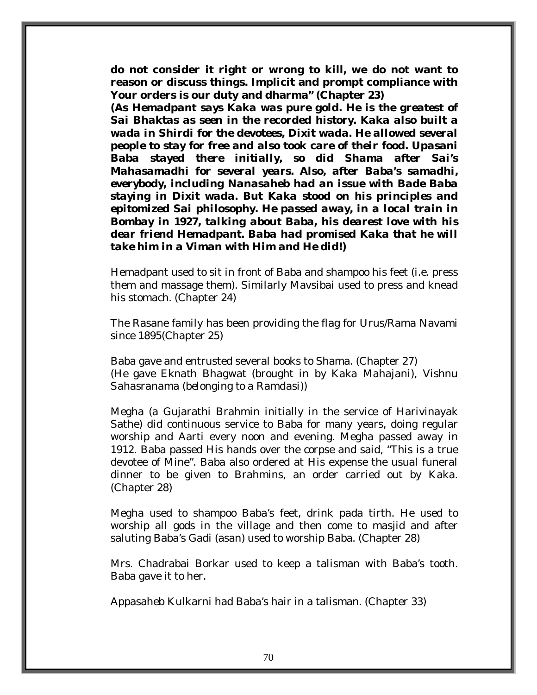**do not consider it right or wrong to kill, we do not want to reason or discuss things. Implicit and prompt compliance with Your orders is our duty and dharma" (Chapter 23)** 

*(As Hemadpant says Kaka was pure gold. He is the greatest of Sai Bhaktas as seen in the recorded history. Kaka also built a wada in Shirdi for the devotees, Dixit wada. He allowed several people to stay for free and also took care of their food. Upasani Baba stayed there initially, so did Shama after Sai's Mahasamadhi for several years. Also, after Baba's samadhi, everybody, including Nanasaheb had an issue with Bade Baba staying in Dixit wada. But Kaka stood on his principles and epitomized Sai philosophy. He passed away, in a local train in Bombay in 1927, talking about Baba, his dearest love with his dear friend Hemadpant. Baba had promised Kaka that he will take him in a Viman with Him and He did!)* 

Hemadpant used to sit in front of Baba and shampoo his feet (i.e. press them and massage them). Similarly Mavsibai used to press and knead his stomach. (Chapter 24)

The Rasane family has been providing the flag for Urus/Rama Navami since 1895(Chapter 25)

Baba gave and entrusted several books to Shama. (Chapter 27) *(He gave Eknath Bhagwat (brought in by Kaka Mahajani), Vishnu Sahasranama (belonging to a Ramdasi))* 

Megha (a Gujarathi Brahmin initially in the service of Harivinayak Sathe) did continuous service to Baba for many years, doing regular worship and Aarti every noon and evening. Megha passed away in 1912. Baba passed His hands over the corpse and said, "This is a true devotee of Mine". Baba also ordered at His expense the usual funeral dinner to be given to Brahmins, an order carried out by Kaka. (Chapter 28)

Megha used to shampoo Baba's feet, drink pada tirth. He used to worship all gods in the village and then come to masjid and after saluting Baba's Gadi (asan) used to worship Baba. (Chapter 28)

Mrs. Chadrabai Borkar used to keep a talisman with Baba's tooth. Baba gave it to her.

Appasaheb Kulkarni had Baba's hair in a talisman. (Chapter 33)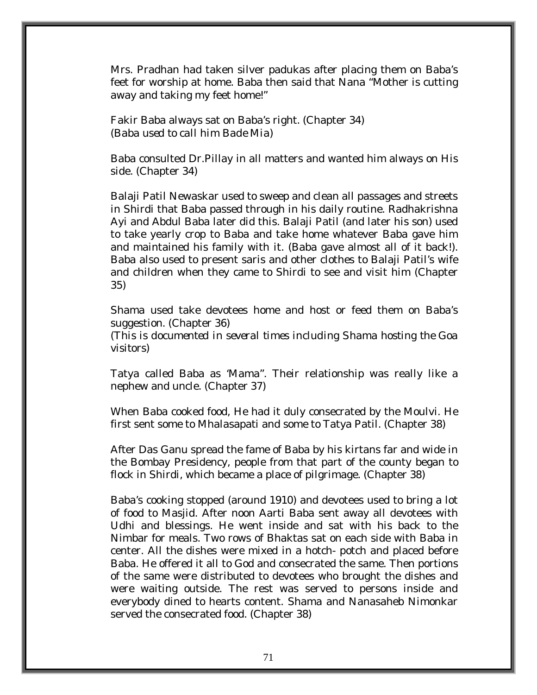Mrs. Pradhan had taken silver padukas after placing them on Baba's feet for worship at home. Baba then said that Nana "Mother is cutting away and taking my feet home!"

Fakir Baba always sat on Baba's right. (Chapter 34) *(Baba used to call him Bade Mia)* 

Baba consulted Dr.Pillay in all matters and wanted him always on His side. (Chapter 34)

Balaji Patil Newaskar used to sweep and clean all passages and streets in Shirdi that Baba passed through in his daily routine. Radhakrishna Ayi and Abdul Baba later did this. Balaji Patil (and later his son) used to take yearly crop to Baba and take home whatever Baba gave him and maintained his family with it. (Baba gave almost all of it back!). Baba also used to present saris and other clothes to Balaji Patil's wife and children when they came to Shirdi to see and visit him (Chapter 35)

Shama used take devotees home and host or feed them on Baba's suggestion. (Chapter 36)

*(This is documented in several times including Shama hosting the Goa visitors)* 

Tatya called Baba as 'Mama". Their relationship was really like a nephew and uncle. (Chapter 37)

When Baba cooked food, He had it duly consecrated by the Moulvi. He first sent some to Mhalasapati and some to Tatya Patil. (Chapter 38)

After Das Ganu spread the fame of Baba by his kirtans far and wide in the Bombay Presidency, people from that part of the county began to flock in Shirdi, which became a place of pilgrimage. (Chapter 38)

Baba's cooking stopped (around 1910) and devotees used to bring a lot of food to Masjid. After noon Aarti Baba sent away all devotees with Udhi and blessings. He went inside and sat with his back to the Nimbar for meals. Two rows of Bhaktas sat on each side with Baba in center. All the dishes were mixed in a hotch- potch and placed before Baba. He offered it all to God and consecrated the same. Then portions of the same were distributed to devotees who brought the dishes and were waiting outside. The rest was served to persons inside and everybody dined to hearts content. Shama and Nanasaheb Nimonkar served the consecrated food. (Chapter 38)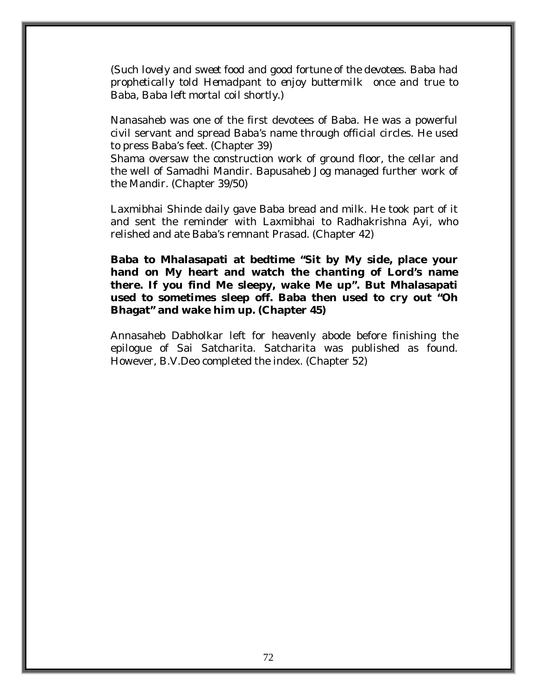*(Such lovely and sweet food and good fortune of the devotees. Baba had prophetically told Hemadpant to enjoy buttermilk once and true to Baba, Baba left mortal coil shortly.)* 

Nanasaheb was one of the first devotees of Baba. He was a powerful civil servant and spread Baba's name through official circles. He used to press Baba's feet. (Chapter 39)

Shama oversaw the construction work of ground floor, the cellar and the well of Samadhi Mandir. Bapusaheb Jog managed further work of the Mandir. (Chapter 39/50)

Laxmibhai Shinde daily gave Baba bread and milk. He took part of it and sent the reminder with Laxmibhai to Radhakrishna Ayi, who relished and ate Baba's remnant Prasad. (Chapter 42)

**Baba to Mhalasapati at bedtime "Sit by My side, place your hand on My heart and watch the chanting of Lord's name there. If you find Me sleepy, wake Me up". But Mhalasapati used to sometimes sleep off. Baba then used to cry out "Oh Bhagat" and wake him up. (Chapter 45)** 

Annasaheb Dabholkar left for heavenly abode before finishing the epilogue of Sai Satcharita. Satcharita was published as found. However, B.V.Deo completed the index. (Chapter 52)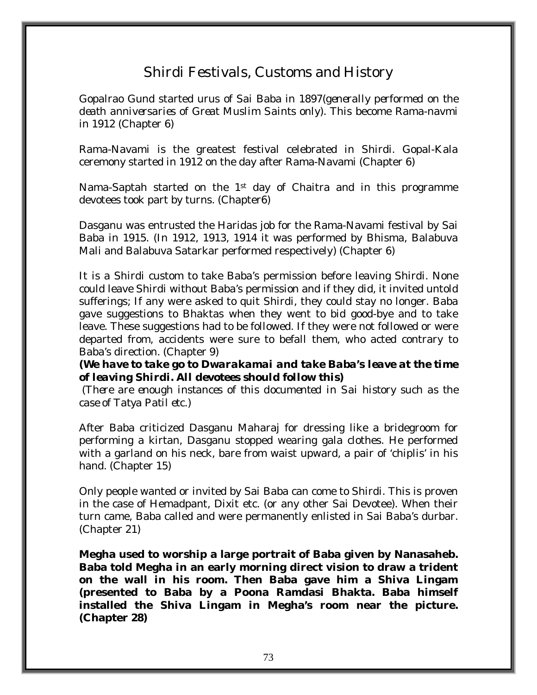# Shirdi Festivals, Customs and History

Gopalrao Gund started urus of Sai Baba in 1897(*generally performed on the death anniversaries of Great Muslim Saints only)*. This become Rama-navmi in 1912 (Chapter 6)

Rama-Navami is the greatest festival celebrated in Shirdi. Gopal-Kala ceremony started in 1912 on the day after Rama-Navami (Chapter 6)

Nama-Saptah started on the 1st day of Chaitra and in this programme devotees took part by turns. (Chapter6)

Dasganu was entrusted the Haridas job for the Rama-Navami festival by Sai Baba in 1915. (In 1912, 1913, 1914 it was performed by Bhisma, Balabuva Mali and Balabuva Satarkar performed respectively) (Chapter 6)

It is a Shirdi custom to take Baba's permission before leaving Shirdi. None could leave Shirdi without Baba's permission and if they did, it invited untold sufferings; If any were asked to quit Shirdi, they could stay no longer. Baba gave suggestions to Bhaktas when they went to bid good-bye and to take leave. These suggestions had to be followed. If they were not followed or were departed from, accidents were sure to befall them, who acted contrary to Baba's direction. (Chapter 9)

*(We have to take go to Dwarakamai and take Baba's leave at the time of leaving Shirdi. All devotees should follow this)* 

 *(There are enough instances of this documented in Sai history such as the case of Tatya Patil etc.)* 

After Baba criticized Dasganu Maharaj for dressing like a bridegroom for performing a kirtan, Dasganu stopped wearing gala clothes. He performed with a garland on his neck, bare from waist upward, a pair of 'chiplis' in his hand. (Chapter 15)

Only people wanted or invited by Sai Baba can come to Shirdi. This is proven in the case of Hemadpant, Dixit etc. (or any other Sai Devotee). When their turn came, Baba called and were permanently enlisted in Sai Baba's durbar. (Chapter 21)

**Megha used to worship a large portrait of Baba given by Nanasaheb. Baba told Megha in an early morning direct vision to draw a trident on the wall in his room. Then Baba gave him a Shiva Lingam (presented to Baba by a Poona Ramdasi Bhakta. Baba himself installed the Shiva Lingam in Megha's room near the picture. (Chapter 28)**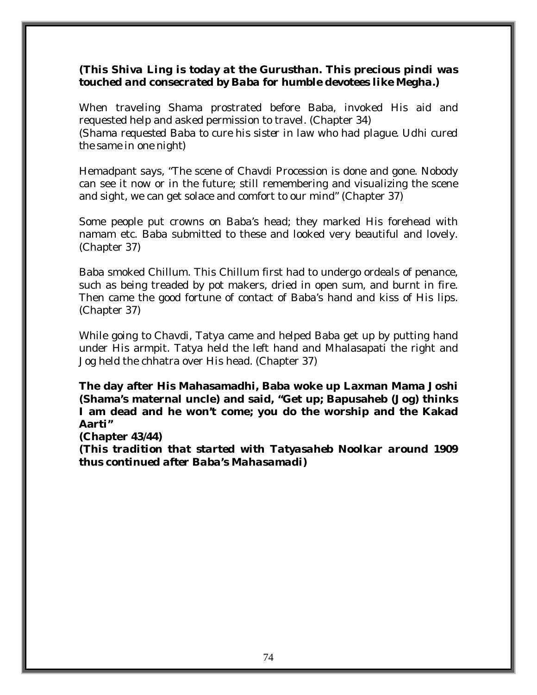#### *(This Shiva Ling is today at the Gurusthan. This precious pindi was touched and consecrated by Baba for humble devotees like Megha.)*

When traveling Shama prostrated before Baba, invoked His aid and requested help and asked permission to travel. (Chapter 34) *(Shama requested Baba to cure his sister in law who had plague. Udhi cured the same in one night)* 

Hemadpant says, "The scene of Chavdi Procession is done and gone. Nobody can see it now or in the future; still remembering and visualizing the scene and sight, we can get solace and comfort to our mind" (Chapter 37)

Some people put crowns on Baba's head; they marked His forehead with namam etc. Baba submitted to these and looked very beautiful and lovely. (Chapter 37)

Baba smoked Chillum. This Chillum first had to undergo ordeals of penance, such as being treaded by pot makers, dried in open sum, and burnt in fire. Then came the good fortune of contact of Baba's hand and kiss of His lips. (Chapter 37)

While going to Chavdi, Tatya came and helped Baba get up by putting hand under His armpit. Tatya held the left hand and Mhalasapati the right and Jog held the chhatra over His head. (Chapter 37)

**The day after His Mahasamadhi, Baba woke up Laxman Mama Joshi (Shama's maternal uncle) and said, "Get up; Bapusaheb (Jog) thinks I am dead and he won't come; you do the worship and the Kakad Aarti"** 

**(Chapter 43/44)** 

*(This tradition that started with Tatyasaheb Noolkar around 1909 thus continued after Baba's Mahasamadi)*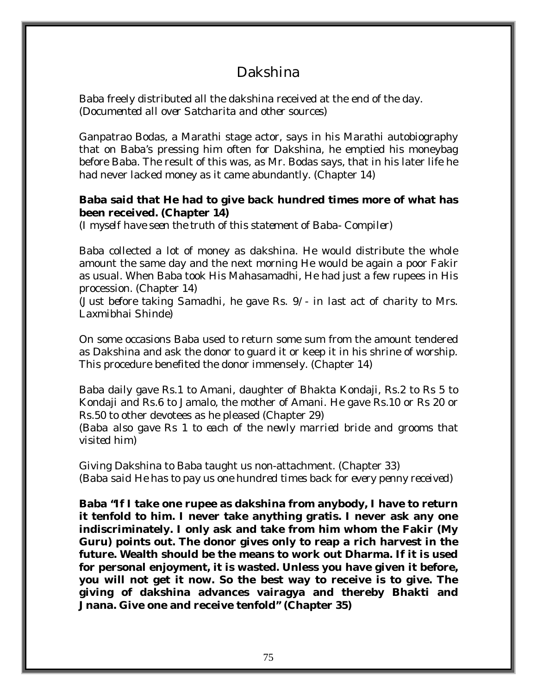## Dakshina

Baba freely distributed all the dakshina received at the end of the day. *(Documented all over Satcharita and other sources)* 

Ganpatrao Bodas, a Marathi stage actor, says in his Marathi autobiography that on Baba's pressing him often for Dakshina, he emptied his moneybag before Baba. The result of this was, as Mr. Bodas says, that in his later life he had never lacked money as it came abundantly. (Chapter 14)

#### **Baba said that He had to give back hundred times more of what has been received. (Chapter 14)**

*(I myself have seen the truth of this statement of Baba- Compiler)* 

Baba collected a lot of money as dakshina. He would distribute the whole amount the same day and the next morning He would be again a poor Fakir as usual. When Baba took His Mahasamadhi, He had just a few rupees in His procession. (Chapter 14)

*(Just before taking Samadhi, he gave Rs. 9/- in last act of charity to Mrs. Laxmibhai Shinde)* 

On some occasions Baba used to return some sum from the amount tendered as Dakshina and ask the donor to guard it or keep it in his shrine of worship. This procedure benefited the donor immensely. (Chapter 14)

Baba daily gave Rs.1 to Amani, daughter of Bhakta Kondaji, Rs.2 to Rs 5 to Kondaji and Rs.6 to Jamalo, the mother of Amani. He gave Rs.10 or Rs 20 or Rs.50 to other devotees as he pleased (Chapter 29)

*(Baba also gave Rs 1 to each of the newly married bride and grooms that visited him)* 

Giving Dakshina to Baba taught us non-attachment. (Chapter 33) *(Baba said He has to pay us one hundred times back for every penny received)* 

**Baba "If I take one rupee as dakshina from anybody, I have to return it tenfold to him. I never take anything gratis. I never ask any one indiscriminately. I only ask and take from him whom the Fakir (My Guru) points out. The donor gives only to reap a rich harvest in the future. Wealth should be the means to work out Dharma. If it is used for personal enjoyment, it is wasted. Unless you have given it before, you will not get it now. So the best way to receive is to give. The giving of dakshina advances vairagya and thereby Bhakti and Jnana. Give one and receive tenfold" (Chapter 35)**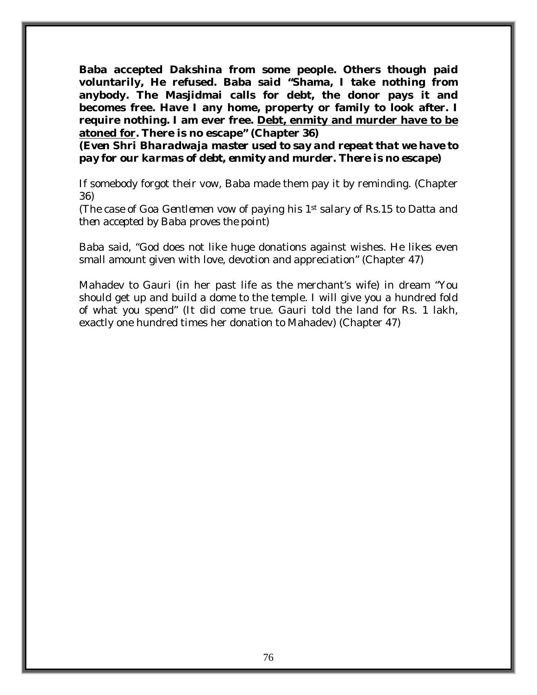**Baba accepted Dakshina from some people. Others though paid voluntarily, He refused. Baba said "Shama, I take nothing from anybody. The Masjidmai calls for debt, the donor pays it and becomes free. Have I any home, property or family to look after. I require nothing. I am ever free. Debt, enmity and murder have to be atoned for. There is no escape" (Chapter 36)** 

*(Even Shri Bharadwaja master used to say and repeat that we have to pay for our karmas of debt, enmity and murder. There is no escape)* 

If somebody forgot their vow, Baba made them pay it by reminding. (Chapter 36)

*(The case of Goa Gentlemen vow of paying his 1st salary of Rs.15 to Datta and then accepted by Baba proves the point)* 

Baba said, "God does not like huge donations against wishes. He likes even small amount given with love, devotion and appreciation" (Chapter 47)

Mahadev to Gauri (in her past life as the merchant's wife) in dream "You should get up and build a dome to the temple. I will give you a hundred fold of what you spend" (It did come true. Gauri told the land for Rs. 1 lakh, exactly one hundred times her donation to Mahadev) (Chapter 47)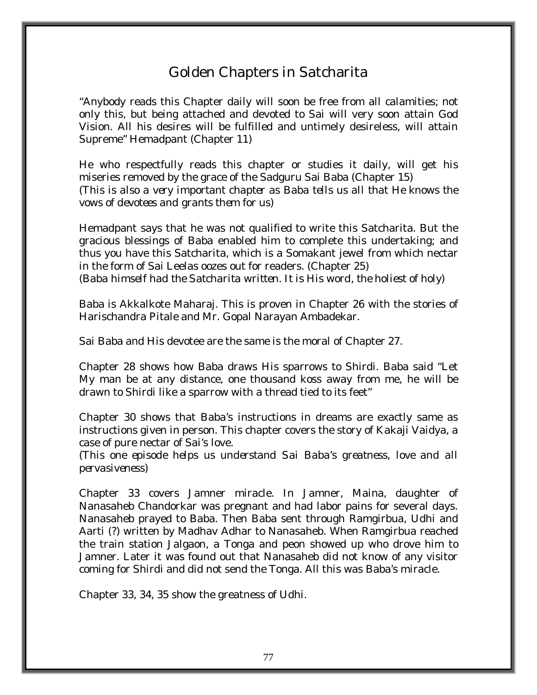# Golden Chapters in Satcharita

"Anybody reads this Chapter daily will soon be free from all calamities; not only this, but being attached and devoted to Sai will very soon attain God Vision. All his desires will be fulfilled and untimely desireless, will attain Supreme" Hemadpant (Chapter 11)

He who respectfully reads this chapter or studies it daily, will get his miseries removed by the grace of the Sadguru Sai Baba (Chapter 15) *(This is also a very important chapter as Baba tells us all that He knows the vows of devotees and grants them for us)* 

Hemadpant says that he was not qualified to write this Satcharita. But the gracious blessings of Baba enabled him to complete this undertaking; and thus you have this Satcharita, which is a Somakant jewel from which nectar in the form of Sai Leelas oozes out for readers. (Chapter 25) *(Baba himself had the Satcharita written. It is His word, the holiest of holy)*

Baba is Akkalkote Maharaj. This is proven in Chapter 26 with the stories of Harischandra Pitale and Mr. Gopal Narayan Ambadekar.

Sai Baba and His devotee are the same is the moral of Chapter 27.

Chapter 28 shows how Baba draws His sparrows to Shirdi. Baba said "Let My man be at any distance, one thousand koss away from me, he will be drawn to Shirdi like a sparrow with a thread tied to its feet"

Chapter 30 shows that Baba's instructions in dreams are exactly same as instructions given in person. This chapter covers the story of Kakaji Vaidya, a case of pure nectar of Sai's love.

(*This one episode helps us understand Sai Baba's greatness, love and all pervasiveness)* 

Chapter 33 covers Jamner miracle. In Jamner, Maina, daughter of Nanasaheb Chandorkar was pregnant and had labor pains for several days. Nanasaheb prayed to Baba. Then Baba sent through Ramgirbua, Udhi and Aarti (?) written by Madhav Adhar to Nanasaheb. When Ramgirbua reached the train station Jalgaon, a Tonga and peon showed up who drove him to Jamner. Later it was found out that Nanasaheb did not know of any visitor coming for Shirdi and did not send the Tonga. All this was Baba's miracle.

Chapter 33, 34, 35 show the greatness of Udhi.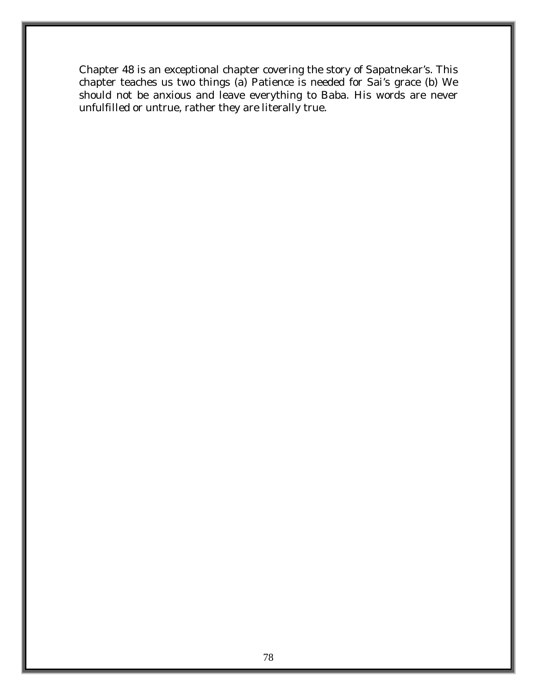Chapter 48 is an exceptional chapter covering the story of Sapatnekar's. This chapter teaches us two things (a) Patience is needed for Sai's grace (b) We should not be anxious and leave everything to Baba. His words are never unfulfilled or untrue, rather they are literally true.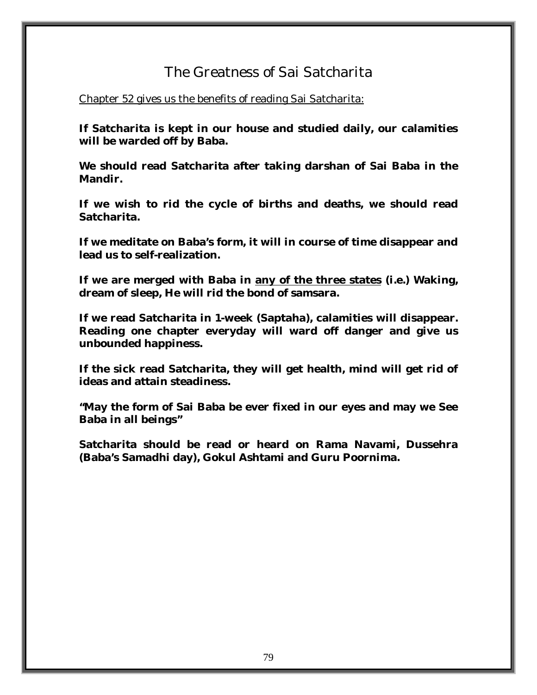### The Greatness of Sai Satcharita

Chapter 52 gives us the benefits of reading Sai Satcharita:

**If Satcharita is kept in our house and studied daily, our calamities will be warded off by Baba.** 

**We should read Satcharita after taking darshan of Sai Baba in the Mandir.** 

**If we wish to rid the cycle of births and deaths, we should read Satcharita.** 

**If we meditate on Baba's form, it will in course of time disappear and lead us to self-realization.** 

**If we are merged with Baba in any of the three states (i.e.) Waking, dream of sleep, He will rid the bond of samsara.** 

**If we read Satcharita in 1-week (Saptaha), calamities will disappear. Reading one chapter everyday will ward off danger and give us unbounded happiness.** 

**If the sick read Satcharita, they will get health, mind will get rid of ideas and attain steadiness.** 

**"May the form of Sai Baba be ever fixed in our eyes and may we See Baba in all beings"** 

**Satcharita should be read or heard on Rama Navami, Dussehra (Baba's Samadhi day), Gokul Ashtami and Guru Poornima.**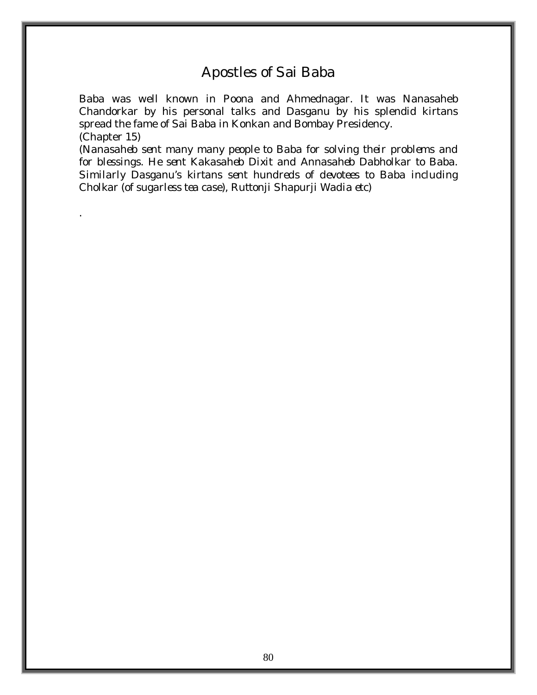#### Apostles of Sai Baba

Baba was well known in Poona and Ahmednagar. It was Nanasaheb Chandorkar by his personal talks and Dasganu by his splendid kirtans spread the fame of Sai Baba in Konkan and Bombay Presidency. (Chapter 15)

*(Nanasaheb sent many many people to Baba for solving their problems and for blessings. He sent Kakasaheb Dixit and Annasaheb Dabholkar to Baba. Similarly Dasganu's kirtans sent hundreds of devotees to Baba including Cholkar (of sugarless tea case), Ruttonji Shapurji Wadia etc)* 

.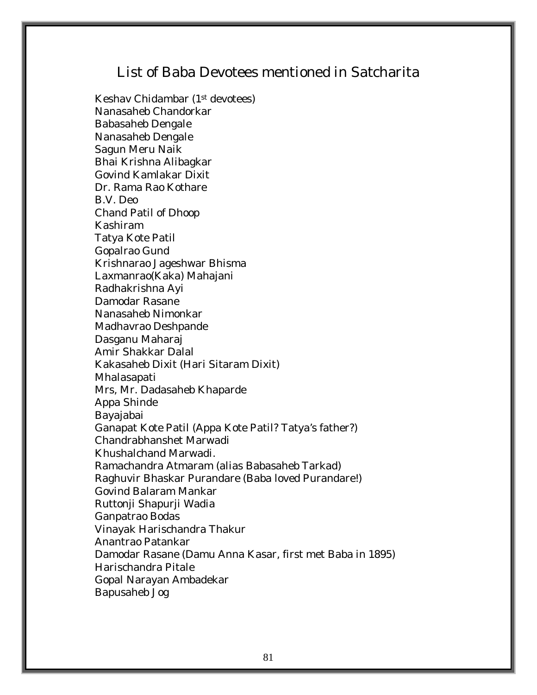### List of Baba Devotees mentioned in Satcharita

Keshav Chidambar (1st devotees) Nanasaheb Chandorkar Babasaheb Dengale Nanasaheb Dengale Sagun Meru Naik Bhai Krishna Alibagkar Govind Kamlakar Dixit Dr. Rama Rao Kothare B.V. Deo Chand Patil of Dhoop Kashiram Tatya Kote Patil Gopalrao Gund Krishnarao Jageshwar Bhisma Laxmanrao(Kaka) Mahajani Radhakrishna Ayi Damodar Rasane Nanasaheb Nimonkar Madhavrao Deshpande Dasganu Maharaj Amir Shakkar Dalal Kakasaheb Dixit (Hari Sitaram Dixit) Mhalasapati Mrs, Mr. Dadasaheb Khaparde Appa Shinde Bayajabai Ganapat Kote Patil (Appa Kote Patil? Tatya's father?) Chandrabhanshet Marwadi Khushalchand Marwadi. Ramachandra Atmaram (alias Babasaheb Tarkad) Raghuvir Bhaskar Purandare (Baba loved Purandare!) Govind Balaram Mankar Ruttonji Shapurji Wadia Ganpatrao Bodas Vinayak Harischandra Thakur Anantrao Patankar Damodar Rasane (Damu Anna Kasar, first met Baba in 1895) Harischandra Pitale Gopal Narayan Ambadekar Bapusaheb Jog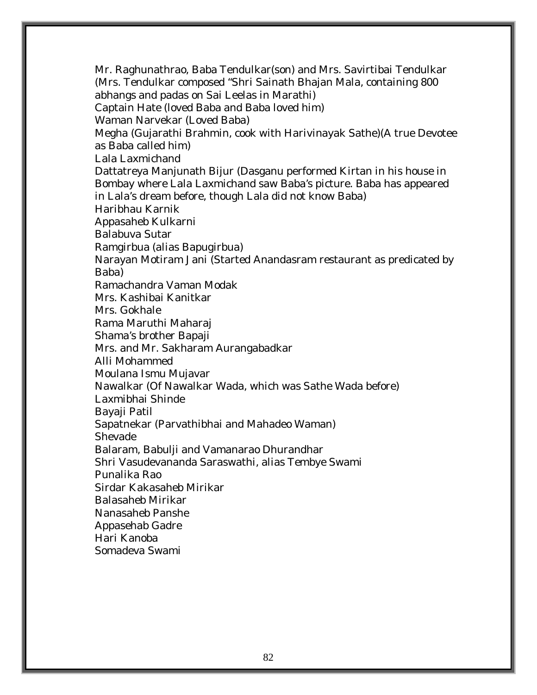Mr. Raghunathrao, Baba Tendulkar(son) and Mrs. Savirtibai Tendulkar (Mrs. Tendulkar composed "Shri Sainath Bhajan Mala, containing 800 abhangs and padas on Sai Leelas in Marathi) Captain Hate (loved Baba and Baba loved him) Waman Narvekar (Loved Baba) Megha (Gujarathi Brahmin, cook with Harivinayak Sathe)(A true Devotee as Baba called him) Lala Laxmichand Dattatreya Manjunath Bijur (Dasganu performed Kirtan in his house in Bombay where Lala Laxmichand saw Baba's picture. Baba has appeared in Lala's dream before, though Lala did not know Baba) Haribhau Karnik Appasaheb Kulkarni Balabuva Sutar Ramgirbua (alias Bapugirbua) Narayan Motiram Jani (Started Anandasram restaurant as predicated by Baba) Ramachandra Vaman Modak Mrs. Kashibai Kanitkar Mrs. Gokhale Rama Maruthi Maharaj Shama's brother Bapaji Mrs. and Mr. Sakharam Aurangabadkar Alli Mohammed Moulana Ismu Mujavar Nawalkar (Of Nawalkar Wada, which was Sathe Wada before) Laxmibhai Shinde Bayaji Patil Sapatnekar (Parvathibhai and Mahadeo Waman) Shevade Balaram, Babulji and Vamanarao Dhurandhar Shri Vasudevananda Saraswathi, alias Tembye Swami Punalika Rao Sirdar Kakasaheb Mirikar Balasaheb Mirikar Nanasaheb Panshe Appasehab Gadre Hari Kanoba Somadeva Swami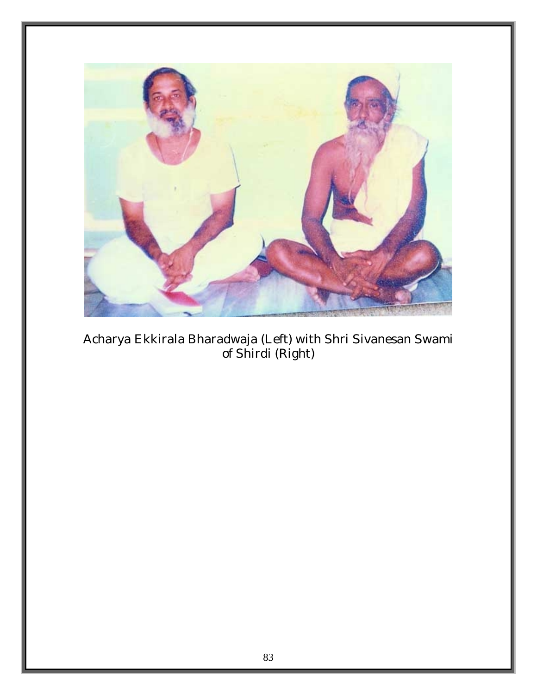

Acharya Ekkirala Bharadwaja (Left) with Shri Sivanesan Swami of Shirdi (Right)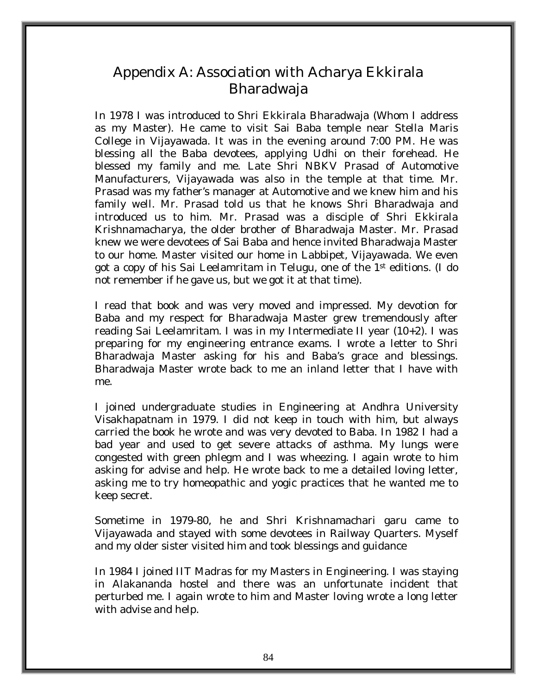## Appendix A: Association with Acharya Ekkirala Bharadwaja

In 1978 I was introduced to Shri Ekkirala Bharadwaja (Whom I address as my Master). He came to visit Sai Baba temple near Stella Maris College in Vijayawada. It was in the evening around 7:00 PM. He was blessing all the Baba devotees, applying Udhi on their forehead. He blessed my family and me. Late Shri NBKV Prasad of Automotive Manufacturers, Vijayawada was also in the temple at that time. Mr. Prasad was my father's manager at Automotive and we knew him and his family well. Mr. Prasad told us that he knows Shri Bharadwaja and introduced us to him. Mr. Prasad was a disciple of Shri Ekkirala Krishnamacharya, the older brother of Bharadwaja Master. Mr. Prasad knew we were devotees of Sai Baba and hence invited Bharadwaja Master to our home. Master visited our home in Labbipet, Vijayawada. We even got a copy of his Sai Leelamritam in Telugu, one of the 1st editions. (I do not remember if he gave us, but we got it at that time).

I read that book and was very moved and impressed. My devotion for Baba and my respect for Bharadwaja Master grew tremendously after reading Sai Leelamritam. I was in my Intermediate II year (10+2). I was preparing for my engineering entrance exams. I wrote a letter to Shri Bharadwaja Master asking for his and Baba's grace and blessings. Bharadwaja Master wrote back to me an inland letter that I have with me.

I joined undergraduate studies in Engineering at Andhra University Visakhapatnam in 1979. I did not keep in touch with him, but always carried the book he wrote and was very devoted to Baba. In 1982 I had a bad year and used to get severe attacks of asthma. My lungs were congested with green phlegm and I was wheezing. I again wrote to him asking for advise and help. He wrote back to me a detailed loving letter, asking me to try homeopathic and yogic practices that he wanted me to keep secret.

Sometime in 1979-80, he and Shri Krishnamachari garu came to Vijayawada and stayed with some devotees in Railway Quarters. Myself and my older sister visited him and took blessings and guidance

In 1984 I joined IIT Madras for my Masters in Engineering. I was staying in Alakananda hostel and there was an unfortunate incident that perturbed me. I again wrote to him and Master loving wrote a long letter with advise and help.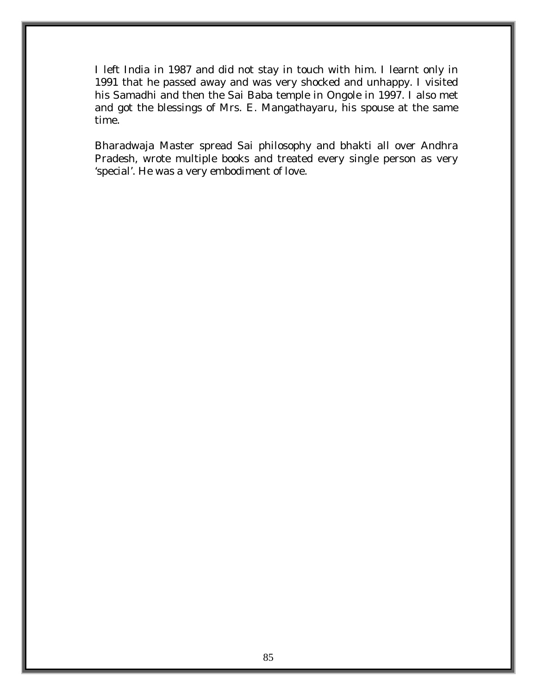I left India in 1987 and did not stay in touch with him. I learnt only in 1991 that he passed away and was very shocked and unhappy. I visited his Samadhi and then the Sai Baba temple in Ongole in 1997. I also met and got the blessings of Mrs. E. Mangathayaru, his spouse at the same time.

Bharadwaja Master spread Sai philosophy and bhakti all over Andhra Pradesh, wrote multiple books and treated every single person as very 'special'. He was a very embodiment of love.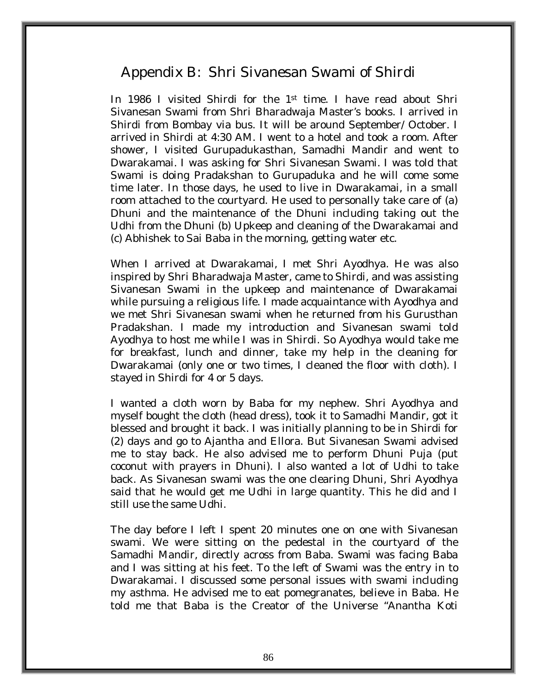### Appendix B: Shri Sivanesan Swami of Shirdi

In 1986 I visited Shirdi for the 1<sup>st</sup> time. I have read about Shri Sivanesan Swami from Shri Bharadwaja Master's books. I arrived in Shirdi from Bombay via bus. It will be around September/ October. I arrived in Shirdi at 4:30 AM. I went to a hotel and took a room. After shower, I visited Gurupadukasthan, Samadhi Mandir and went to Dwarakamai. I was asking for Shri Sivanesan Swami. I was told that Swami is doing Pradakshan to Gurupaduka and he will come some time later. In those days, he used to live in Dwarakamai, in a small room attached to the courtyard. He used to personally take care of (a) Dhuni and the maintenance of the Dhuni including taking out the Udhi from the Dhuni (b) Upkeep and cleaning of the Dwarakamai and (c) Abhishek to Sai Baba in the morning, getting water etc.

When I arrived at Dwarakamai, I met Shri Ayodhya. He was also inspired by Shri Bharadwaja Master, came to Shirdi, and was assisting Sivanesan Swami in the upkeep and maintenance of Dwarakamai while pursuing a religious life. I made acquaintance with Ayodhya and we met Shri Sivanesan swami when he returned from his Gurusthan Pradakshan. I made my introduction and Sivanesan swami told Ayodhya to host me while I was in Shirdi. So Ayodhya would take me for breakfast, lunch and dinner, take my help in the cleaning for Dwarakamai (only one or two times, I cleaned the floor with cloth). I stayed in Shirdi for 4 or 5 days.

I wanted a cloth worn by Baba for my nephew. Shri Ayodhya and myself bought the cloth (head dress), took it to Samadhi Mandir, got it blessed and brought it back. I was initially planning to be in Shirdi for (2) days and go to Ajantha and Ellora. But Sivanesan Swami advised me to stay back. He also advised me to perform Dhuni Puja (put coconut with prayers in Dhuni). I also wanted a lot of Udhi to take back. As Sivanesan swami was the one clearing Dhuni, Shri Ayodhya said that he would get me Udhi in large quantity. This he did and I still use the same Udhi.

The day before I left I spent 20 minutes one on one with Sivanesan swami. We were sitting on the pedestal in the courtyard of the Samadhi Mandir, directly across from Baba. Swami was facing Baba and I was sitting at his feet. To the left of Swami was the entry in to Dwarakamai. I discussed some personal issues with swami including my asthma. He advised me to eat pomegranates, believe in Baba. He told me that Baba is the Creator of the Universe "Anantha Koti